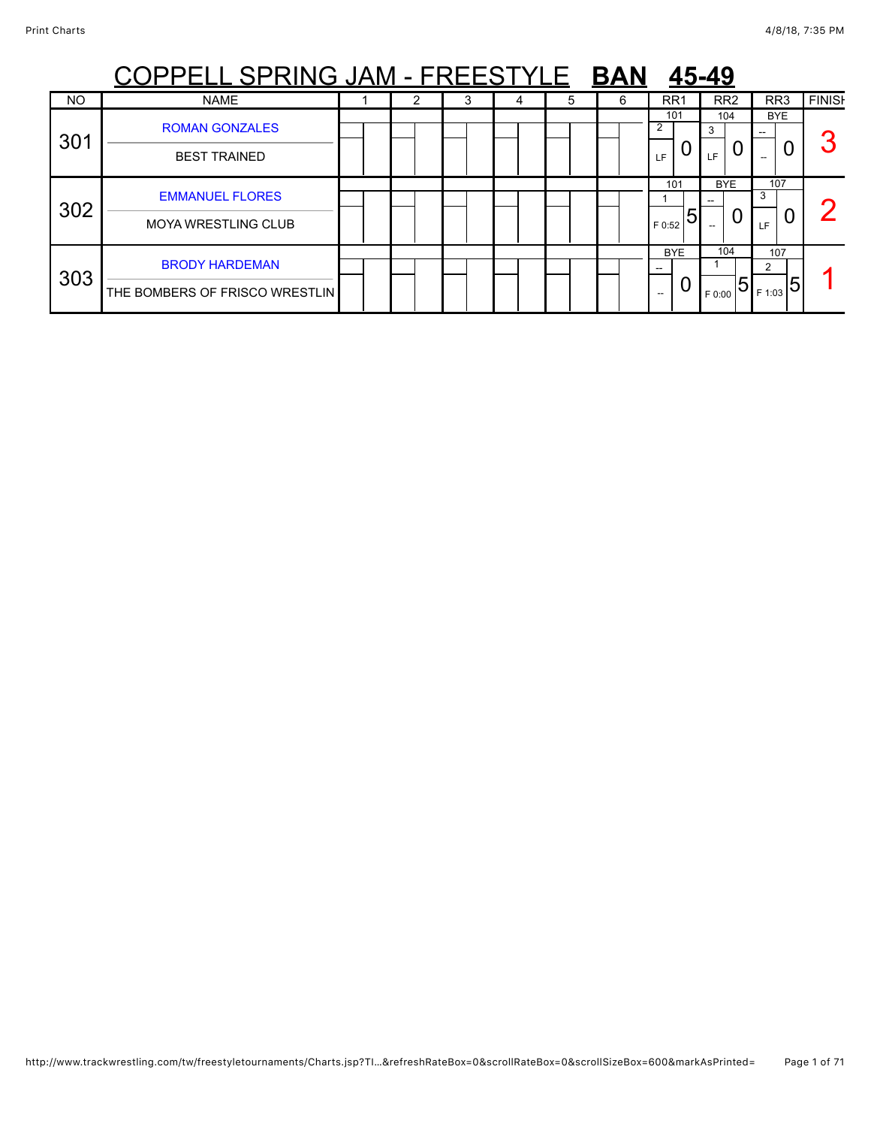|     | PELL SPRING JAM - FREESTYLE                             |  |  |   |   | <b>BAN</b> |                          | 45-49      |         |                              |                       |                |               |
|-----|---------------------------------------------------------|--|--|---|---|------------|--------------------------|------------|---------|------------------------------|-----------------------|----------------|---------------|
| NO  | <b>NAME</b>                                             |  |  | 4 | 5 | 6          |                          | RR1        |         | RR <sub>2</sub>              | RR <sub>3</sub>       |                | <b>FINISH</b> |
| 301 | <b>ROMAN GONZALES</b><br><b>BEST TRAINED</b>            |  |  |   |   |            | 2<br>LF                  | 101        | 3<br>LF | 104                          | <b>BYE</b>            |                | n             |
| 302 | <b>EMMANUEL FLORES</b><br><b>MOYA WRESTLING CLUB</b>    |  |  |   |   |            | F 0:52                   | 101<br>5   |         | <b>BYE</b><br>$\overline{0}$ | 107<br>3<br><b>LF</b> | U              | $\sqrt{2}$    |
| 303 | <b>BRODY HARDEMAN</b><br>THE BOMBERS OF FRISCO WRESTLIN |  |  |   |   |            | $\hspace{0.05cm} \ldots$ | <b>BYE</b> | F 0:00  | 104<br>15                    | 107<br>2<br>F 1:03    | $\overline{5}$ |               |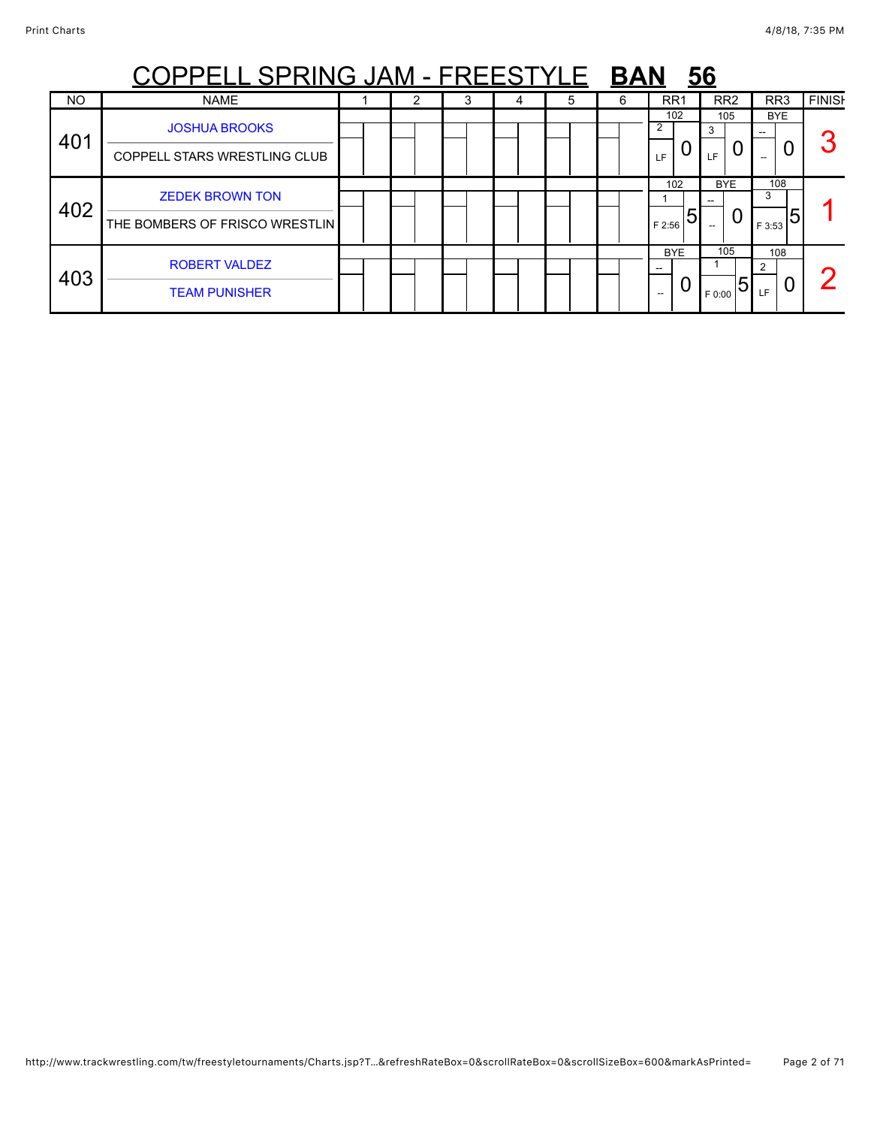|     | <u>PPELL SPRING JAM - FREESTYLE</u>                      |  |   |   | <b>BAN</b> |                                 | <u>56</u>          |                         |               |
|-----|----------------------------------------------------------|--|---|---|------------|---------------------------------|--------------------|-------------------------|---------------|
| NO  | <b>NAME</b>                                              |  | 4 | 5 | 6          | RR1                             | RR <sub>2</sub>    | RR <sub>3</sub>         | <b>FINISH</b> |
| 401 | <b>JOSHUA BROOKS</b><br>COPPELL STARS WRESTLING CLUB     |  |   |   |            | 102<br>I F                      | 105<br>3<br>LF     | <b>BYE</b>              | n             |
| 402 | <b>ZEDEK BROWN TON</b><br>THE BOMBERS OF FRISCO WRESTLIN |  |   |   |            | 102<br>5<br>F 2:56              | <b>BYE</b><br>0    | 108<br>3<br>5<br>F 3:53 |               |
| 403 | <b>ROBERT VALDEZ</b><br><b>TEAM PUNISHER</b>             |  |   |   |            | <b>BYE</b><br>$\qquad \qquad -$ | 105<br>5<br>F 0:00 | 108<br>2<br>U<br>LF.    | c             |

### http://www.trackwrestling.com/tw/freestyletournaments/Charts.jsp?T…&refreshRateBox=0&scrollRateBox=0&scrollSizeBox=600&markAsPrinted= Page 2 of 71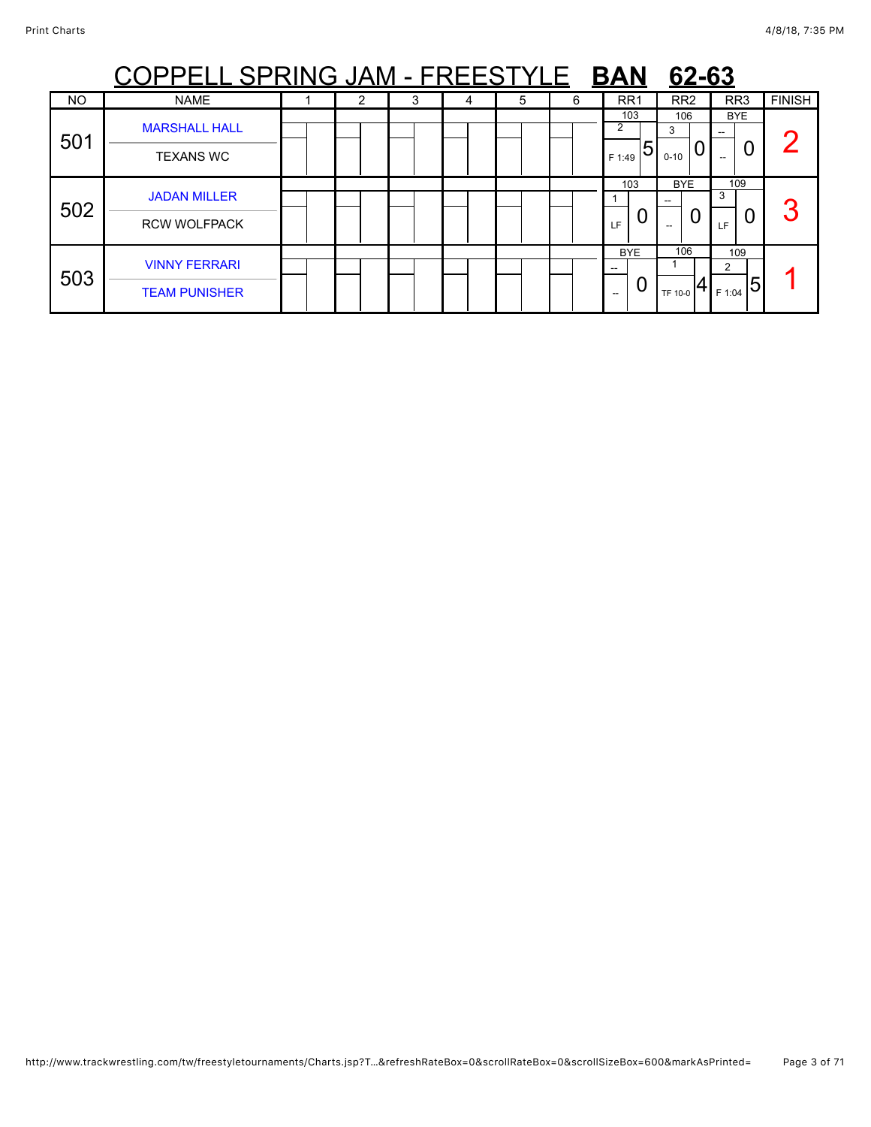|           | <u>PPELL SPRING JAM - FREESTYLE</u>          |   |   |   |   | <b>BAN</b>                     | 62-63                     |                                        |               |
|-----------|----------------------------------------------|---|---|---|---|--------------------------------|---------------------------|----------------------------------------|---------------|
| <b>NO</b> | <b>NAME</b>                                  | 2 | 3 | 5 | 6 | RR <sub>1</sub>                | RR <sub>2</sub>           | RR <sub>3</sub>                        | <b>FINISH</b> |
| 501       | <b>MARSHALL HALL</b><br><b>TEXANS WC</b>     |   |   |   |   | 103<br>2<br>5<br>F 1:49        | 106<br>3<br>U<br>$0 - 10$ | <b>BYE</b><br>0<br>$\hspace{0.05cm} -$ |               |
| 502       | <b>JADAN MILLER</b><br><b>RCW WOLFPACK</b>   |   |   |   |   | 103<br>O<br>LF                 | <b>BYE</b>                | 109<br>3<br>U<br>LF                    | 3             |
| 503       | <b>VINNY FERRARI</b><br><b>TEAM PUNISHER</b> |   |   |   |   | <b>BYE</b><br>--<br>U<br>$- -$ | 106<br>TF 10-0            | 109<br>2<br>5<br>F 1:04                |               |

### http://www.trackwrestling.com/tw/freestyletournaments/Charts.jsp?T…&refreshRateBox=0&scrollRateBox=0&scrollSizeBox=600&markAsPrinted= Page 3 of 71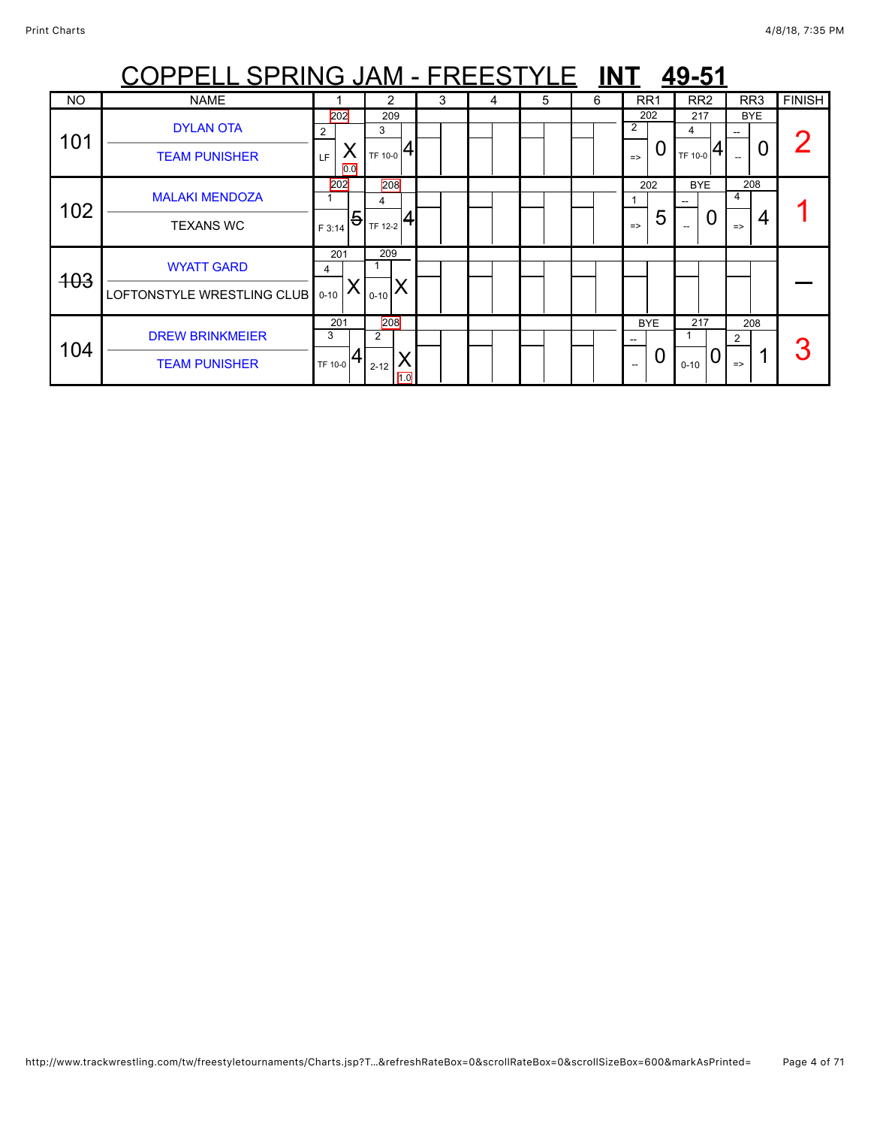|            | OPPELL SPRING JAM - FREESTYLE INT                    |                                 |                                                |   |   |   |   |                                                      | 49-51               |                                |               |
|------------|------------------------------------------------------|---------------------------------|------------------------------------------------|---|---|---|---|------------------------------------------------------|---------------------|--------------------------------|---------------|
| <b>NO</b>  | <b>NAME</b>                                          |                                 |                                                | 3 | 4 | 5 | 6 | RR <sub>1</sub>                                      | RR <sub>2</sub>     | RR3                            | <b>FINISH</b> |
| 101        | <b>DYLAN OTA</b><br><b>TEAM PUNISHER</b>             | 202<br>2<br>LF.<br>0.0          | 209<br>3<br>$T_{\text{TF 10-0}} 4$             |   |   |   |   | 202<br>2<br>0<br>$\Rightarrow$                       | 217<br>4<br>TF 10-0 | <b>BYE</b>                     |               |
| 102        | <b>MALAKI MENDOZA</b><br><b>TEXANS WC</b>            | 202<br>$\overline{5}$<br>F 3:14 | 208<br>4<br>$\frac{1}{1}$ <sub>TF 12-2</sub> 4 |   |   |   |   | 202<br>5<br>$\Rightarrow$                            | <b>BYE</b><br>O     | 208<br>4<br>4<br>$\Rightarrow$ |               |
| <b>403</b> | <b>WYATT GARD</b><br>LOFTONSTYLE WRESTLING CLUB 0-10 | 201<br>4                        | 209<br>$0 - 10$                                |   |   |   |   |                                                      |                     |                                |               |
| 104        | <b>DREW BRINKMEIER</b><br><b>TEAM PUNISHER</b>       | 201<br>3<br>TF 10-0             | 208<br>2<br>$2 - 12$<br>1.0                    |   |   |   |   | <b>BYE</b><br>$- -$<br>0<br>$\overline{\phantom{a}}$ | 217<br>$0 - 10$     | 208<br>2<br>$\Rightarrow$      |               |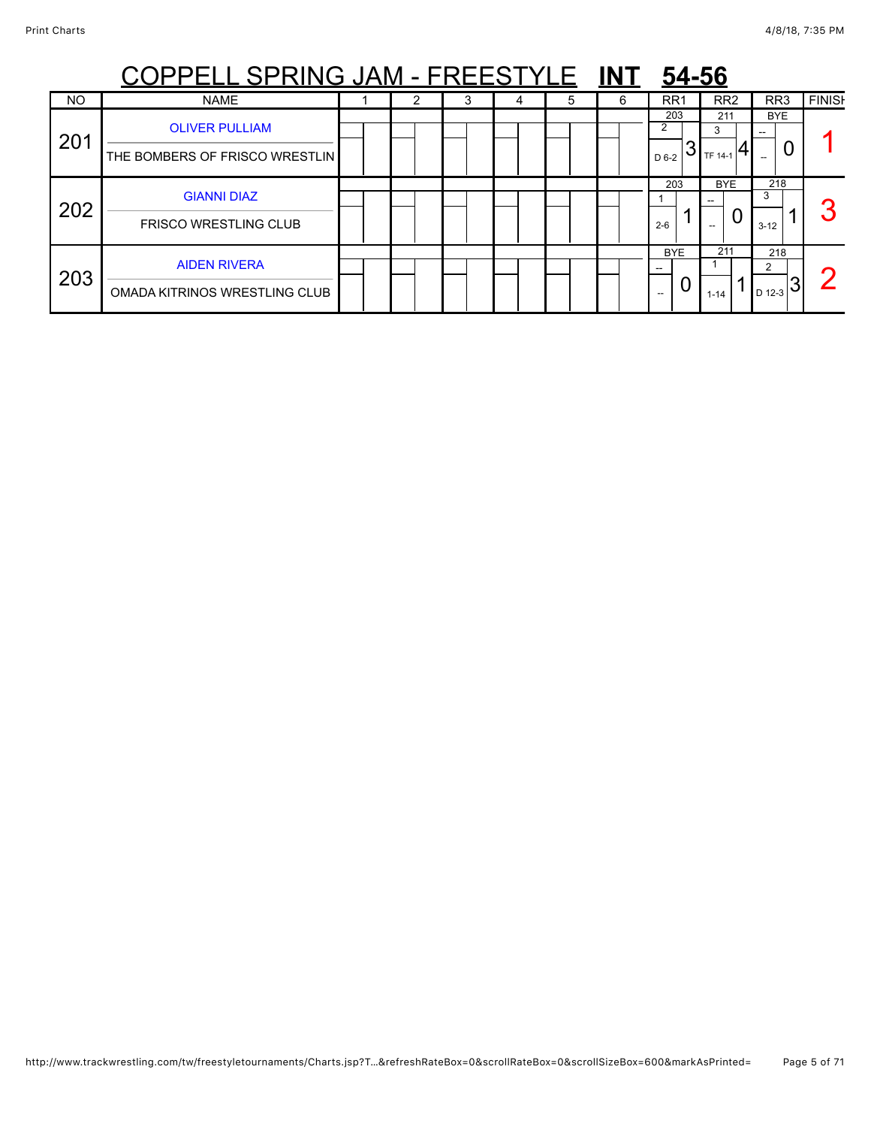|           | PPELL SPRING JAM - FREESTYLE                            |  |   |   |   | 54-56                                       |                     |                                                                                                             |               |
|-----------|---------------------------------------------------------|--|---|---|---|---------------------------------------------|---------------------|-------------------------------------------------------------------------------------------------------------|---------------|
| <b>NO</b> | <b>NAME</b>                                             |  | 4 | 5 | 6 | RR1                                         | RR <sub>2</sub>     | RR <sub>3</sub>                                                                                             | <b>FINISH</b> |
| 201       | <b>OLIVER PULLIAM</b><br>THE BOMBERS OF FRISCO WRESTLIN |  |   |   |   | 203<br>2<br>D 6-2                           | 211<br>3<br>TF 14-1 | <b>BYE</b><br>0                                                                                             |               |
| 202       | <b>GIANNI DIAZ</b><br><b>FRISCO WRESTLING CLUB</b>      |  |   |   |   | 203<br>$2 - 6$                              | <b>BYE</b><br>0     | 218<br>3<br>$3 - 12$                                                                                        | n             |
| 203       | <b>AIDEN RIVERA</b><br>OMADA KITRINOS WRESTLING CLUB    |  |   |   |   | <b>BYE</b><br>U<br>$\hspace{0.05cm} \ldots$ | 211<br>$1 - 14$     | 218<br>$\mathcal{P}$<br>$\left  \begin{smallmatrix} 1_{\rm D\,12-3} & \mathbf{3} \end{smallmatrix} \right $ | C             |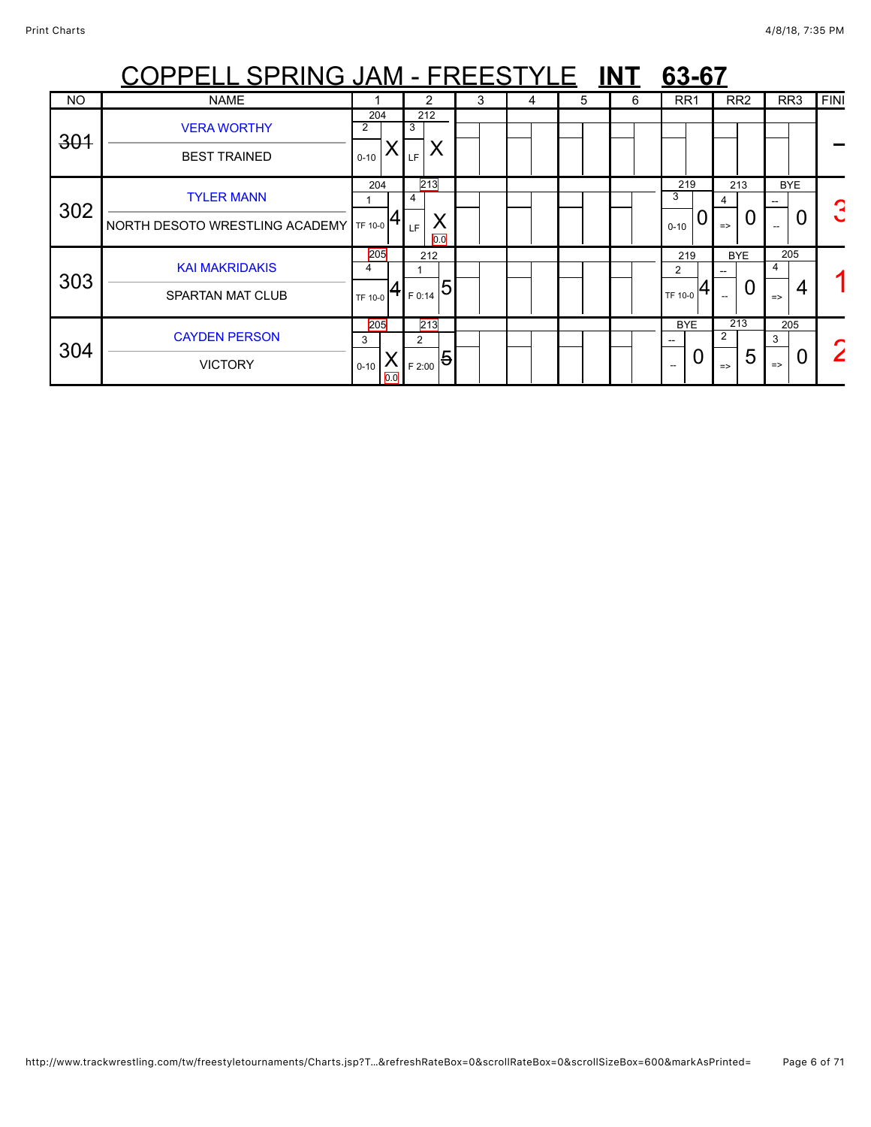|           | <u> PELL SPRING JAM - FREESTYLE</u> |          |     |          |                |   |   |   | <b>INT</b> | 63-67                                                    |                               |                    |             |
|-----------|-------------------------------------|----------|-----|----------|----------------|---|---|---|------------|----------------------------------------------------------|-------------------------------|--------------------|-------------|
| <b>NO</b> | <b>NAME</b>                         |          |     | 2        |                | 3 | 4 | 5 | 6          | RR <sub>1</sub>                                          | RR <sub>2</sub>               | RR <sub>3</sub>    | <b>FINI</b> |
| 301       | <b>VERA WORTHY</b>                  | 204<br>2 |     | 212<br>3 |                |   |   |   |            |                                                          |                               |                    |             |
|           | <b>BEST TRAINED</b>                 | $0 - 10$ |     | Y<br>LF  |                |   |   |   |            |                                                          |                               |                    |             |
| 302       | <b>TYLER MANN</b>                   | 204      |     | 213<br>4 |                |   |   |   |            | 219<br>3                                                 | 213                           | <b>BYE</b>         | ┍           |
|           | NORTH DESOTO WRESTLING ACADEMY      | TF 10-0  |     | LF       | X<br>0.0       |   |   |   |            | Ō<br>$0 - 10$                                            | 0<br>$\Rightarrow$            | 0                  |             |
| 303       | <b>KAI MAKRIDAKIS</b>               | 205<br>4 |     | 212      |                |   |   |   |            | 219<br>$\overline{2}$                                    | <b>BYE</b>                    | 205                |             |
|           | <b>SPARTAN MAT CLUB</b>             | TF 10-0  |     | F 0:14   | 5              |   |   |   |            | TF 10-0                                                  | 0<br>$\overline{\phantom{a}}$ | 4<br>$\Rightarrow$ |             |
| 304       | <b>CAYDEN PERSON</b>                | 205<br>3 |     | 213<br>2 |                |   |   |   |            | <b>BYE</b><br>$- -$                                      | 213<br>2                      | 205<br>3           |             |
|           | <b>VICTORY</b>                      | $0 - 10$ | 0.0 | F 2:00   | $\overline{5}$ |   |   |   |            | 0<br>$\hspace{0.05cm} -\hspace{0.05cm} -\hspace{0.05cm}$ | 5<br>$\Rightarrow$            | $\Rightarrow$      |             |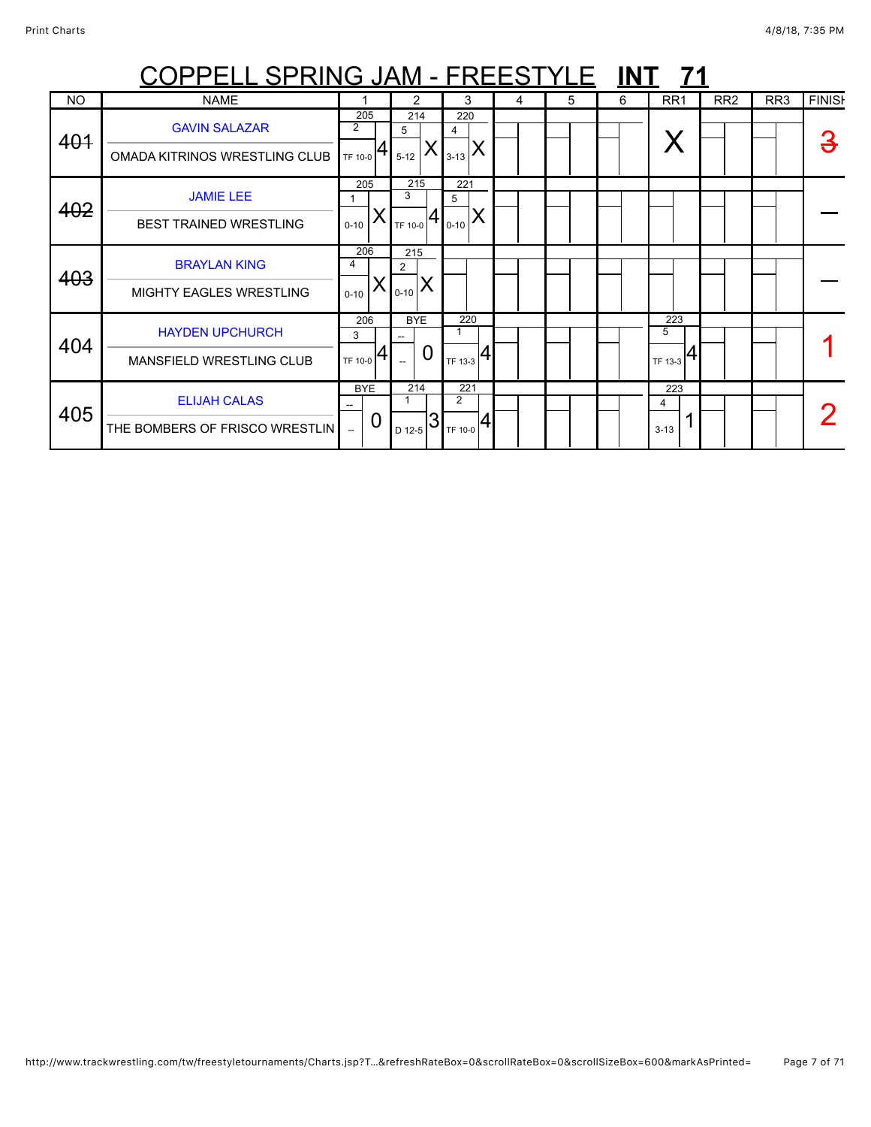|           | <u> COPPELL SPRING JAM - FREESTYLE INT</u>                |                           |                 |                      |   |                           |   |   |   | - 71                     |                 |                 |               |
|-----------|-----------------------------------------------------------|---------------------------|-----------------|----------------------|---|---------------------------|---|---|---|--------------------------|-----------------|-----------------|---------------|
| <b>NO</b> | <b>NAME</b>                                               |                           |                 | 2                    |   | 3                         | 4 | 5 | 6 | RR <sub>1</sub>          | RR <sub>2</sub> | RR <sub>3</sub> | <b>FINISH</b> |
| 401       | <b>GAVIN SALAZAR</b><br>OMADA KITRINOS WRESTLING CLUB     | $\overline{2}$<br>TF 10-0 | 205             | 214<br>5<br>$5 - 12$ |   | 220<br>4<br>∧<br>$3 - 13$ |   |   |   |                          |                 |                 |               |
| 402       | <b>JAMIE LEE</b><br><b>BEST TRAINED WRESTLING</b>         | 1<br>$0 - 10$             | 205             | 215<br>3<br>TF 10-0  |   | 221<br>5<br>⋏<br>$0 - 10$ |   |   |   |                          |                 |                 |               |
| 403       | <b>BRAYLAN KING</b><br><b>MIGHTY EAGLES WRESTLING</b>     | 4<br>$0 - 10$             | 206             | 215<br>2<br>$0 - 10$ |   |                           |   |   |   |                          |                 |                 |               |
| 404       | <b>HAYDEN UPCHURCH</b><br><b>MANSFIELD WRESTLING CLUB</b> | 3<br>TF 10-0              | 206             | <b>BYE</b>           | 0 | 220<br>TF 13-3            |   |   |   | 223<br>5<br>4<br>TF 13-3 |                 |                 |               |
| 405       | <b>ELIJAH CALAS</b><br>THE BOMBERS OF FRISCO WRESTLIN     | $\overline{\phantom{a}}$  | <b>BYE</b><br>0 | 214<br>D 12-5        |   | 221<br>2<br>TF 10-0       |   |   |   | 223<br>4<br>$3 - 13$     |                 |                 |               |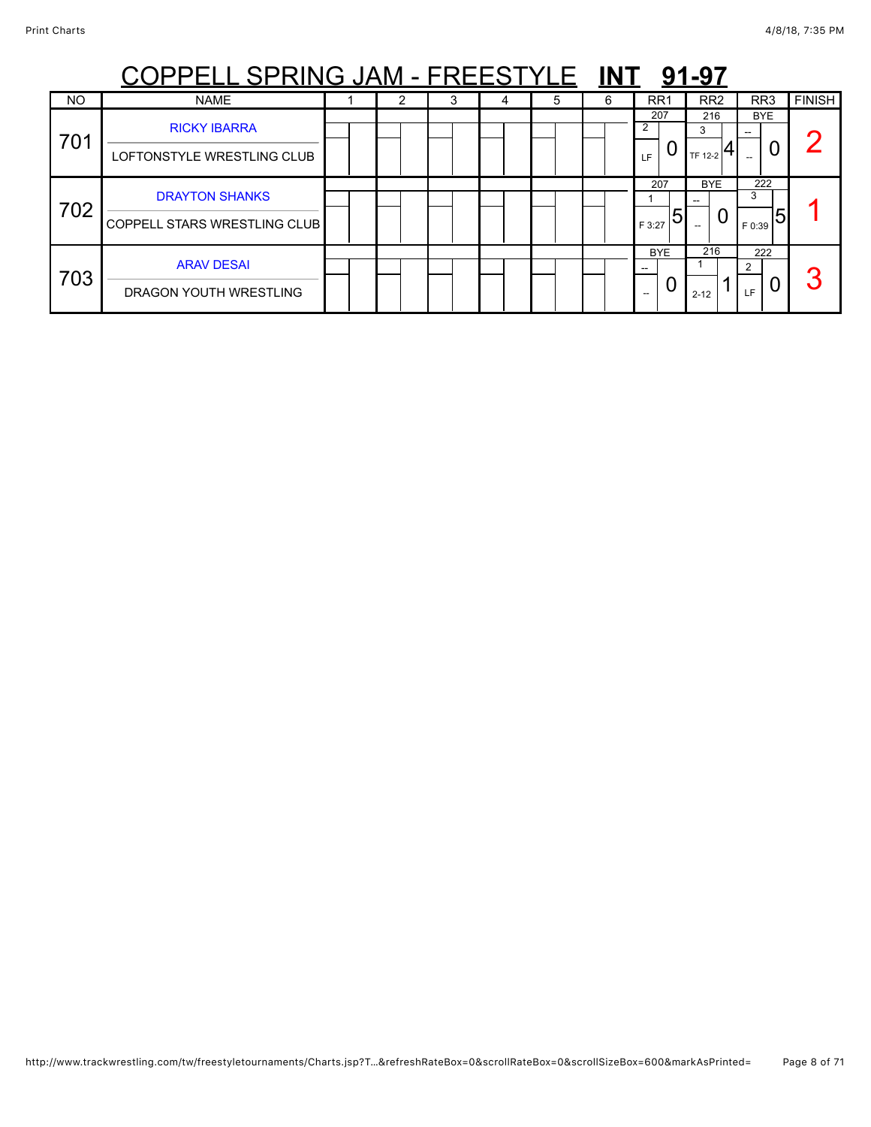|           | <u> )PPELL SPRING JAM - FREESTYLE</u>                        |   |   |   |   | <b>INT</b> |                              | 91-97               |                    |               |
|-----------|--------------------------------------------------------------|---|---|---|---|------------|------------------------------|---------------------|--------------------|---------------|
| <b>NO</b> | <b>NAME</b>                                                  | 2 | 3 | 4 | 5 | 6          | RR <sub>1</sub>              | RR <sub>2</sub>     | RR <sub>3</sub>    | <b>FINISH</b> |
| 701       | <b>RICKY IBARRA</b><br>LOFTONSTYLE WRESTLING CLUB            |   |   |   |   |            | 207<br>2<br>LF.              | 216<br>3<br>TF 12-2 | <b>BYE</b><br>U    |               |
| 702       | <b>DRAYTON SHANKS</b><br><b>COPPELL STARS WRESTLING CLUB</b> |   |   |   |   |            | 207<br>5<br>F 3:27           | <b>BYE</b><br>U     | 222<br>3<br>F 0:39 |               |
| 703       | <b>ARAV DESAI</b><br>DRAGON YOUTH WRESTLING                  |   |   |   |   |            | <b>BYE</b><br>$- -$<br>$- -$ | 216<br>$2 - 12$     | 222<br>2<br>LF     | ◠             |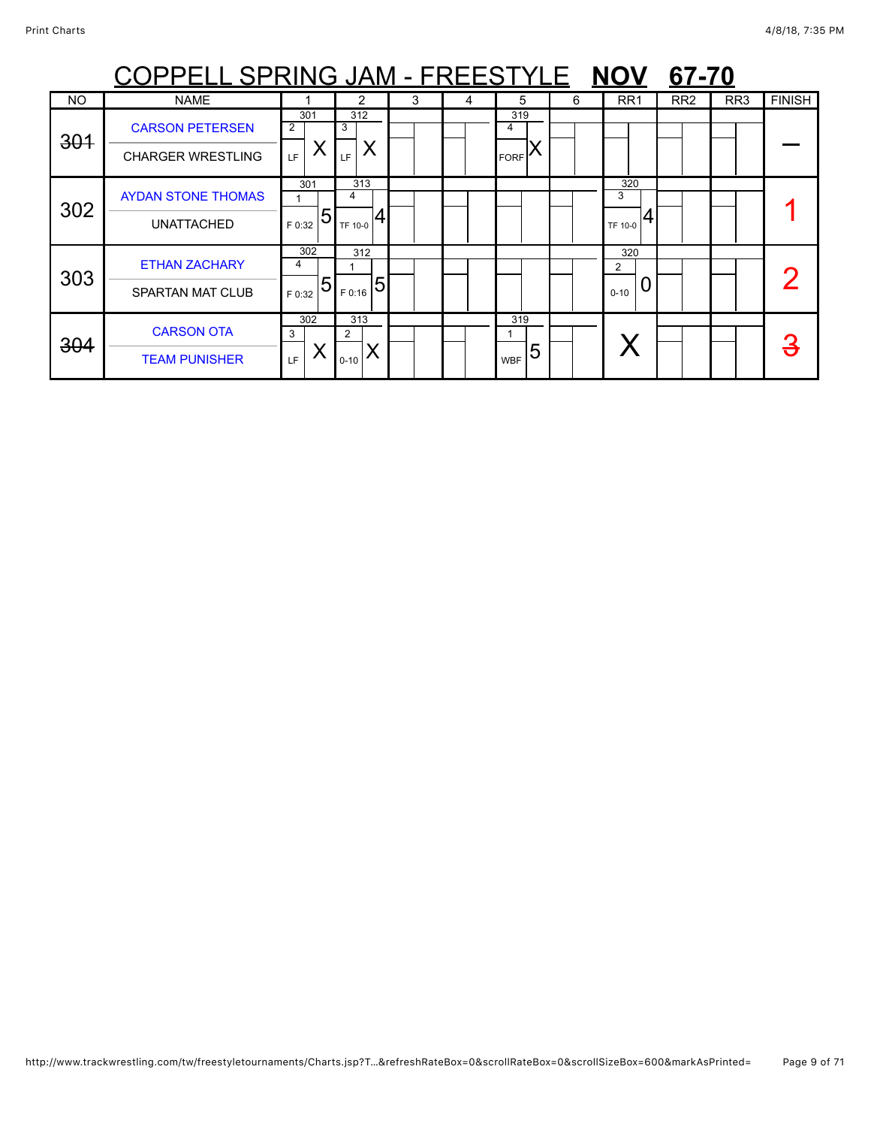|           | <b>OPPELL SPRING JAM - FREESTYLE</b> |             |             |   |   |                 |   | <b>NOV</b>            | 67-70           |                 |               |
|-----------|--------------------------------------|-------------|-------------|---|---|-----------------|---|-----------------------|-----------------|-----------------|---------------|
| <b>NO</b> | <b>NAME</b>                          |             | 2           | 3 | 4 | 5               | 6 | RR <sub>1</sub>       | RR <sub>2</sub> | RR <sub>3</sub> | <b>FINISH</b> |
| 301       | <b>CARSON PETERSEN</b>               | 301<br>2    | 312<br>3    |   |   | 319             |   |                       |                 |                 |               |
|           | <b>CHARGER WRESTLING</b>             | Χ<br>LF     | LF          |   |   | <b>FORF</b>     |   |                       |                 |                 |               |
|           | <b>AYDAN STONE THOMAS</b>            | 301         | 313<br>4    |   |   |                 |   | 320<br>3              |                 |                 |               |
| 302       | <b>UNATTACHED</b>                    | 5<br>F 0:32 | TF 10-0     |   |   |                 |   | TF 10-0               |                 |                 |               |
|           | <b>ETHAN ZACHARY</b>                 | 302<br>4    | 312         |   |   |                 |   | 320<br>$\overline{2}$ |                 |                 |               |
| 303       | <b>SPARTAN MAT CLUB</b>              | 5<br>F 0:32 | 5<br>F 0:16 |   |   |                 |   | $0 - 10$              |                 |                 |               |
| 304       | <b>CARSON OTA</b>                    | 302<br>3    | 313<br>2    |   |   | 319             |   |                       |                 |                 |               |
|           | <b>TEAM PUNISHER</b>                 | Χ<br>LF     | $0 - 10$    |   |   | 5<br><b>WBF</b> |   |                       |                 |                 |               |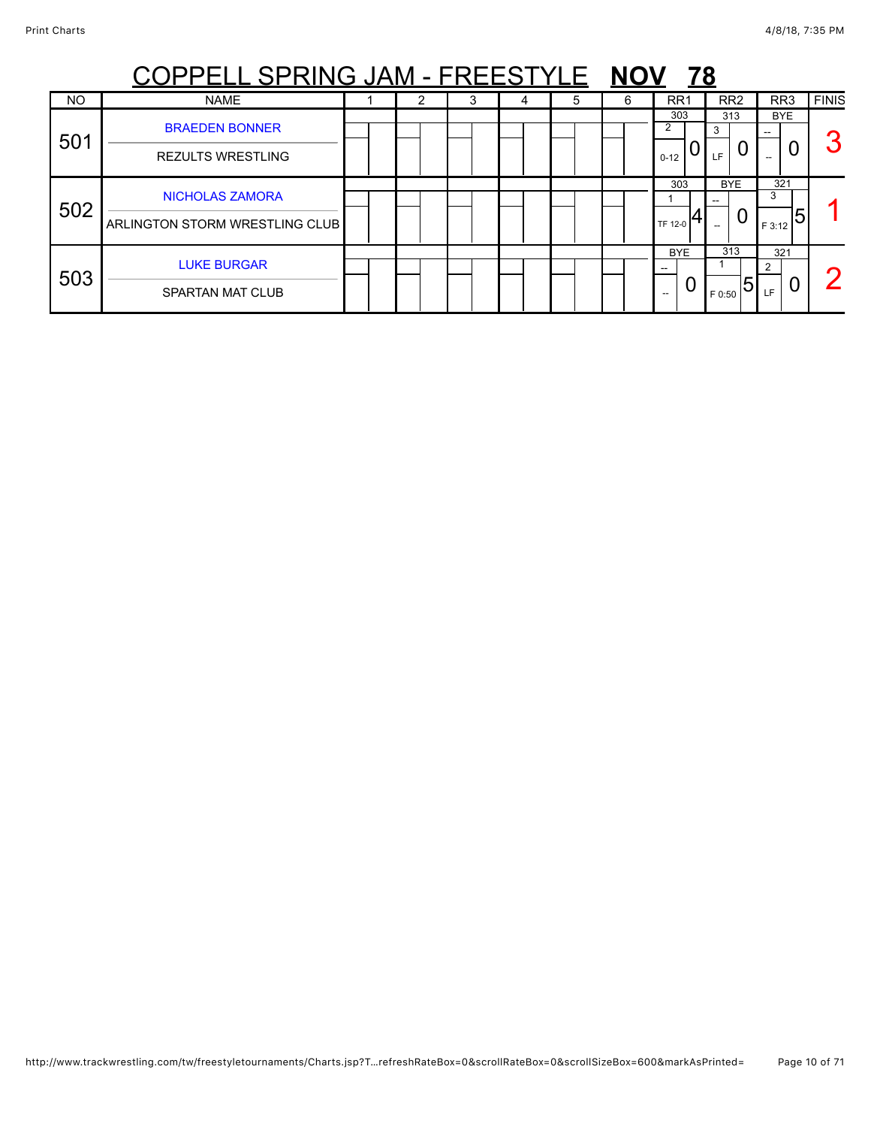|           | PELL SPRING JAM - FREESTYLE                              |  |   |   |   |   | <u>78</u>                         |                     |                                  |              |
|-----------|----------------------------------------------------------|--|---|---|---|---|-----------------------------------|---------------------|----------------------------------|--------------|
| <b>NO</b> | <b>NAME</b>                                              |  | 3 | 4 | 5 | 6 | RR <sub>1</sub>                   | RR <sub>2</sub>     | RR <sub>3</sub>                  | <b>FINIS</b> |
| 501       | <b>BRAEDEN BONNER</b><br><b>REZULTS WRESTLING</b>        |  |   |   |   |   | 303<br>$\overline{2}$<br>$0 - 12$ | 313<br>3<br>U<br>LF | <b>BYE</b><br>--                 | G            |
| 502       | <b>NICHOLAS ZAMORA</b><br>ARLINGTON STORM WRESTLING CLUB |  |   |   |   |   | 303<br><b>TF 12-0</b>             | <b>BYE</b><br>0     | 321<br>3<br>5<br>F 3:12          |              |
| 503       | <b>LUKE BURGAR</b><br><b>SPARTAN MAT CLUB</b>            |  |   |   |   |   | <b>BYE</b><br>U<br>--             | 313<br>5<br>F 0:50  | 321<br>$\mathcal{P}$<br>U<br>LF. |              |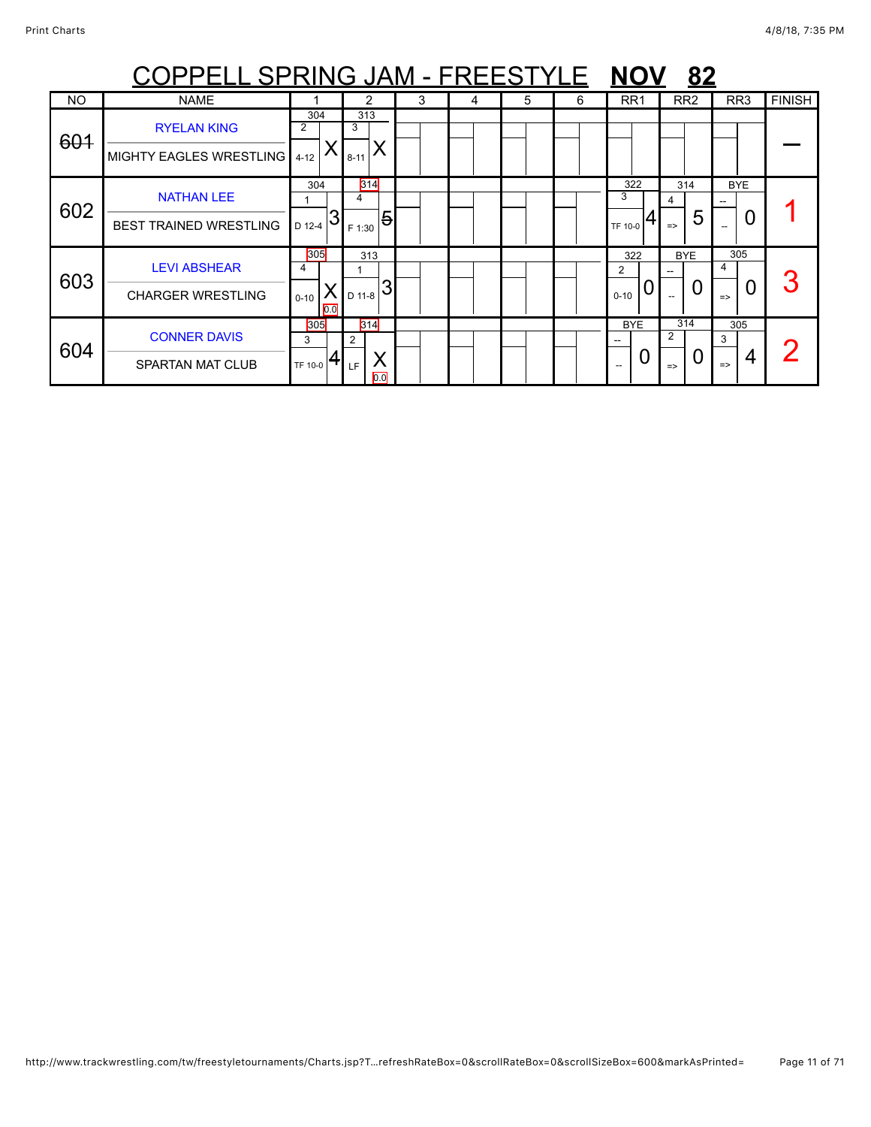|           | COPPELL SPRING JAM - FREESTYLE                       |                             |                            |   |   |   |   | <b>NOV</b>                 | 82                             |                                |               |
|-----------|------------------------------------------------------|-----------------------------|----------------------------|---|---|---|---|----------------------------|--------------------------------|--------------------------------|---------------|
| <b>NO</b> | <b>NAME</b>                                          |                             | 2                          | 3 | 4 | 5 | 6 | RR <sub>1</sub>            | RR <sub>2</sub>                | RR <sub>3</sub>                | <b>FINISH</b> |
| 601       | <b>RYELAN KING</b><br>MIGHTY EAGLES WRESTLING   4-12 | 304<br>$\overline{2}$       | 313<br>3<br>Χ<br>$8 - 11$  |   |   |   |   |                            |                                |                                |               |
| 602       | <b>NATHAN LEE</b><br><b>BEST TRAINED WRESTLING</b>   | 304<br>D 12-4               | 314<br>4<br>5<br>F 1:30    |   |   |   |   | 322<br>3<br><b>TF 10-0</b> | 314<br>4<br>5<br>$\Rightarrow$ | <b>BYE</b><br>0<br>$-$         |               |
| 603       | <b>LEVI ABSHEAR</b><br><b>CHARGER WRESTLING</b>      | 305<br>4<br>$0 - 10$<br>0.0 | 313<br>D 11-8              |   |   |   |   | 322<br>2<br>0<br>$0 - 10$  | <b>BYE</b><br>U                | 305<br>4<br>0<br>$\Rightarrow$ |               |
| 604       | <b>CONNER DAVIS</b><br><b>SPARTAN MAT CLUB</b>       | 305<br>3<br>TF 10-0         | 314<br>2<br>X<br>LF<br>0.0 |   |   |   |   | <b>BYE</b><br>O            | 314<br>2<br>$\Rightarrow$      | 305<br>3<br>4<br>$\Rightarrow$ |               |

http://www.trackwrestling.com/tw/freestyletournaments/Charts.jsp?T…refreshRateBox=0&scrollRateBox=0&scrollSizeBox=600&markAsPrinted= Page 11 of 71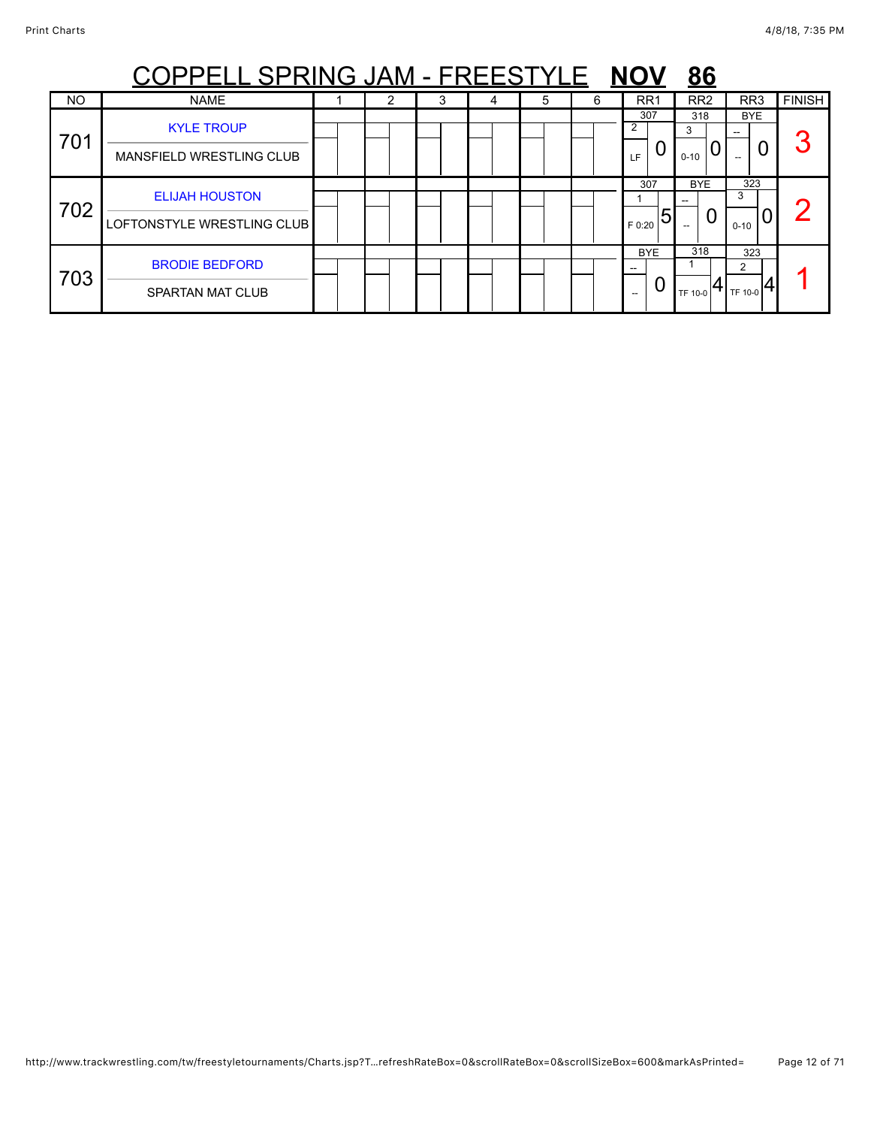|           | <u> PPELL SPRING JAM - FREESTYLE</u>                |  |   |   |   | <b>NOV</b>                  | <u>86</u>            |                      |               |
|-----------|-----------------------------------------------------|--|---|---|---|-----------------------------|----------------------|----------------------|---------------|
| <b>NO</b> | <b>NAME</b>                                         |  | 4 | 5 | 6 | RR <sub>1</sub>             | RR <sub>2</sub>      | RR <sub>3</sub>      | <b>FINISH</b> |
| 701       | <b>KYLE TROUP</b><br>MANSFIELD WRESTLING CLUB       |  |   |   |   | 307<br>$\overline{2}$<br>LF | 318<br>3<br>$0 - 10$ | <b>BYE</b><br>U      | つ             |
| 702       | <b>ELIJAH HOUSTON</b><br>LOFTONSTYLE WRESTLING CLUB |  |   |   |   | 307<br>5<br>F 0:20          | <b>BYE</b><br>O      | 323<br>3<br>$0 - 10$ |               |
| 703       | <b>BRODIE BEDFORD</b><br>SPARTAN MAT CLUB           |  |   |   |   | <b>BYE</b><br>0<br>$- -$    | 318<br>TF 10-0       | 323<br>2<br>TF 10-0  |               |

http://www.trackwrestling.com/tw/freestyletournaments/Charts.jsp?T…refreshRateBox=0&scrollRateBox=0&scrollSizeBox=600&markAsPrinted= Page 12 of 71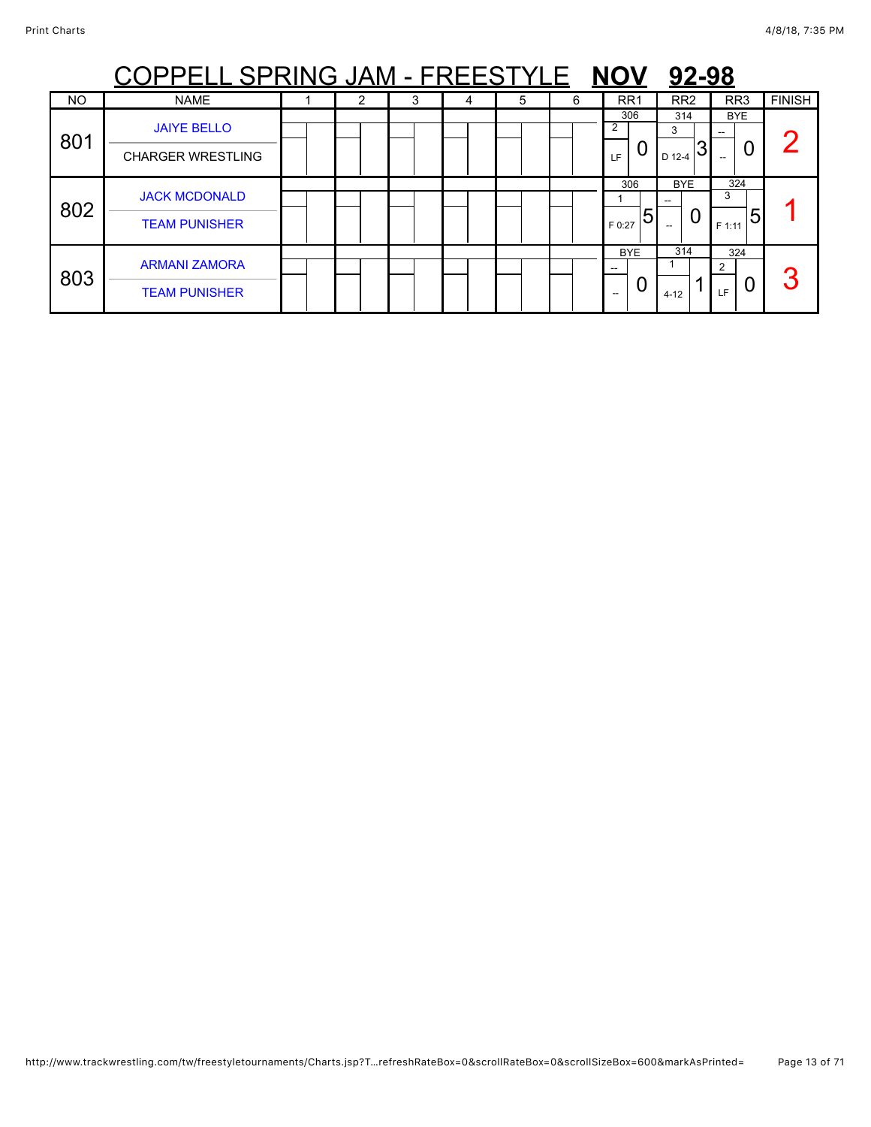|                | PPELL SPRING JAM - FREESTYLE NOV               |   |   |   |   |   |                                  | 92-98                                       |                                  |               |
|----------------|------------------------------------------------|---|---|---|---|---|----------------------------------|---------------------------------------------|----------------------------------|---------------|
| N <sub>O</sub> | <b>NAME</b>                                    | 2 | 3 | 4 | 5 | 6 | RR <sub>1</sub>                  | RR <sub>2</sub>                             | RR <sub>3</sub>                  | <b>FINISH</b> |
| 801            | <b>JAIYE BELLO</b><br><b>CHARGER WRESTLING</b> |   |   |   |   |   | 306<br>$\mathcal{P}$<br>U<br>LF. | 314<br>3<br>D 12-4                          | <b>BYE</b><br>U                  |               |
| 802            | <b>JACK MCDONALD</b><br><b>TEAM PUNISHER</b>   |   |   |   |   |   | 306<br>5<br>F 0:27               | <b>BYE</b><br>0<br>$\hspace{0.05cm} \ldots$ | 324<br>3<br>15<br>F 1:11         |               |
| 803            | <b>ARMANI ZAMORA</b><br><b>TEAM PUNISHER</b>   |   |   |   |   |   | <b>BYE</b><br>--<br>U<br>$- -$   | 314<br>$4 - 12$                             | 324<br>$\mathcal{P}$<br>Ő<br>LE. | 3             |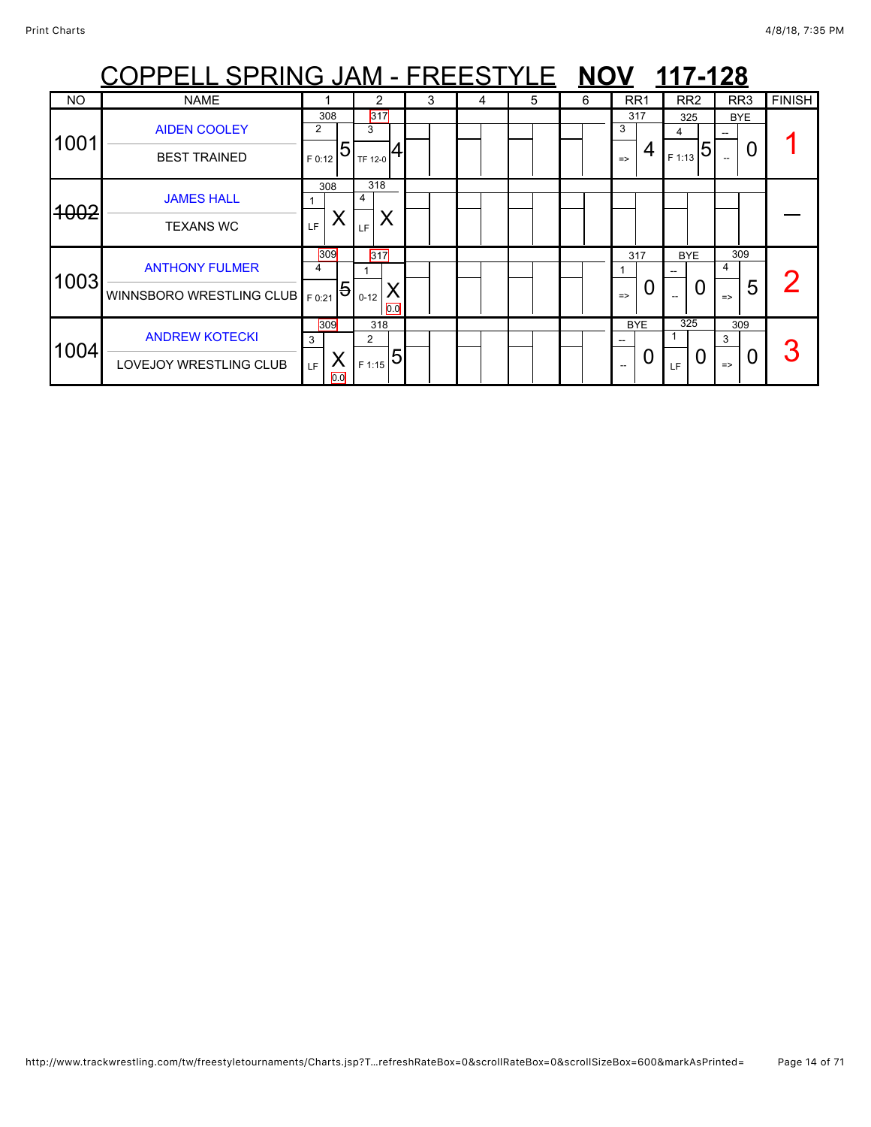|           | <u> OPPELL SPRING JAM - FREESTYLE NOV 117-128</u> |                                      |                          |   |   |   |   |                                |                         |                                |               |
|-----------|---------------------------------------------------|--------------------------------------|--------------------------|---|---|---|---|--------------------------------|-------------------------|--------------------------------|---------------|
| <b>NO</b> | <b>NAME</b>                                       |                                      | 2                        | 3 | 4 | 5 | 6 | RR <sub>1</sub>                | RR <sub>2</sub>         | RR <sub>3</sub>                | <b>FINISH</b> |
| 1001      | <b>AIDEN COOLEY</b><br><b>BEST TRAINED</b>        | 308<br>2<br>5<br>F 0:12              | 317<br>3<br>TF 12-0      |   |   |   |   | 317<br>3<br>4<br>$\Rightarrow$ | 325<br>4<br>5<br>F 1:13 | BYE<br>0                       |               |
| 4002      | <b>JAMES HALL</b><br><b>TEXANS WC</b>             | 308<br>Х<br>LF.                      | 318<br>4<br>LF           |   |   |   |   |                                |                         |                                |               |
| 1003      | <b>ANTHONY FULMER</b><br>WINNSBORO WRESTLING CLUB | 309<br>4<br>$\overline{5}$<br>F 0:21 | $317$<br>$0 - 12$<br>0.0 |   |   |   |   | 317<br>O<br>$\Rightarrow$      | <b>BYE</b><br>0         | 309<br>4<br>5<br>$\Rightarrow$ |               |
| 1004      | <b>ANDREW KOTECKI</b><br>LOVEJOY WRESTLING CLUB   | 309<br>3<br>X<br><b>LF</b><br>0.0    | 318<br>2<br>5<br>F 1:15  |   |   |   |   | <b>BYE</b><br>0                | 325<br>U<br>LF          | 309<br>3<br>$\Rightarrow$      |               |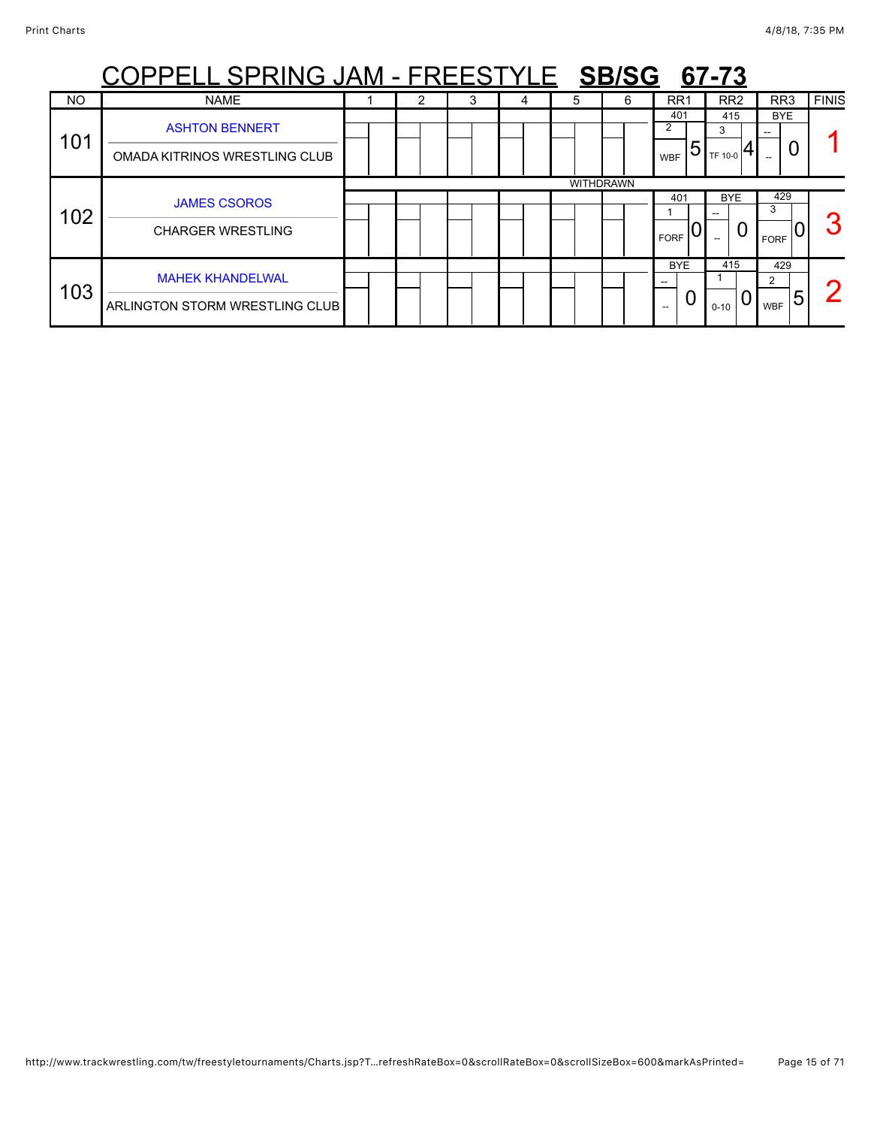| <u>PPELL SPRING JAM - FREESTYLE SB/SG</u><br>67-73 |                                                           |  |   |   |   |   |                  |                             |                     |                             |              |  |  |
|----------------------------------------------------|-----------------------------------------------------------|--|---|---|---|---|------------------|-----------------------------|---------------------|-----------------------------|--------------|--|--|
| <b>NO</b>                                          | <b>NAME</b>                                               |  | 2 | 3 | 4 | 5 | 6                | RR1                         | RR <sub>2</sub>     | RR <sub>3</sub>             | <b>FINIS</b> |  |  |
| 101                                                | <b>ASHTON BENNERT</b><br>OMADA KITRINOS WRESTLING CLUB    |  |   |   |   |   |                  | 401<br>2<br>5<br><b>WBF</b> | 415<br>3<br>TF 10-0 | <b>BYE</b><br>O             |              |  |  |
|                                                    |                                                           |  |   |   |   |   | <b>WITHDRAWN</b> |                             |                     |                             |              |  |  |
|                                                    | <b>JAMES CSOROS</b>                                       |  |   |   |   |   |                  | 401                         | <b>BYE</b>          | 429<br>3                    |              |  |  |
| 102                                                | <b>CHARGER WRESTLING</b>                                  |  |   |   |   |   |                  | <b>FORF</b>                 | 0                   | <b>FORF</b>                 |              |  |  |
| 103                                                | <b>MAHEK KHANDELWAL</b><br>ARLINGTON STORM WRESTLING CLUB |  |   |   |   |   |                  | <b>BYE</b><br>U<br>--       | 415<br>$0 - 10$     | 429<br>2<br>ხ<br><b>WBF</b> |              |  |  |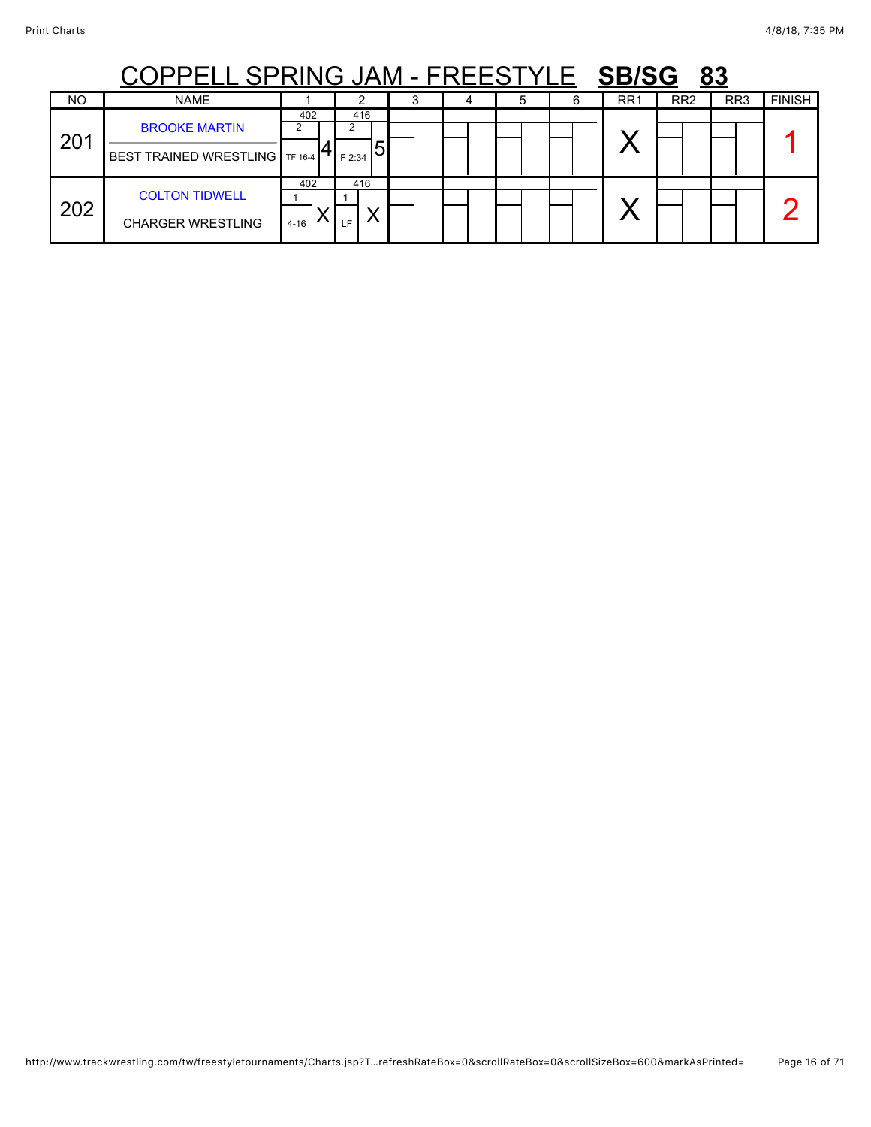|     | PELL SPRING JAM - FREESTYLE SB/SG                      |                 |                    |  |   |     |                 | 83  |               |
|-----|--------------------------------------------------------|-----------------|--------------------|--|---|-----|-----------------|-----|---------------|
| NO. | <b>NAME</b>                                            |                 |                    |  | 6 | RR1 | RR <sub>2</sub> | RR3 | <b>FINISH</b> |
| 201 | <b>BROOKE MARTIN</b><br>BEST TRAINED WRESTLING TF 16-4 | 402             | 416<br>5<br>F 2:34 |  |   |     |                 |     |               |
| 202 | <b>COLTON TIDWELL</b><br><b>CHARGER WRESTLING</b>      | 402<br>$4 - 16$ | 416<br>E           |  |   |     |                 |     |               |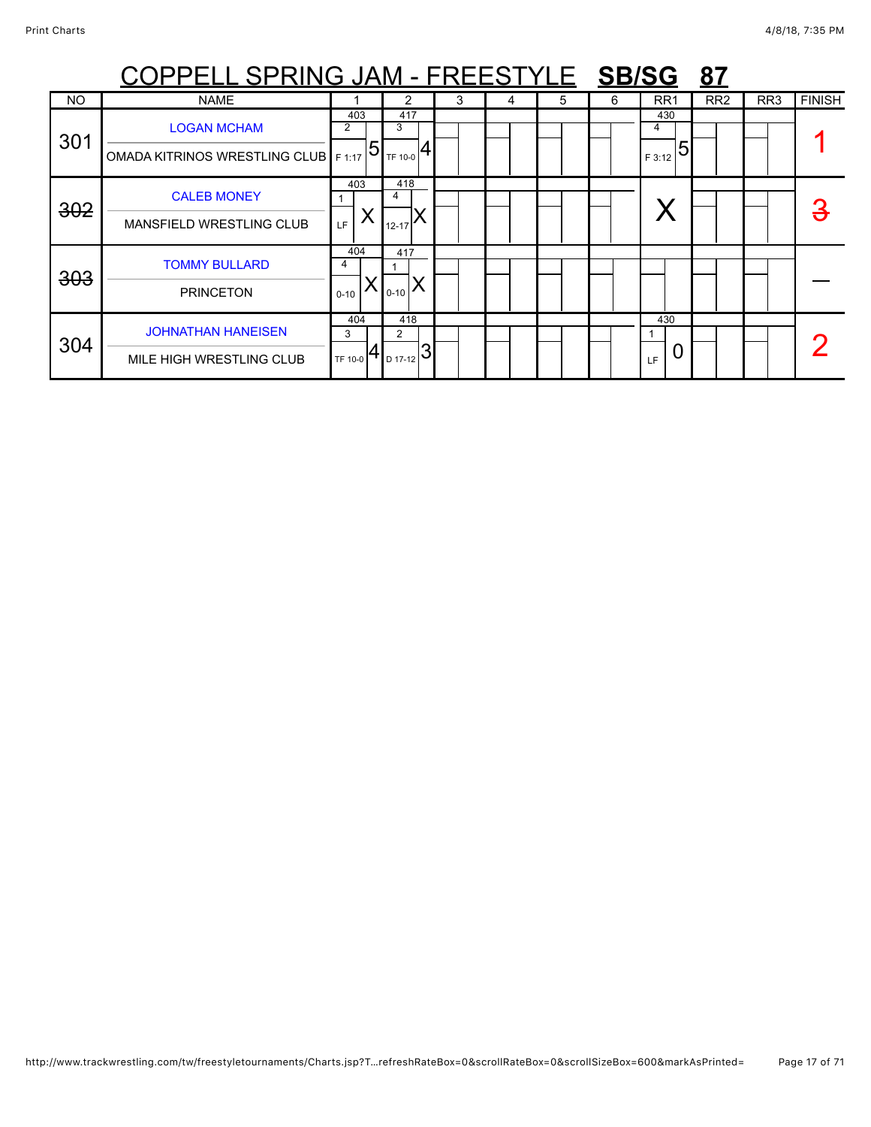|           | COPPELL SPRING JAM - FREESTYLE SB/SG                         |                        |                                                      |   |   |   |   |                 | 87              |                 |               |
|-----------|--------------------------------------------------------------|------------------------|------------------------------------------------------|---|---|---|---|-----------------|-----------------|-----------------|---------------|
| <b>NO</b> | <b>NAME</b>                                                  |                        |                                                      | 3 | 4 | 5 | 6 | RR <sub>1</sub> | RR <sub>2</sub> | RR <sub>3</sub> | <b>FINISH</b> |
| 301       | <b>LOGAN MCHAM</b><br>OMADA KITRINOS WRESTLING CLUB   F 1:17 | 403<br>2<br>$\sqrt{5}$ | 417<br>3<br>TF 10-0                                  |   |   |   |   | 430<br>F 3:12   |                 |                 |               |
| 302       | <b>CALEB MONEY</b><br>MANSFIELD WRESTLING CLUB               | 403<br>X<br>LF         | 418<br>4<br>$12 - 17$                                |   |   |   |   |                 |                 |                 | З             |
| 303       | <b>TOMMY BULLARD</b><br><b>PRINCETON</b>                     | 404<br>4<br>$0 - 10$   | 417<br>$0 - 10$                                      |   |   |   |   |                 |                 |                 |               |
| 304       | <b>JOHNATHAN HANEISEN</b><br>MILE HIGH WRESTLING CLUB        | 404<br>3<br>TF 10-0    | 418<br>$\overline{2}$<br>າ<br><sub>D 17-12</sub>   J |   |   |   |   | 430<br>LF       |                 |                 |               |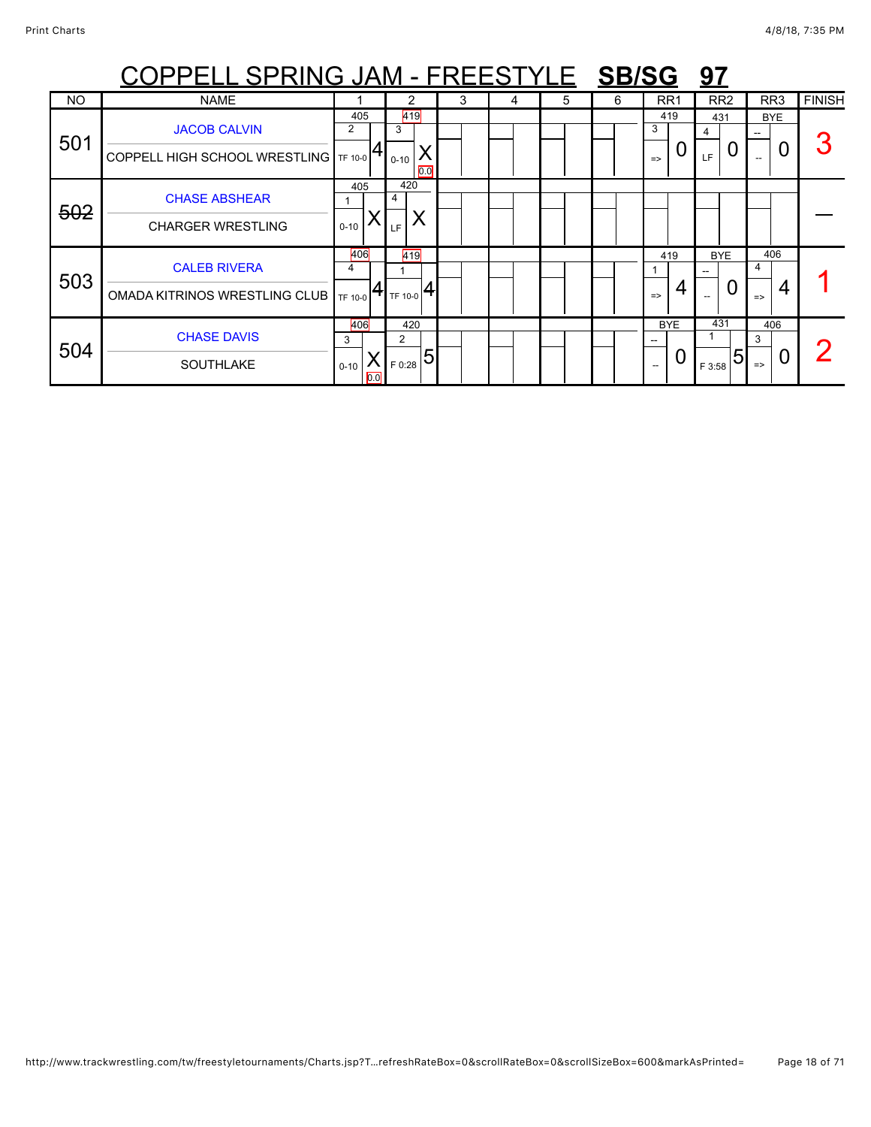|           | <u> COPPELL SPRING JAM - FREESTYLE SBISG:</u>                |                             |                                     |   |   |   |   |                                | <u>97</u>                                   |                                |               |
|-----------|--------------------------------------------------------------|-----------------------------|-------------------------------------|---|---|---|---|--------------------------------|---------------------------------------------|--------------------------------|---------------|
| <b>NO</b> | <b>NAME</b>                                                  |                             | 2                                   | 3 | 4 | 5 | 6 | RR <sub>1</sub>                | RR <sub>2</sub>                             | RR <sub>3</sub>                | <b>FINISH</b> |
| 501       | <b>JACOB CALVIN</b><br>COPPELL HIGH SCHOOL WRESTLING TF 10-0 | 405<br>2                    | 419<br>3<br>$0 - 10$<br>0.0         |   |   |   |   | 419<br>3<br>0<br>$\Rightarrow$ | 431<br>4<br>0<br>LF                         | <b>BYE</b><br>U                |               |
| 502       | <b>CHASE ABSHEAR</b><br><b>CHARGER WRESTLING</b>             | 405<br>$0 - 10$             | 420<br>4<br>LF                      |   |   |   |   |                                |                                             |                                |               |
| 503       | <b>CALEB RIVERA</b><br>OMADA KITRINOS WRESTLING CLUB         | 406<br>4<br>TF 10-0         | 419<br>TF 10-0                      |   |   |   |   | 419<br>4<br>$\Rightarrow$      | <b>BYE</b><br>0<br>$\overline{\phantom{a}}$ | 406<br>4<br>4<br>$\Rightarrow$ |               |
| 504       | <b>CHASE DAVIS</b><br><b>SOUTHLAKE</b>                       | 406<br>3<br>$0 - 10$<br>0.0 | 420<br>$\mathcal{P}$<br>5<br>F 0:28 |   |   |   |   | <b>BYE</b><br>O                | 431<br>5<br>F 3:58                          | 406<br>3<br>$\Rightarrow$      |               |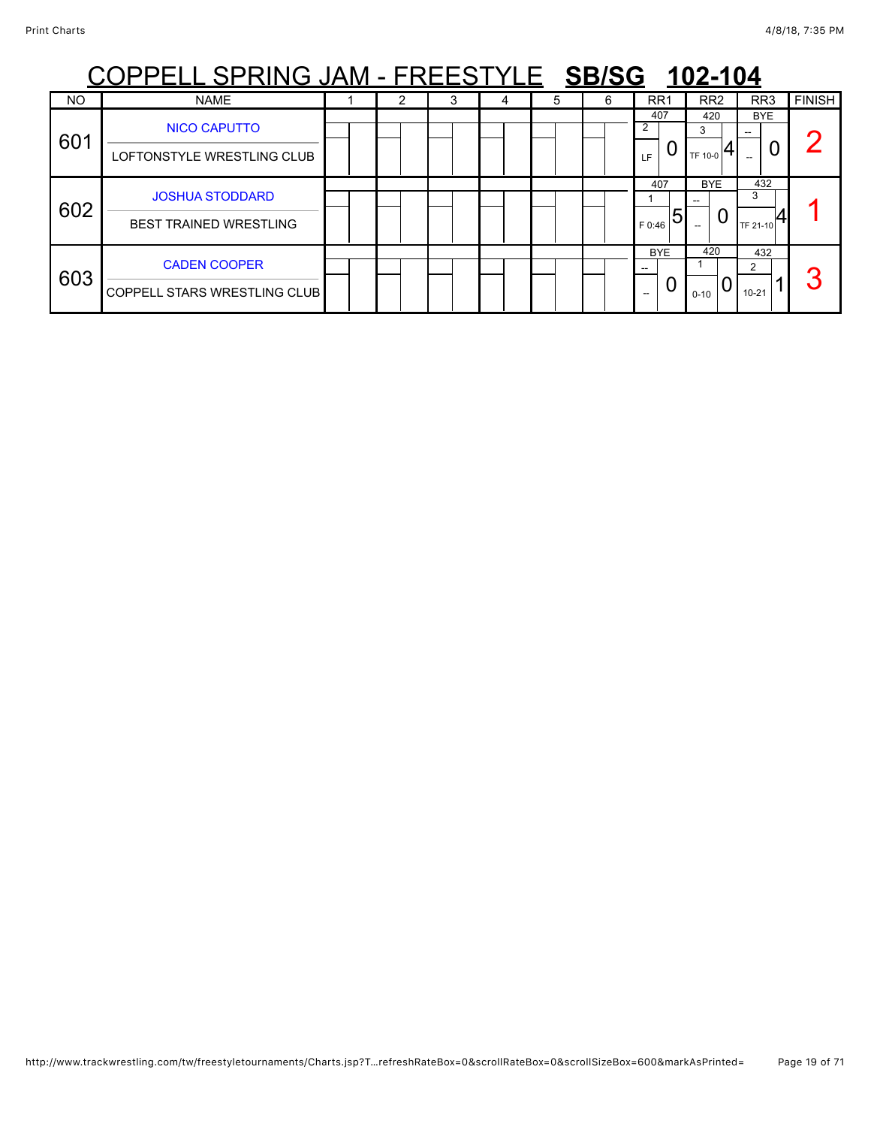|     | PPELL SPRING JAM - FREESTYLE SB/SG 102-104                 |  |   |   |  |   |   |                                                 |                      |                       |               |  |  |  |
|-----|------------------------------------------------------------|--|---|---|--|---|---|-------------------------------------------------|----------------------|-----------------------|---------------|--|--|--|
| NO  | <b>NAME</b>                                                |  | 2 | 3 |  | 5 | 6 | RR <sub>1</sub>                                 | RR <sub>2</sub>      | RR <sub>3</sub>       | <b>FINISH</b> |  |  |  |
| 601 | <b>NICO CAPUTTO</b><br>LOFTONSTYLE WRESTLING CLUB          |  |   |   |  |   |   | 407<br>2<br>LF                                  | 420<br>3<br>TF 10-0  | <b>BYE</b><br>U       |               |  |  |  |
| 602 | <b>JOSHUA STODDARD</b><br><b>BEST TRAINED WRESTLING</b>    |  |   |   |  |   |   | 407<br>5<br>F 0:46                              | <b>BYE</b><br>U      | 432<br>3<br>TF 21-10  |               |  |  |  |
| 603 | <b>CADEN COOPER</b><br><b>COPPELL STARS WRESTLING CLUB</b> |  |   |   |  |   |   | <b>BYE</b><br>$\overline{\phantom{a}}$<br>$- -$ | 420<br>0<br>$0 - 10$ | 432<br>2<br>$10 - 21$ | 2             |  |  |  |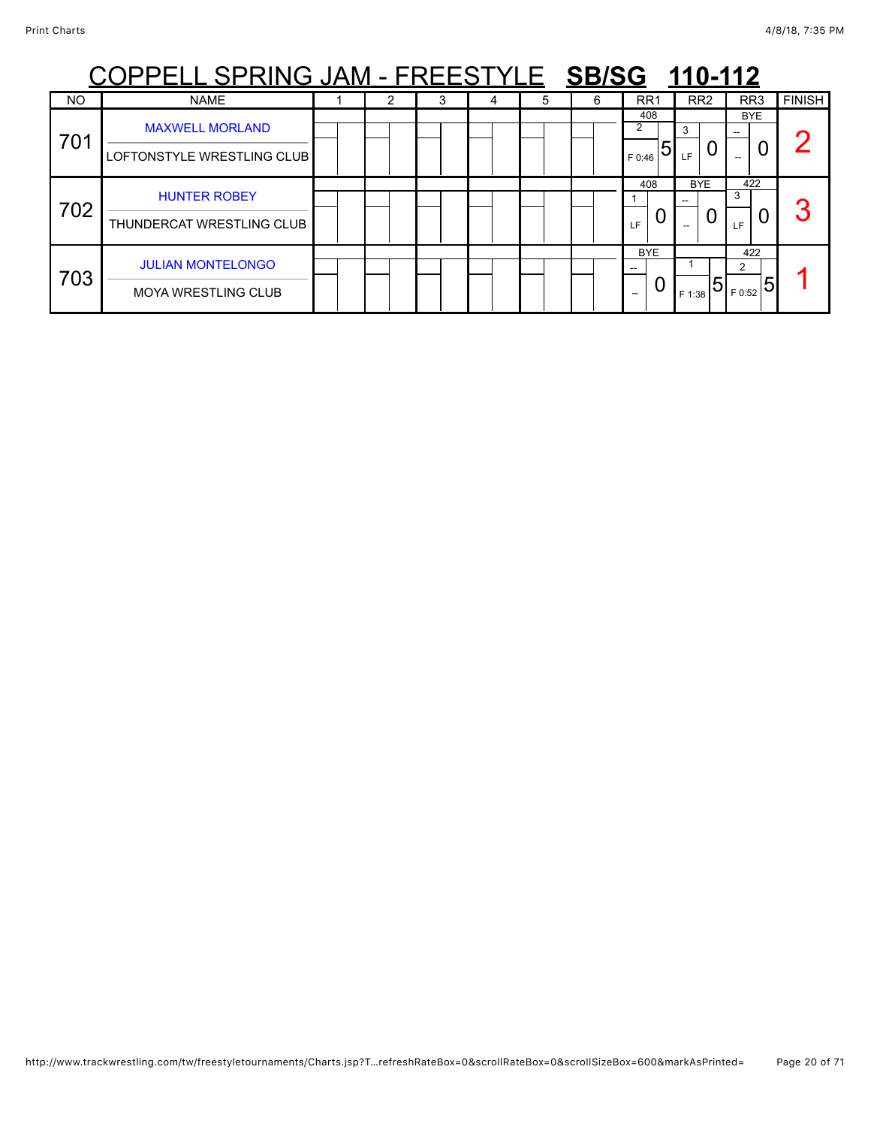|           | <u> OPPELL SPRING JAM - FREESTYLE SB/SG 110-112</u>    |  |   |   |   |   |                                      |                 |                              |               |
|-----------|--------------------------------------------------------|--|---|---|---|---|--------------------------------------|-----------------|------------------------------|---------------|
| <b>NO</b> | <b>NAME</b>                                            |  | 3 | 4 | 5 | 6 | RR <sub>1</sub>                      | RR <sub>2</sub> | RR <sub>3</sub>              | <b>FINISH</b> |
| 701       | <b>MAXWELL MORLAND</b><br>LOFTONSTYLE WRESTLING CLUB   |  |   |   |   |   | 408<br>$\overline{2}$<br>5<br>F 0:46 | 3<br><b>IF</b>  | BYE.<br>0                    |               |
| 702       | <b>HUNTER ROBEY</b><br>THUNDERCAT WRESTLING CLUB       |  |   |   |   |   | 408<br>LF                            | <b>BYE</b><br>U | 422<br>3<br><b>LF</b>        | 2             |
| 703       | <b>JULIAN MONTELONGO</b><br><b>MOYA WRESTLING CLUB</b> |  |   |   |   |   | <b>BYE</b><br>$\Omega$<br>$-$        | F 1:38          | 422<br>$\sim$<br>5<br>F 0:52 |               |

### http://www.trackwrestling.com/tw/freestyletournaments/Charts.jsp?T…refreshRateBox=0&scrollRateBox=0&scrollSizeBox=600&markAsPrinted= Page 20 of 71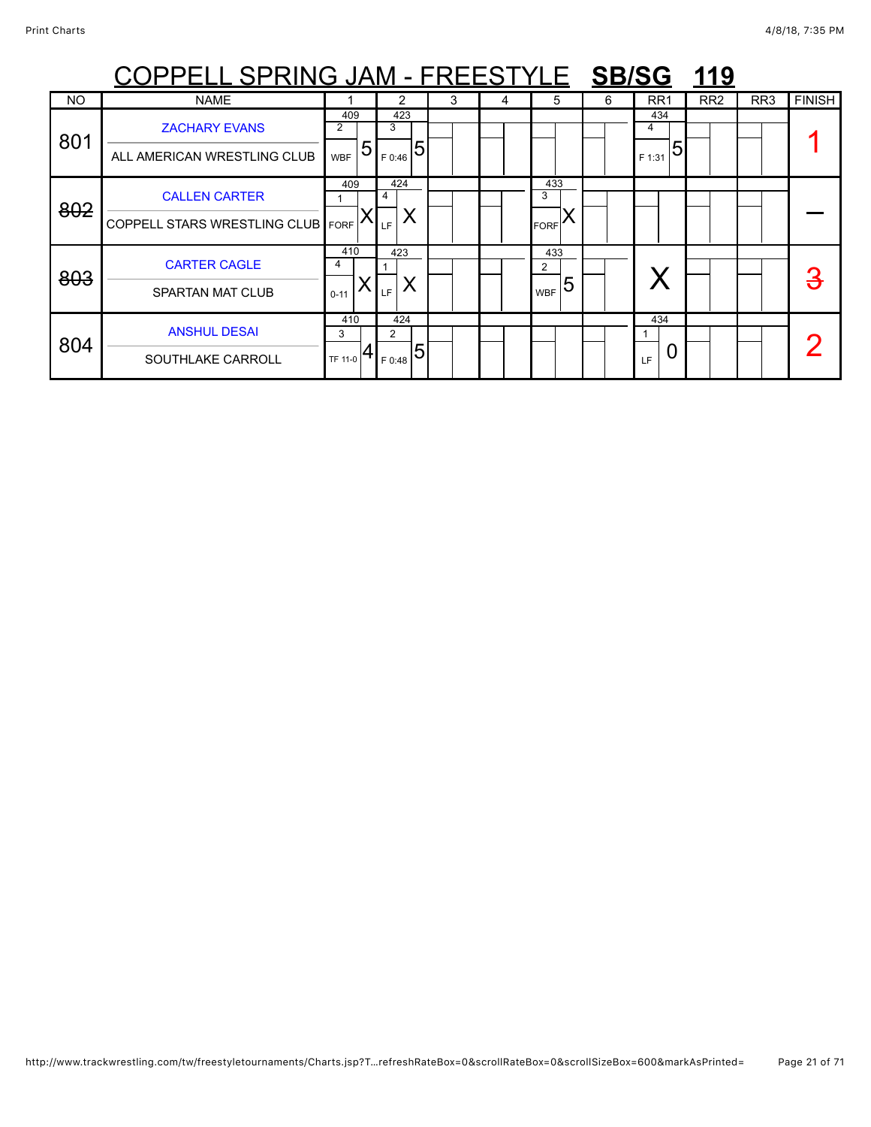|           | OPPELL SPRING JAM - FREESTYLE SB/SG 119  |                 |             |   |   |                       |   |                 |                 |     |               |
|-----------|------------------------------------------|-----------------|-------------|---|---|-----------------------|---|-----------------|-----------------|-----|---------------|
| <b>NO</b> | <b>NAME</b>                              |                 | 2           | 3 | 4 | 5                     | 6 | RR <sub>1</sub> | RR <sub>2</sub> | RR3 | <b>FINISH</b> |
| 801       | <b>ZACHARY EVANS</b>                     | 409<br>2        | 423<br>3    |   |   |                       |   | 434<br>4        |                 |     |               |
|           | ALL AMERICAN WRESTLING CLUB              | 5<br><b>WBF</b> | 5<br>F 0:46 |   |   |                       |   | 5<br>F 1:31     |                 |     |               |
| 802       | <b>CALLEN CARTER</b>                     | 409             | 424<br>4    |   |   | 433<br>3              |   |                 |                 |     |               |
|           | <b>COPPELL STARS WRESTLING CLUB FORE</b> |                 | Х<br>LF     |   |   | <b>FORF</b>           |   |                 |                 |     |               |
| 803       | <b>CARTER CAGLE</b>                      | 410<br>4        | 423         |   |   | 433<br>$\overline{2}$ |   |                 |                 |     | З             |
|           | <b>SPARTAN MAT CLUB</b>                  | $0 - 11$        | Χ<br>LF.    |   |   | 5<br><b>WBF</b>       |   |                 |                 |     |               |
|           | <b>ANSHUL DESAI</b>                      | 410<br>3        | 424<br>2    |   |   |                       |   | 434             |                 |     |               |
| 804       | SOUTHLAKE CARROLL                        | TF 11-0         | F 0:48      |   |   |                       |   | U<br>IF.        |                 |     |               |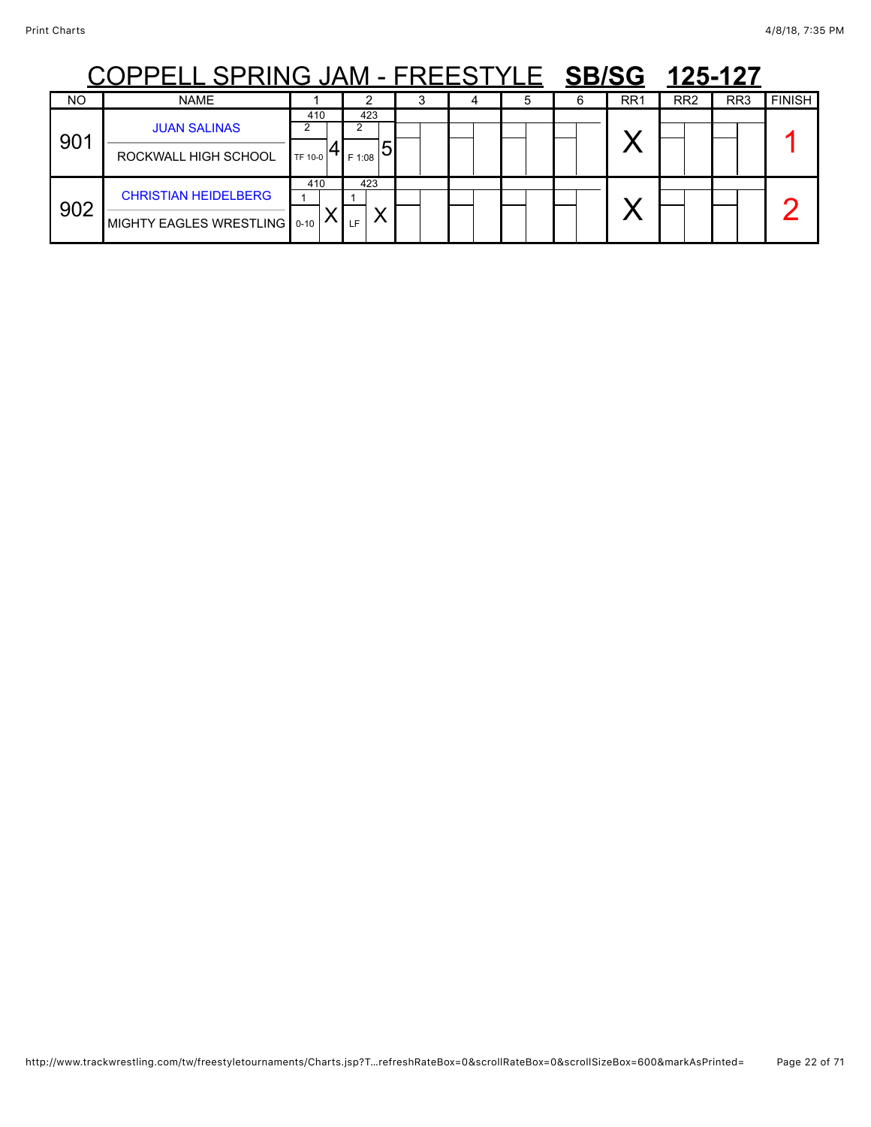### COPPELL SPRING JAM - FREESTYLE **SB/SG 125-127**

|           | ---<br>--- - -<br>. <i>.</i>                                |                |                             |  |  |                 |                 | .               |               |
|-----------|-------------------------------------------------------------|----------------|-----------------------------|--|--|-----------------|-----------------|-----------------|---------------|
| <b>NO</b> | <b>NAME</b>                                                 |                |                             |  |  | RR <sub>1</sub> | RR <sub>2</sub> | RR <sub>3</sub> | <b>FINISH</b> |
| 901       | <b>JUAN SALINAS</b><br>ROCKWALL HIGH SCHOOL                 | 410<br>TF 10-0 | 423<br>$_{\rm 1F\,1:08}$ 51 |  |  |                 |                 |                 |               |
| 902       | <b>CHRISTIAN HEIDELBERG</b><br>MIGHTY EAGLES WRESTLING 0-10 | 410            | 423<br>↗<br>LF.             |  |  |                 |                 |                 |               |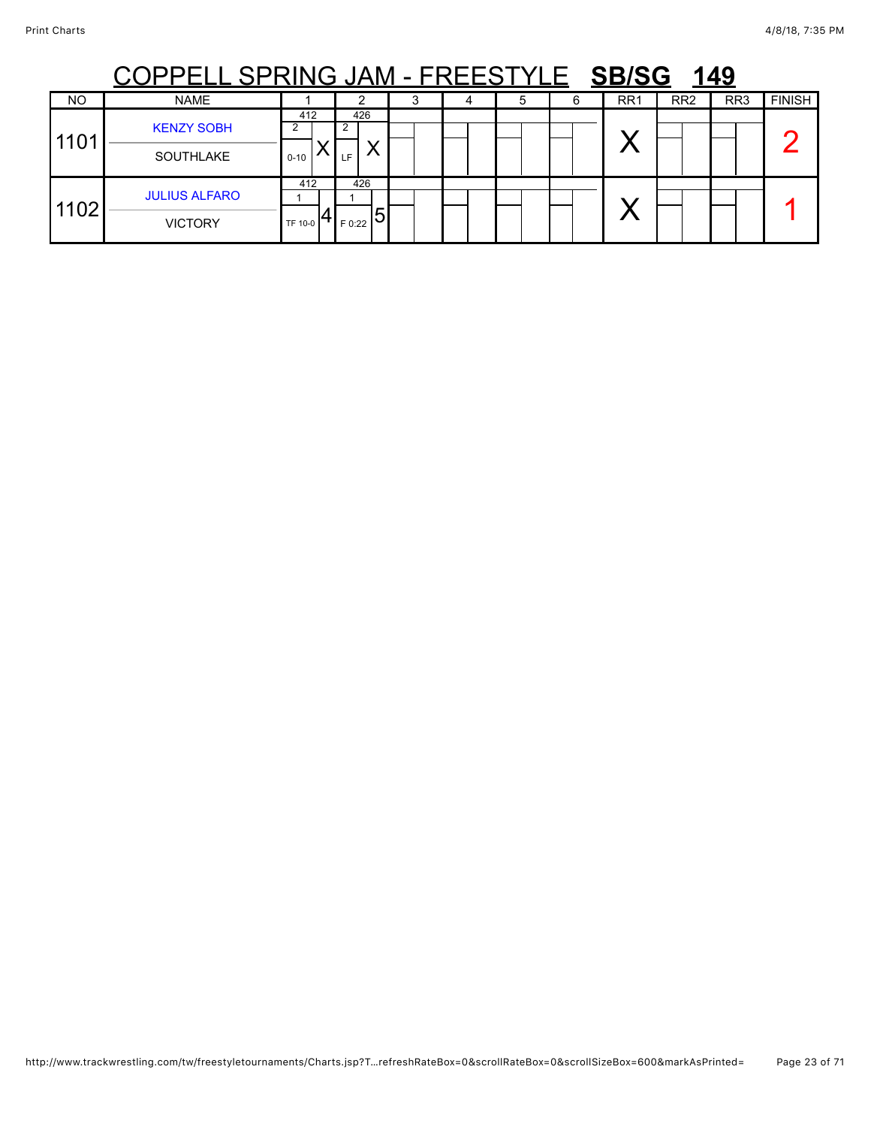## COPPELL SPRING JAM - FREESTYLE **SB/SG 149**

| NO   | <b>NAME</b>                            |                      |                     | ັ | 5 | 6 | RR <sub>1</sub> | RR <sub>2</sub> | RR <sub>3</sub> | <b>FINISH</b> |
|------|----------------------------------------|----------------------|---------------------|---|---|---|-----------------|-----------------|-----------------|---------------|
| 1101 | <b>KENZY SOBH</b><br>SOUTHLAKE         | 412<br>ົ<br>$0 - 10$ | 426<br>ົ<br>LF      |   |   |   | . 4             |                 |                 |               |
| 1102 | <b>JULIUS ALFARO</b><br><b>VICTORY</b> | 412<br>TF 10-0       | 426<br>IJ<br>F 0:22 |   |   |   |                 |                 |                 |               |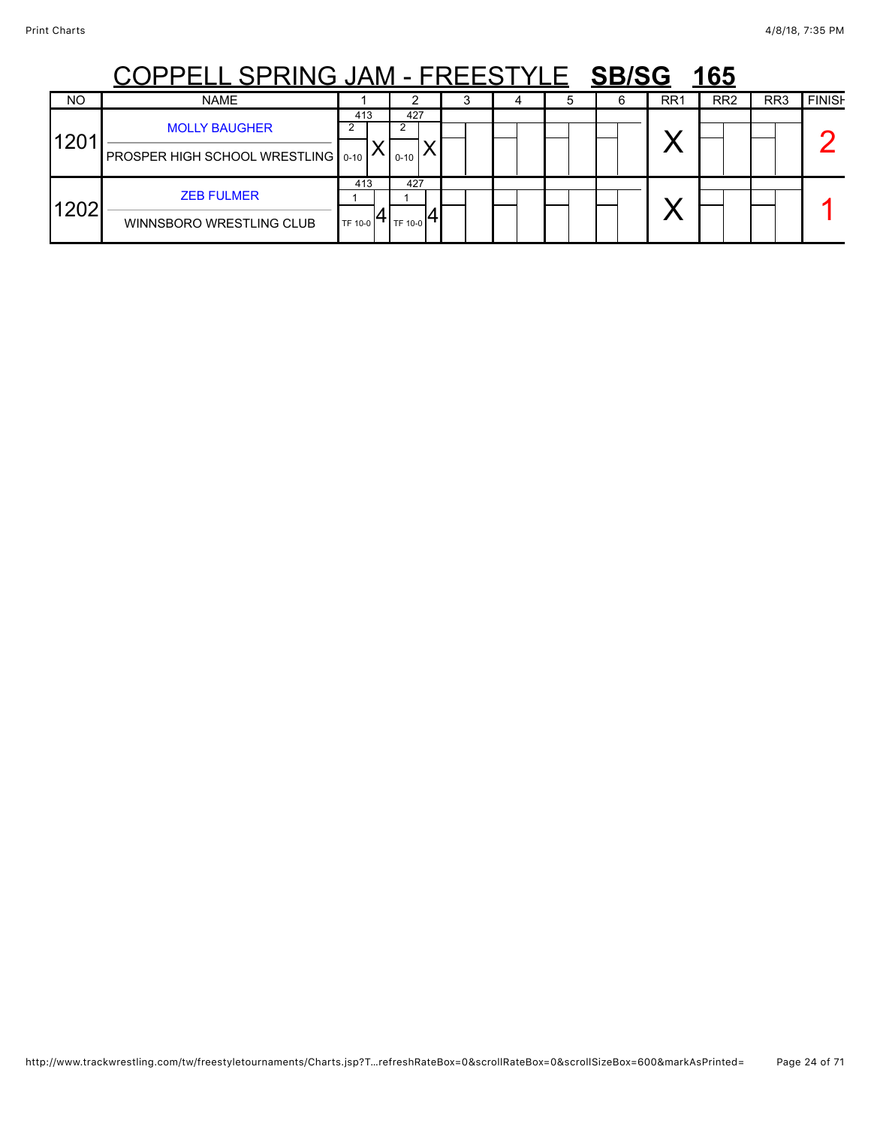## COPPELL SPRING JAM - FREESTYLE **SB/SG 165**

|                  | <b>ㅇㅇ. . ㅡㅡㅡ ㅇ. . \!! \ㅇ ㅇ/ \!\!</b><br>. _ _ _ v _ _ _<br>_____<br>$\blacksquare$ |                |                   |  |  |  |  |                 |                 |                 |               |  |  |  |
|------------------|------------------------------------------------------------------------------------|----------------|-------------------|--|--|--|--|-----------------|-----------------|-----------------|---------------|--|--|--|
| <b>NO</b>        | <b>NAME</b>                                                                        |                |                   |  |  |  |  | RR <sub>1</sub> | RR <sub>2</sub> | RR <sub>3</sub> | <b>FINISH</b> |  |  |  |
| 120 <sup>4</sup> | <b>MOLLY BAUGHER</b><br>PROSPER HIGH SCHOOL WRESTLING   0-10                       | 413            | 427<br>$0 - 10$   |  |  |  |  | v.              |                 |                 |               |  |  |  |
| 1202             | <b>ZEB FULMER</b><br>WINNSBORO WRESTLING CLUB                                      | 413<br>TF 10-0 | 427<br>O 1TH 10-0 |  |  |  |  | . .             |                 |                 |               |  |  |  |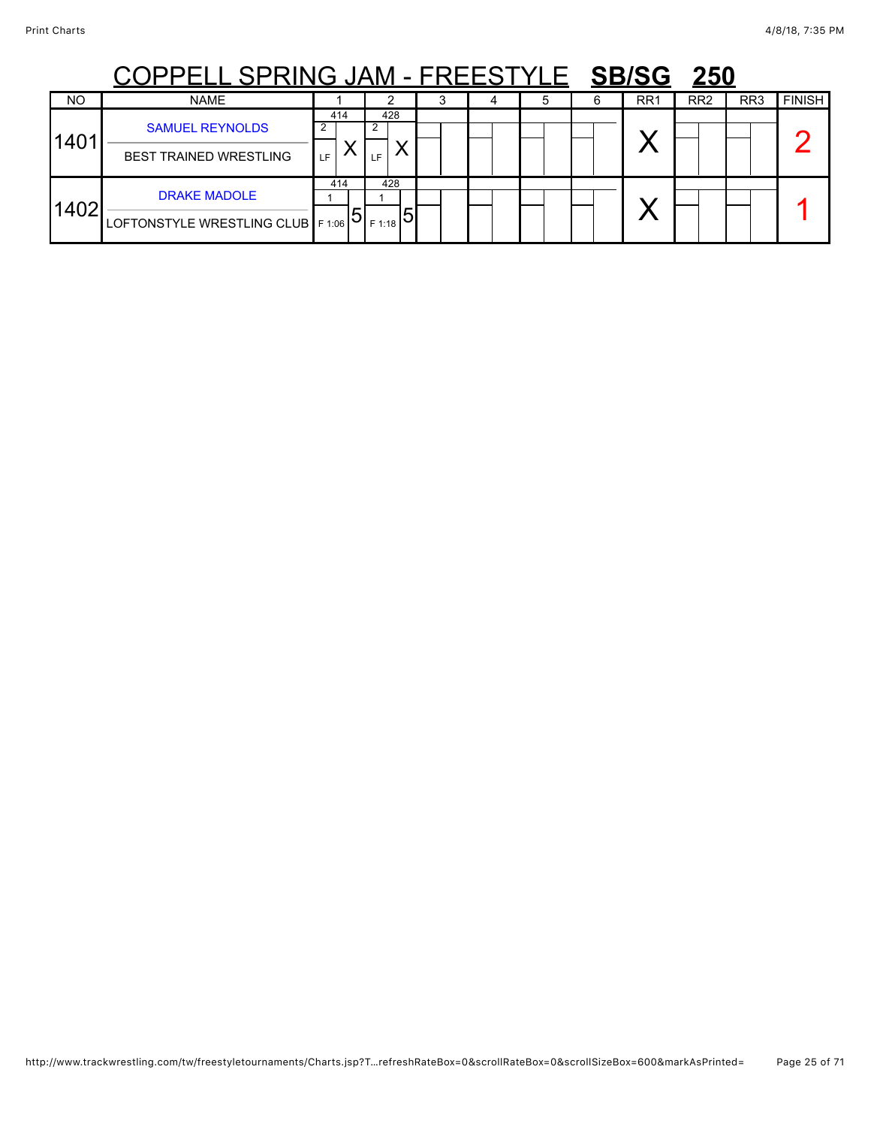## COPPELL SPRING JAM - FREESTYLE **SB/SG 250**

|           | <b>ㅇㅇ. . 느느느 ㅇ. . \!! \ㅇ ㅇ/ \!\!</b>                       |            |                                  |  |  | .               | $\overline{\phantom{a}}$ |                 |               |
|-----------|------------------------------------------------------------|------------|----------------------------------|--|--|-----------------|--------------------------|-----------------|---------------|
| <b>NO</b> | <b>NAME</b>                                                |            |                                  |  |  | RR <sub>1</sub> | RR <sub>2</sub>          | RR <sub>3</sub> | <b>FINISH</b> |
| 1401      | <b>SAMUEL REYNOLDS</b><br><b>BEST TRAINED WRESTLING</b>    | 414<br>LF. | 428<br>LF                        |  |  |                 |                          |                 |               |
| 1402      | <b>DRAKE MADOLE</b><br>LOFTONSTYLE WRESTLING CLUB   F 1:06 | 414        | 428<br>$F$ 1:18 $\triangleright$ |  |  |                 |                          |                 |               |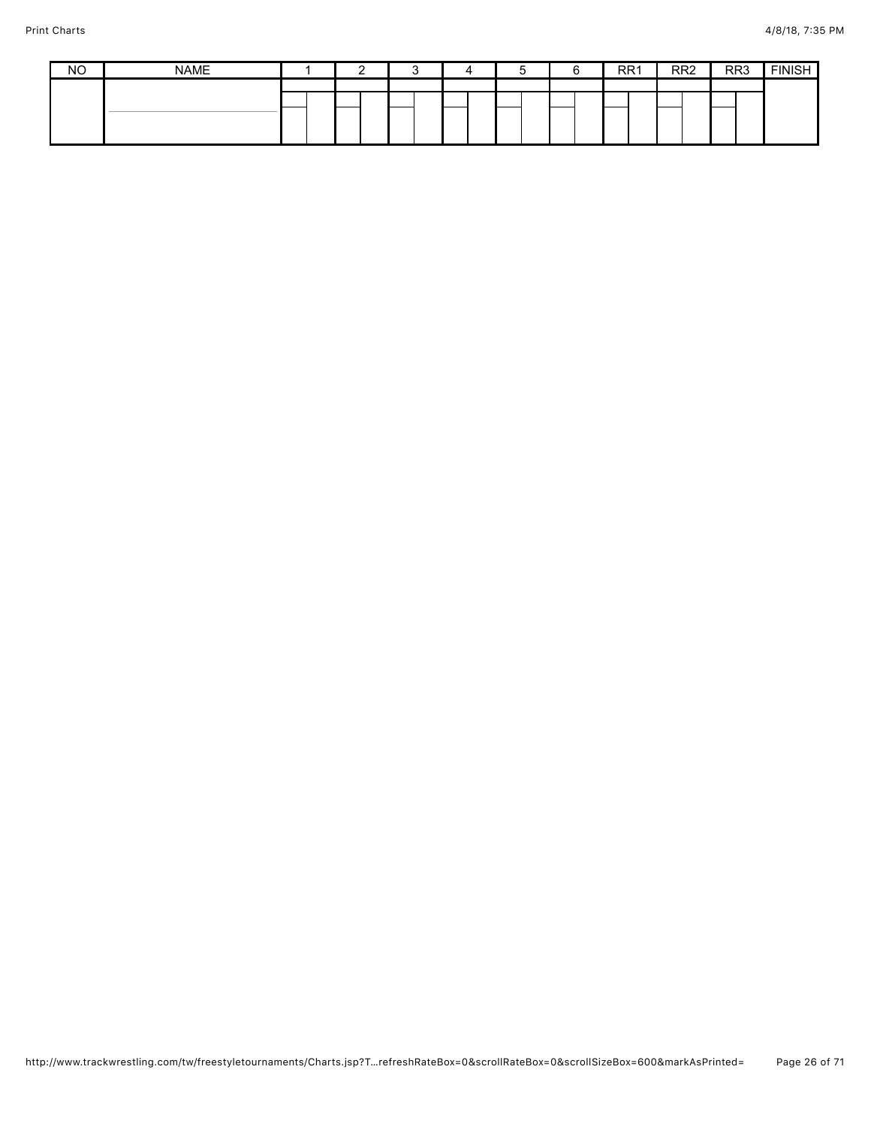| <b>NO</b> | <b>NAME</b> |  |  |  |  |  |  | RR <sub>1</sub> |  | RR <sub>2</sub> | RR <sub>3</sub> | <b>EINICH</b><br>וטויוו |
|-----------|-------------|--|--|--|--|--|--|-----------------|--|-----------------|-----------------|-------------------------|
|           |             |  |  |  |  |  |  |                 |  |                 |                 |                         |
|           |             |  |  |  |  |  |  |                 |  |                 |                 |                         |
|           |             |  |  |  |  |  |  |                 |  |                 |                 |                         |
|           |             |  |  |  |  |  |  |                 |  |                 |                 |                         |
|           |             |  |  |  |  |  |  |                 |  |                 |                 |                         |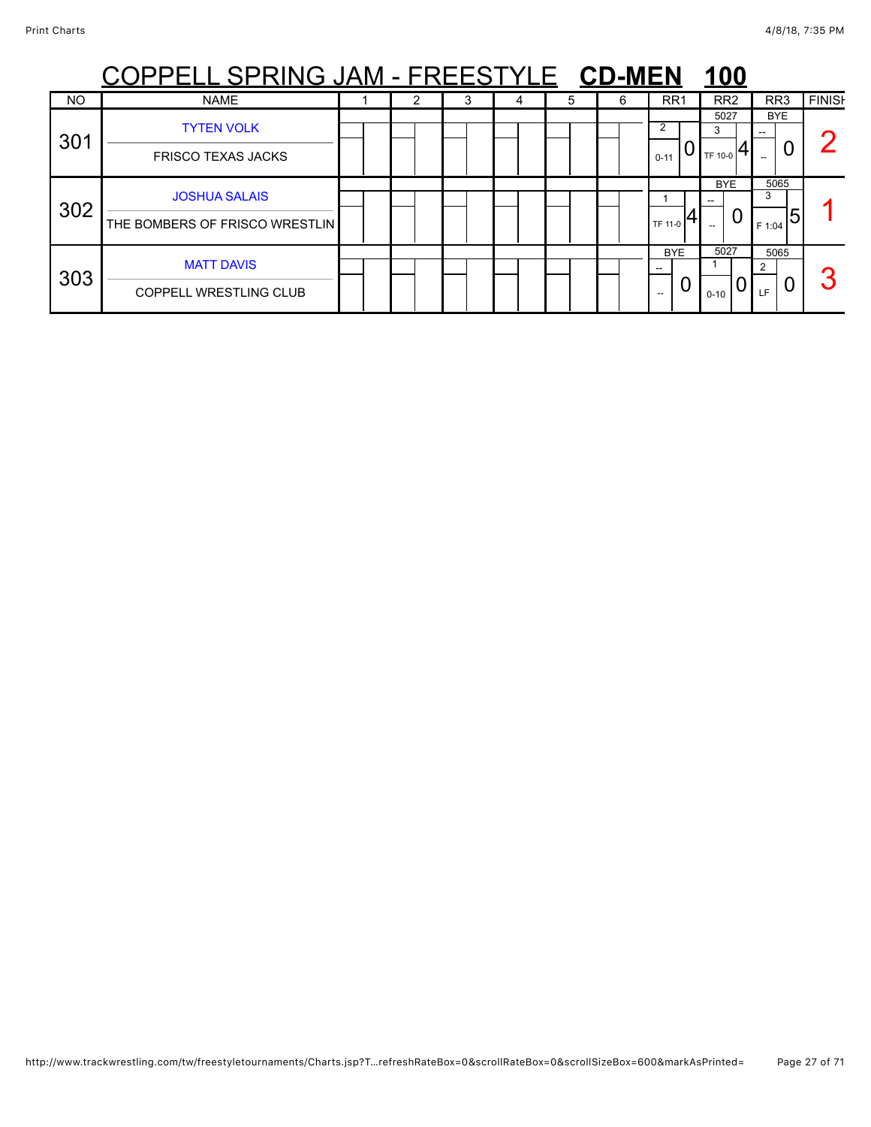|     | PELL SPRING JAM - FREESTYLE CD-MEN                     |  |  |   |   |   |                                      | <u>100</u>           |                          |               |
|-----|--------------------------------------------------------|--|--|---|---|---|--------------------------------------|----------------------|--------------------------|---------------|
| NO  | <b>NAME</b>                                            |  |  | 4 | 5 | 6 | RR1                                  | RR <sub>2</sub>      | RR <sub>3</sub>          | <b>FINISH</b> |
| 301 | <b>TYTEN VOLK</b><br><b>FRISCO TEXAS JACKS</b>         |  |  |   |   |   | 2<br>$0 - 11$                        | 5027<br>3<br>TF 10-0 | <b>BYE</b><br>U          |               |
| 302 | <b>JOSHUA SALAIS</b><br>THE BOMBERS OF FRISCO WRESTLIN |  |  |   |   |   | TF 11-0                              | <b>BYE</b><br>0      | 5065<br>3<br>5<br>F 1:04 |               |
| 303 | <b>MATT DAVIS</b><br><b>COPPELL WRESTLING CLUB</b>     |  |  |   |   |   | <b>BYE</b><br>U<br>$\qquad \qquad -$ | 5027<br>$0 - 10$     | 5065<br>າ<br>U<br>LF     | ◠             |

### http://www.trackwrestling.com/tw/freestyletournaments/Charts.jsp?T…refreshRateBox=0&scrollRateBox=0&scrollSizeBox=600&markAsPrinted= Page 27 of 71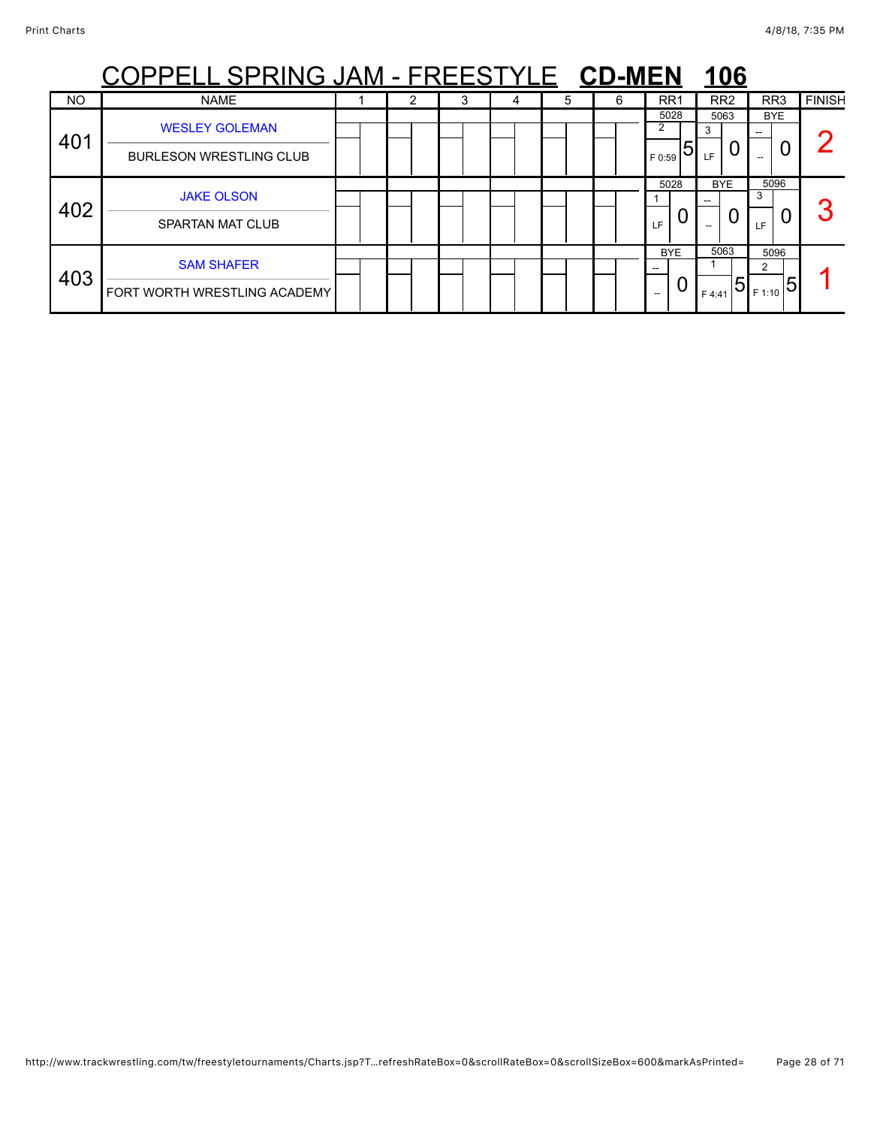|     | PPELL SPRING JAM - FREESTYLE CD-MEN                     |  |   |   |   |                          | <u>106</u>                      |                                                    |               |
|-----|---------------------------------------------------------|--|---|---|---|--------------------------|---------------------------------|----------------------------------------------------|---------------|
| NO  | <b>NAME</b>                                             |  | 3 | b | 6 | RR <sub>1</sub>          | RR <sub>2</sub>                 | RR <sub>3</sub>                                    | <b>FINISH</b> |
| 401 | <b>WESLEY GOLEMAN</b><br><b>BURLESON WRESTLING CLUB</b> |  |   |   |   | 5028<br>2<br>5<br>F 0:59 | 5063<br>3<br>LF                 | <b>BYE</b><br>--                                   |               |
| 402 | <b>JAKE OLSON</b><br><b>SPARTAN MAT CLUB</b>            |  |   |   |   | 5028<br>LF               | <b>BYE</b><br>U                 | 5096<br>3<br>LF.                                   | $\sqrt{2}$    |
| 403 | <b>SAM SHAFER</b><br>FORT WORTH WRESTLING ACADEMY       |  |   |   |   | <b>BYE</b><br>U<br>--    | 5063<br>$\overline{5}$<br>F4:41 | 5096<br>$\mathsf{L}_{\mathsf{IF1:10}} \mathsf{5} $ |               |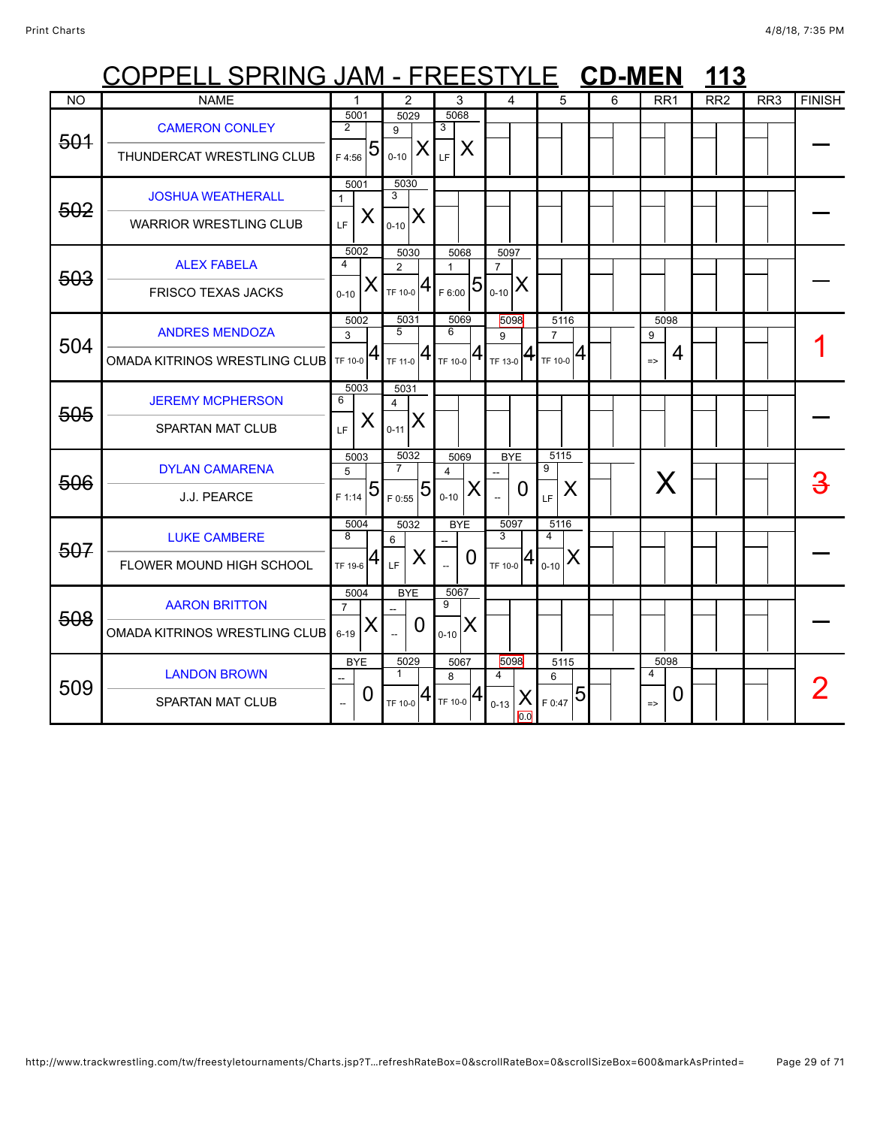|           | <u> COPPELL SPRING JAM - FREESTYLE</u>                    |                                  |                                            |                                      |   |                                                   |                 |                        |                                                                                    |                  |                      | <b>CD-MEN</b> |                                         |   |                 | 113 |                 |               |
|-----------|-----------------------------------------------------------|----------------------------------|--------------------------------------------|--------------------------------------|---|---------------------------------------------------|-----------------|------------------------|------------------------------------------------------------------------------------|------------------|----------------------|---------------|-----------------------------------------|---|-----------------|-----|-----------------|---------------|
| <b>NO</b> | <b>NAME</b>                                               |                                  |                                            | $\overline{2}$                       |   |                                                   | 3               |                        | 4                                                                                  |                  | 5                    | 6             | RR <sub>1</sub>                         |   | RR <sub>2</sub> |     | RR <sub>3</sub> | <b>FINISH</b> |
| 501       | <b>CAMERON CONLEY</b><br>THUNDERCAT WRESTLING CLUB        | 5001<br>$\overline{2}$<br>F 4:56 | $\overline{5}$                             | 5029<br>9<br>$0 - 10$                | X | 5068<br>3<br>LF.                                  | X               |                        |                                                                                    |                  |                      |               |                                         |   |                 |     |                 |               |
| 502       | <b>JOSHUA WEATHERALL</b><br><b>WARRIOR WRESTLING CLUB</b> | $\mathbf{1}$<br>LF.              | 5001<br>X                                  | 5030<br>3<br>$ X _{0-10} X $         |   |                                                   |                 |                        |                                                                                    |                  |                      |               |                                         |   |                 |     |                 |               |
| 503       | <b>ALEX FABELA</b><br><b>FRISCO TEXAS JACKS</b>           | 4<br>$0 - 10$                    | 5002<br>X                                  | 5030<br>2<br>$T_{\text{F 10-0}} 4$   |   | $\mathbf{1}$<br>$\frac{1}{2}$ <sub>F 6:00</sub> 5 | 5068            | 5097<br>$\overline{7}$ | $ X _{0-10} X $                                                                    |                  |                      |               |                                         |   |                 |     |                 |               |
| 504       | <b>ANDRES MENDOZA</b><br>OMADA KITRINOS WRESTLING CLUB    | 3                                | 5002<br>$\mathbf{1}_{TF\ 10\text{-}0}  4 $ | 5031<br>5<br>$T_{\text{TF 11-0}} 4 $ |   | 6                                                 | 5069            | 9                      | 5098<br>$ $ <sub>TF 10-0</sub> 4 $ $ <sub>TF 13-0</sub> 4 $ $ <sub>TF 10-0</sub> 4 | $\overline{7}$   | 5116                 |               | 5098<br>9<br>$\Rightarrow$              | 4 |                 |     |                 |               |
| 505       | <b>JEREMY MCPHERSON</b><br>SPARTAN MAT CLUB               | 6<br>LE.                         | 5003<br>X                                  | 5031<br>4<br>$ S_{0-11} X$           |   |                                                   |                 |                        |                                                                                    |                  |                      |               |                                         |   |                 |     |                 |               |
| 506       | <b>DYLAN CAMARENA</b><br>J.J. PEARCE                      | 5<br>F 1:14                      | 5003<br>$\overline{5}$                     | 5032<br>$\overline{7}$<br>F 0:55     | 5 | $\overline{4}$<br>$0 - 10$                        | 5069<br>Χ       |                        | <b>BYE</b><br>0                                                                    | 5115<br>9<br>LF. | X                    |               |                                         | X |                 |     |                 |               |
| 507       | <b>LUKE CAMBERE</b><br>FLOWER MOUND HIGH SCHOOL           | 5004<br>8<br>TF 19-6             | 4                                          | 5032<br>6<br>LF                      | X |                                                   | <b>BYE</b><br>0 | $\overline{3}$         | 5097<br>TF 10-0 $ 4 _{0-10}$ $ X $                                                 | 5116<br>4        |                      |               |                                         |   |                 |     |                 |               |
| 508       | <b>AARON BRITTON</b><br>OMADA KITRINOS WRESTLING CLUB     | $\overline{7}$<br>$6 - 19$       | 5004<br>X                                  | <b>BYE</b>                           | O | 5067<br>9<br>$0 - 10$                             | X               |                        |                                                                                    |                  |                      |               |                                         |   |                 |     |                 |               |
| 509       | <b>LANDON BROWN</b><br><b>SPARTAN MAT CLUB</b>            |                                  | <b>BYE</b><br>0                            | 5029<br>$\mathbf{1}$                 |   | 8<br>TF 10-0 $4$ TF 10-0 $4$                      | 5067            | 4<br>$0 - 13$          | 5098<br>X<br>0.0                                                                   | 6                | 5115<br>$F_{0:47}$ 5 |               | 5098<br>$\overline{4}$<br>$\Rightarrow$ | 0 |                 |     |                 |               |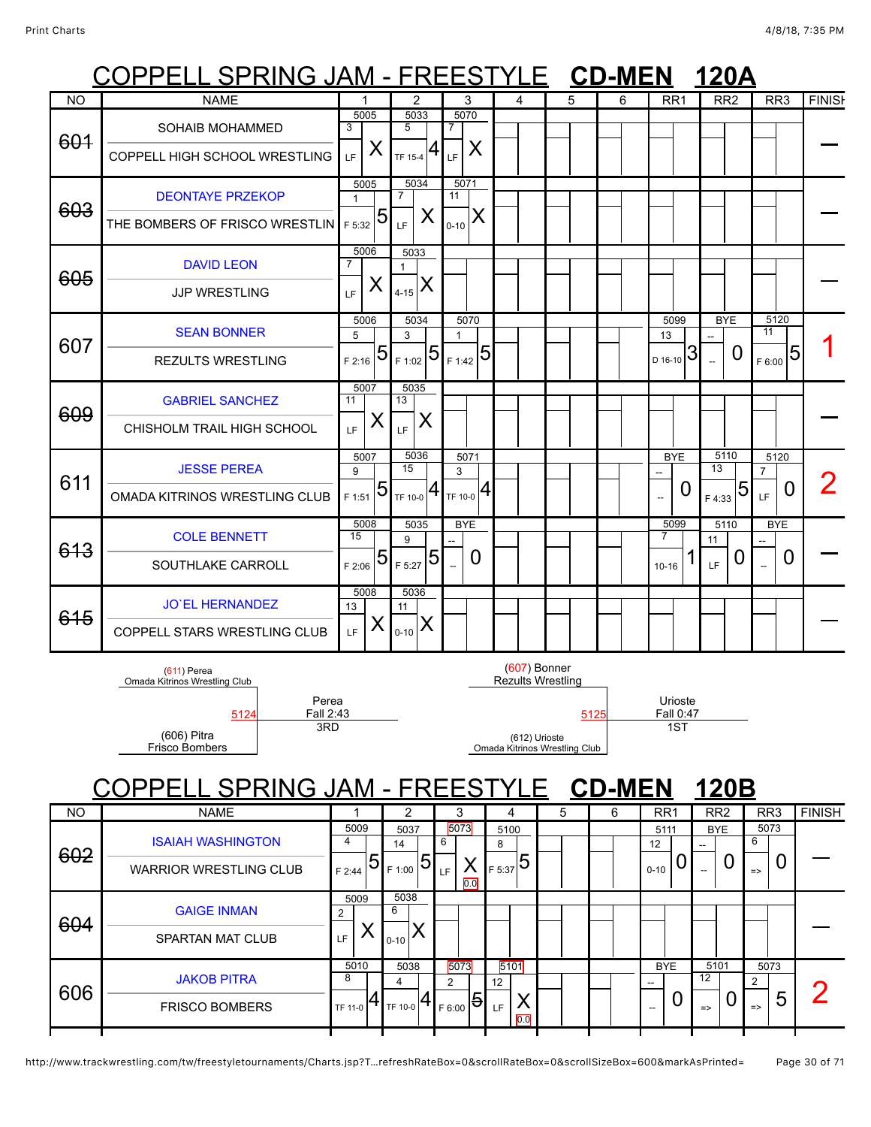### COPPELL SPRING JAM - FREESTYLE **CD-MEN 120A**

|           | ◡◡ィ<br>LLL UI ININU UNINI                                                                                            |                                     | 1 Y F                                         | -∟∪ 1                                    | <u>  L</u>                                                                            |      | VL-IIILII |                                   | ILVM                      |                                                   |               |
|-----------|----------------------------------------------------------------------------------------------------------------------|-------------------------------------|-----------------------------------------------|------------------------------------------|---------------------------------------------------------------------------------------|------|-----------|-----------------------------------|---------------------------|---------------------------------------------------|---------------|
| <b>NO</b> | <b>NAME</b>                                                                                                          | 1                                   | $\overline{2}$                                | 3                                        | 4                                                                                     | 5    | 6         | RR <sub>1</sub>                   | RR <sub>2</sub>           | RR <sub>3</sub>                                   | <b>FINISH</b> |
| 601       | SOHAIB MOHAMMED<br>COPPELL HIGH SCHOOL WRESTLING                                                                     | 5005<br>3<br>X<br>LF                | 5033<br>5<br>4<br>TF 15-4                     | 5070<br>7<br>X<br>LF                     |                                                                                       |      |           |                                   |                           |                                                   |               |
| 603       | <b>DEONTAYE PRZEKOP</b><br>THE BOMBERS OF FRISCO WRESTLIN                                                            | 5005<br>$\mathbf{1}$<br>5<br>F 5:32 | 5034<br>$\overline{7}$<br>Χ<br>LF             | 5071<br>$\overline{11}$<br>Х<br>$0 - 10$ |                                                                                       |      |           |                                   |                           |                                                   |               |
| 605       | <b>DAVID LEON</b><br><b>JJP WRESTLING</b>                                                                            | 5006<br>7<br>X<br>LF                | 5033<br>$\blacktriangleleft$<br>X<br>$4 - 15$ |                                          |                                                                                       |      |           |                                   |                           |                                                   |               |
| 607       | <b>SEAN BONNER</b><br><b>REZULTS WRESTLING</b>                                                                       | 5006<br>5<br>5<br>$F$ 2:16          | 5034<br>3<br>5<br>F 1:02                      | 5070<br>$\mathbf{1}$<br>5<br>F 1:42      |                                                                                       |      |           | 5099<br>13<br>3<br>D 16-10        | <b>BYE</b><br>0           | 5120<br>11<br>5<br>F 6:00                         |               |
| 609       | <b>GABRIEL SANCHEZ</b><br>CHISHOLM TRAIL HIGH SCHOOL                                                                 | 5007<br>11<br>X<br>LF               | 5035<br>13<br>X<br>LF                         |                                          |                                                                                       |      |           |                                   |                           |                                                   |               |
| 611       | <b>JESSE PEREA</b><br>OMADA KITRINOS WRESTLING CLUB                                                                  | 5007<br>9<br>5<br>F 1:51            | 5036<br>15<br>TF 10-0                         | 5071<br>3<br>4<br>TF 10-0                |                                                                                       |      |           | <b>BYE</b><br>O<br>$\overline{a}$ | 5110<br>13<br>5<br>F 4:33 | 5120<br>$\overline{7}$<br>$\boldsymbol{0}$<br>LF. | 2             |
| 613       | <b>COLE BENNETT</b><br>SOUTHLAKE CARROLL                                                                             | 5008<br>15<br>5<br>F 2:06           | 5035<br>9<br>5<br>F 5:27                      | <b>BYE</b><br>0<br>$\overline{a}$        |                                                                                       |      |           | 5099<br>7<br>$10 - 16$            | 5110<br>11<br>0<br>LF     | <b>BYE</b><br>0                                   |               |
| 645       | <b>JO'EL HERNANDEZ</b><br>COPPELL STARS WRESTLING CLUB                                                               | 5008<br>13<br>X<br>LF               | 5036<br>11<br>X<br>$0 - 10$                   |                                          |                                                                                       |      |           |                                   |                           |                                                   |               |
|           | $(611)$ Perea<br>Omada Kitrinos Wrestling Club<br>Perea<br>Fall 2:43<br>5124<br>3RD<br>(606) Pitra<br>Frisco Bombers |                                     |                                               |                                          | $(607)$ Bonner<br>Rezults Wrestling<br>(612) Urioste<br>Omada Kitrinos Wrestling Club | 5125 |           | Urioste<br>Fall 0:47<br>1ST       |                           |                                                   |               |

## COPPELL SPRING JAM - FREESTYLE **CD-MEN 120B**

| <b>NO</b> | <b>NAME</b>                                               |                                        | 2                         | 3                                             | 4                                           | 5 | 6 | RR <sub>1</sub>                      | RR <sub>2</sub>                  | RR <sub>3</sub>                              | <b>FINISH</b> |
|-----------|-----------------------------------------------------------|----------------------------------------|---------------------------|-----------------------------------------------|---------------------------------------------|---|---|--------------------------------------|----------------------------------|----------------------------------------------|---------------|
| 602       | <b>ISAIAH WASHINGTON</b><br><b>WARRIOR WRESTLING CLUB</b> | 5009<br>4<br>$\vert 5 \vert$<br>F 2:44 | 5037<br>14<br>5<br>F 1:00 | 5073<br>6<br>↗<br>LF<br>$\overline{0.0}$      | 5100<br>8<br>F 5:37                         |   |   | 5111<br>12<br>U<br>$0 - 10$          | <b>BYE</b><br>--<br>U<br>--      | 5073<br>6<br>$\Rightarrow$                   |               |
| 604       | <b>GAIGE INMAN</b><br><b>SPARTAN MAT CLUB</b>             | 5009<br>ົ<br>LF                        | 5038<br>6<br>$0 - 10$     |                                               |                                             |   |   |                                      |                                  |                                              |               |
| 606       | <b>JAKOB PITRA</b><br><b>FRISCO BOMBERS</b>               | 5010<br>8<br>4<br>TF 11-0              | 5038<br>TF 10-0           | 5073<br>$\mathcal{P}$<br><u> 5 </u><br>F 6:00 | 5101<br>$12 \overline{ }$<br>↗<br>LF<br>0.0 |   |   | <b>BYE</b><br>U<br>$\hspace{0.05cm}$ | 5101<br>12<br>U<br>$\Rightarrow$ | 5073<br>$\mathfrak{p}$<br>ხ<br>$\Rightarrow$ | ┍             |
|           |                                                           |                                        |                           |                                               |                                             |   |   |                                      |                                  |                                              |               |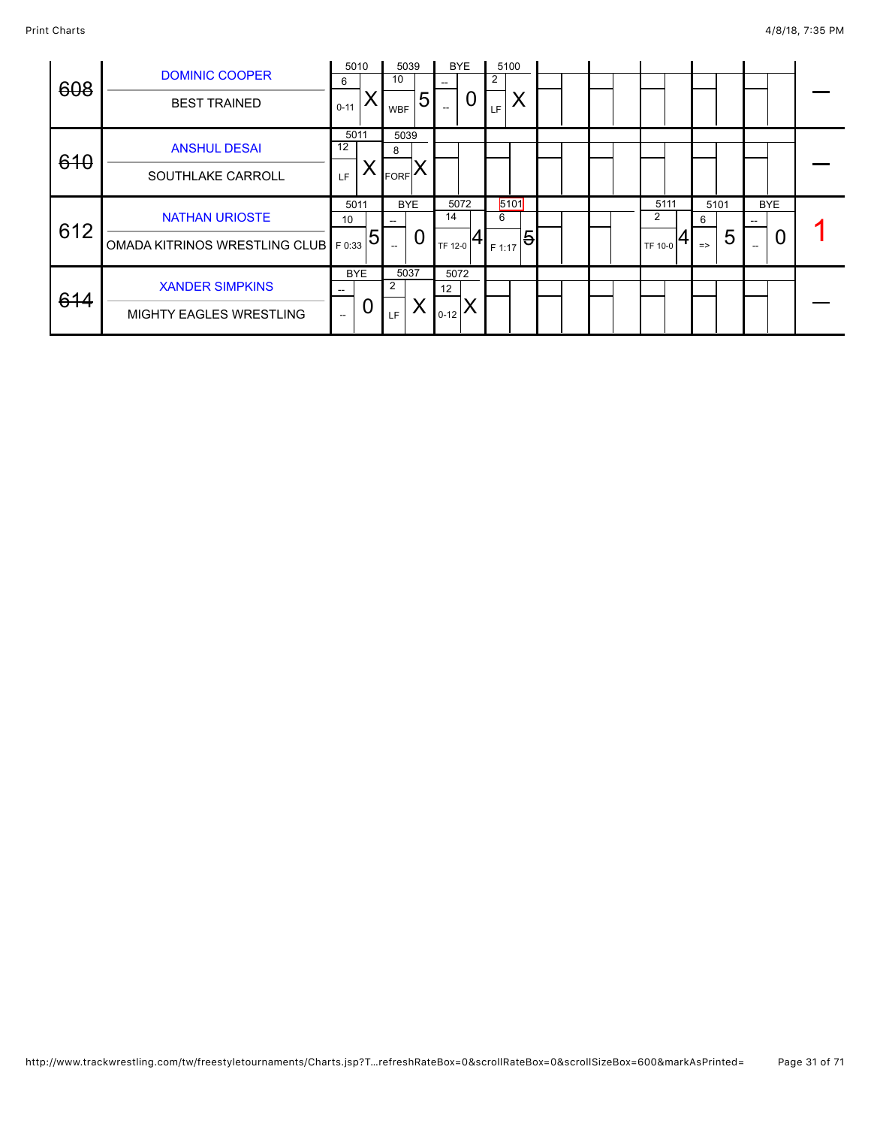|            |                                |                          | 5010           | 5039                                                |   |                          | <b>BYE</b> |        | 5100           |  |  |         |      |               |      |                          |  |
|------------|--------------------------------|--------------------------|----------------|-----------------------------------------------------|---|--------------------------|------------|--------|----------------|--|--|---------|------|---------------|------|--------------------------|--|
|            | <b>DOMINIC COOPER</b>          | 6                        |                | 10                                                  |   | $-$                      |            | 2      |                |  |  |         |      |               |      |                          |  |
| 608        | <b>BEST TRAINED</b>            | $0 - 11$                 |                | <b>WBF</b>                                          | 5 | $\hspace{0.05cm} \ldots$ |            | LF     | Х              |  |  |         |      |               |      |                          |  |
| 610        | <b>ANSHUL DESAI</b>            | 12                       | 5011           | 5039<br>8                                           |   |                          |            |        |                |  |  |         |      |               |      |                          |  |
|            | SOUTHLAKE CARROLL              | LF.                      | ⋏              | <b>FORF</b>                                         |   |                          |            |        |                |  |  |         |      |               |      |                          |  |
|            | <b>NATHAN URIOSTE</b>          | 10                       | 5011           | <b>BYE</b>                                          |   | 14                       | 5072       | 6      | 5101           |  |  | 2       | 5111 | 6             | 5101 | <b>BYE</b><br>$-$        |  |
|            | OMADA KITRINOS WRESTLING CLUB  | F 0:33                   |                | $\hspace{0.05cm} -\hspace{0.05cm} -\hspace{0.05cm}$ | U | TF 12-0                  |            | F 1:17 |                |  |  | TF 10-0 |      | $\Rightarrow$ |      | $\hspace{0.05cm} \ldots$ |  |
|            |                                |                          | <b>BYE</b>     | 5037                                                |   | 5072                     |            |        |                |  |  |         |      |               |      |                          |  |
|            |                                |                          |                |                                                     |   |                          |            |        |                |  |  |         |      |               |      |                          |  |
|            | <b>MIGHTY EAGLES WRESTLING</b> | $\overline{\phantom{a}}$ | U              | <b>LF</b>                                           |   | $10-12$ $\sim$           |            |        |                |  |  |         |      |               |      |                          |  |
| 612<br>614 | <b>XANDER SIMPKINS</b>         |                          | $\overline{5}$ | 2                                                   |   | 12                       |            |        | $\overline{5}$ |  |  |         |      |               | 5    |                          |  |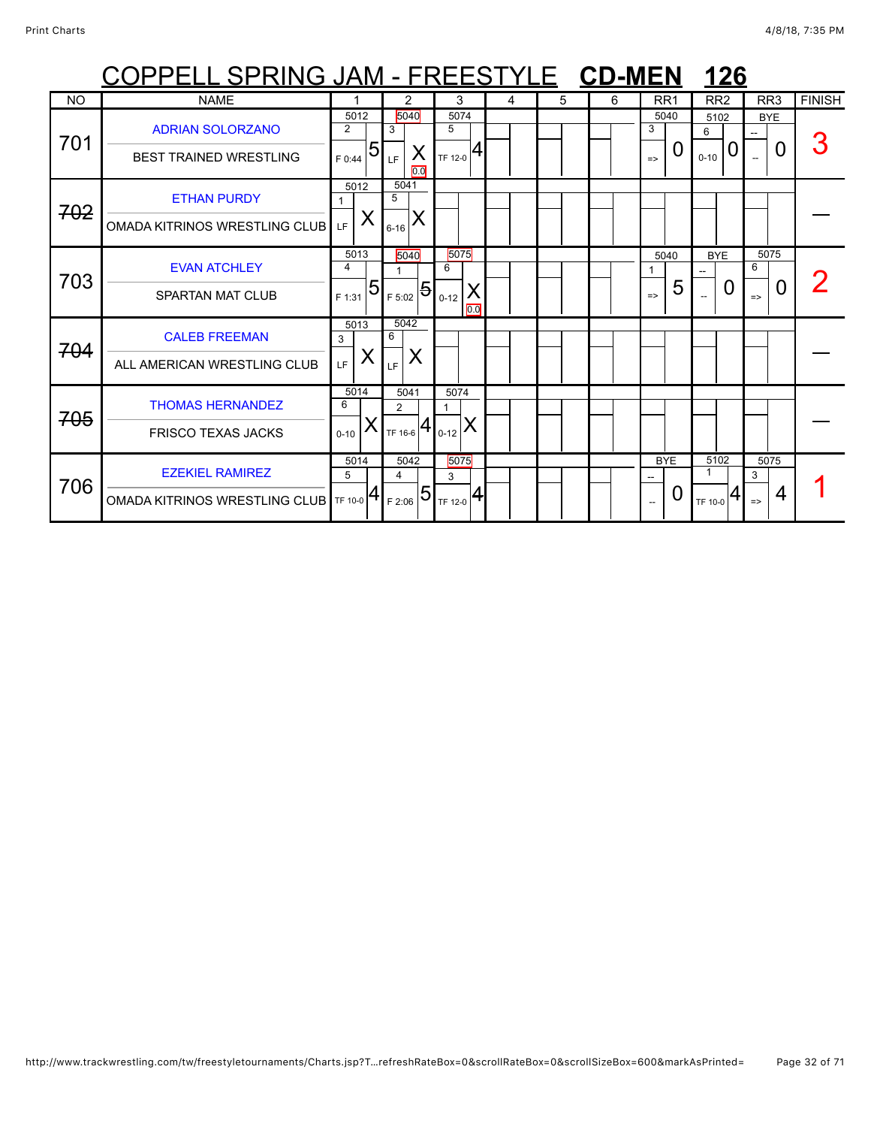|           | COPPELL SPRING JAM - FREESTYLE CD-MEN |                        |                |                                           |                  |                                        |          |   |   |   |               |                 |                          | 126          |                                        |        |               |
|-----------|---------------------------------------|------------------------|----------------|-------------------------------------------|------------------|----------------------------------------|----------|---|---|---|---------------|-----------------|--------------------------|--------------|----------------------------------------|--------|---------------|
| <b>NO</b> | <b>NAME</b>                           |                        |                |                                           | 2                | 3                                      |          | 4 | 5 | 6 |               | RR <sub>1</sub> | RR <sub>2</sub>          |              | RR <sub>3</sub>                        |        | <b>FINISH</b> |
| 701       | <b>ADRIAN SOLORZANO</b>               | 5012<br>$\overline{2}$ |                | 5040<br>3                                 |                  | 5074<br>5                              |          |   |   |   | 3             | 5040            | 5102<br>6                |              | <b>BYE</b><br>$\overline{\phantom{a}}$ |        |               |
|           | <b>BEST TRAINED WRESTLING</b>         | F 0:44                 | $\overline{5}$ | LF.                                       | $\lambda$<br>0.0 | TF 12-0                                |          |   |   |   | $\Rightarrow$ | 0               | $0 - 10$                 | 0            |                                        | 0      |               |
| 702       | <b>ETHAN PURDY</b>                    | 5012                   |                | 5041<br>5                                 |                  |                                        |          |   |   |   |               |                 |                          |              |                                        |        |               |
|           | <b>OMADA KITRINOS WRESTLING CLUB</b>  | LE.                    | X              | $6 - 16$                                  | X                |                                        |          |   |   |   |               |                 |                          |              |                                        |        |               |
| 703       | <b>EVAN ATCHLEY</b>                   | 5013<br>4              |                | 5040                                      |                  | 5075<br>6                              |          |   |   |   |               | 5040            | <b>BYE</b>               |              | 5075<br>6                              |        |               |
|           | <b>SPARTAN MAT CLUB</b>               | F 1:31                 | $\overline{5}$ | $I_{F 5:02}$ 5                            |                  | $0 - 12$                               | X<br>0.0 |   |   |   | $\Rightarrow$ | 5               | $\overline{\phantom{a}}$ | $\mathbf{I}$ | $\Rightarrow$                          | $\cup$ |               |
| 704       | <b>CALEB FREEMAN</b>                  | 5013<br>3              |                | 5042<br>6                                 |                  |                                        |          |   |   |   |               |                 |                          |              |                                        |        |               |
|           | ALL AMERICAN WRESTLING CLUB           | LF                     | X              | LF                                        | X                |                                        |          |   |   |   |               |                 |                          |              |                                        |        |               |
| 705       | <b>THOMAS HERNANDEZ</b>               | 5014<br>6              |                | 5041<br>2                                 |                  | 5074                                   |          |   |   |   |               |                 |                          |              |                                        |        |               |
|           | <b>FRISCO TEXAS JACKS</b>             | $0 - 10$               | Х              |                                           |                  | X<br>TF 16-6 $\left  4 \right _{0.12}$ |          |   |   |   |               |                 |                          |              |                                        |        |               |
| 706       | <b>EZEKIEL RAMIREZ</b>                | 5014<br>5              |                | 5042<br>$\overline{4}$                    |                  | 5075<br>3                              |          |   |   |   |               | <b>BYE</b>      | 5102                     |              | 5075<br>3                              |        |               |
|           | OMADA KITRINOS WRESTLING CLUB TF 10-0 |                        |                | $\frac{1}{2}$ $\frac{1}{2}$ $\frac{1}{2}$ |                  | $\frac{1}{1}$ <sub>TF 12-0</sub>       |          |   |   |   |               | O               | TF 10-0                  |              | $\Rightarrow$                          | 4      |               |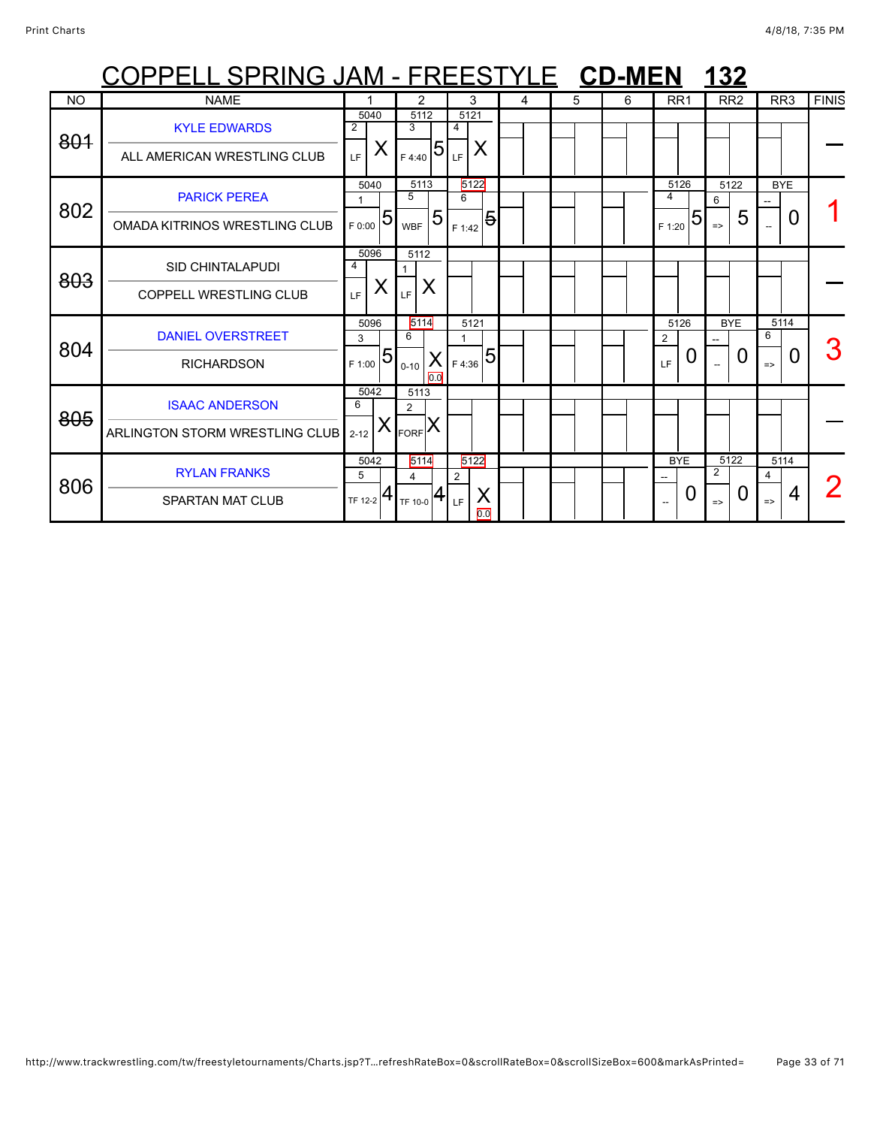|           | OPPELL SPRING JAM - FREESTYLE CD-MEN |                                                                       |                         |                                   |   |   |   |                        | 132                             |                    |              |
|-----------|--------------------------------------|-----------------------------------------------------------------------|-------------------------|-----------------------------------|---|---|---|------------------------|---------------------------------|--------------------|--------------|
| <b>NO</b> | <b>NAME</b>                          |                                                                       | 2                       | 3                                 | 4 | 5 | 6 | RR <sub>1</sub>        | RR <sub>2</sub>                 | RR <sub>3</sub>    | <b>FINIS</b> |
| 801       | <b>KYLE EDWARDS</b>                  | 5040<br>2                                                             | 5112<br>3               | 5121<br>4                         |   |   |   |                        |                                 |                    |              |
|           | ALL AMERICAN WRESTLING CLUB          | X<br>LF.                                                              | 5<br>F 4:40             | X<br><b>LF</b>                    |   |   |   |                        |                                 |                    |              |
| 802       | <b>PARICK PEREA</b>                  | 5040                                                                  | 5113<br>5               | 5122<br>6                         |   |   |   | 5126<br>4              | 5122<br>6                       | <b>BYE</b>         |              |
|           | OMADA KITRINOS WRESTLING CLUB        | $T_{F,0:00}$ 51.                                                      | 5<br><b>WBF</b>         | $\overline{\mathbf{e}}$<br>F 1:42 |   |   |   | 5<br>F 1:20            | 5<br>$\Rightarrow$              | 0                  |              |
| 803       | <b>SID CHINTALAPUDI</b>              | 5096<br>4                                                             | 5112<br>$\mathbf{1}$    |                                   |   |   |   |                        |                                 |                    |              |
|           | <b>COPPELL WRESTLING CLUB</b>        | X<br>LF.                                                              | X<br>LF                 |                                   |   |   |   |                        |                                 |                    |              |
| 804       | <b>DANIEL OVERSTREET</b>             | 5096<br>3                                                             | 5114<br>6               | 5121                              |   |   |   | 5126<br>$\overline{2}$ | <b>BYE</b>                      | 5114<br>6          |              |
|           | <b>RICHARDSON</b>                    | $\frac{1}{2}$ $\frac{1}{2}$ $\frac{1}{2}$ $\frac{1}{2}$ $\frac{1}{2}$ | $0 - 10$<br>0.0         | 5<br>$X _{F4:36}$                 |   |   |   | U<br>LF.               | 0                               | 0<br>$\Rightarrow$ |              |
| 805       | <b>ISAAC ANDERSON</b>                | 5042<br>6                                                             | 5113<br>$\overline{2}$  |                                   |   |   |   |                        |                                 |                    |              |
|           | ARLINGTON STORM WRESTLING CLUB 2-12  | Х                                                                     | FORF X                  |                                   |   |   |   |                        |                                 |                    |              |
| 806       | <b>RYLAN FRANKS</b>                  | 5042<br>5                                                             | 5114<br>$\overline{4}$  | 5122<br>2                         |   |   |   | <b>BYE</b>             | 5122<br>$\overline{2}$          | 5114<br>4          |              |
|           | <b>SPARTAN MAT CLUB</b>              | 4<br>TF 12-2                                                          | TF 10-0 $\mathbf{H}$ LF | Χ<br>0.0                          |   |   |   | 0                      | $\overline{0}$<br>$\Rightarrow$ | 4<br>$\Rightarrow$ |              |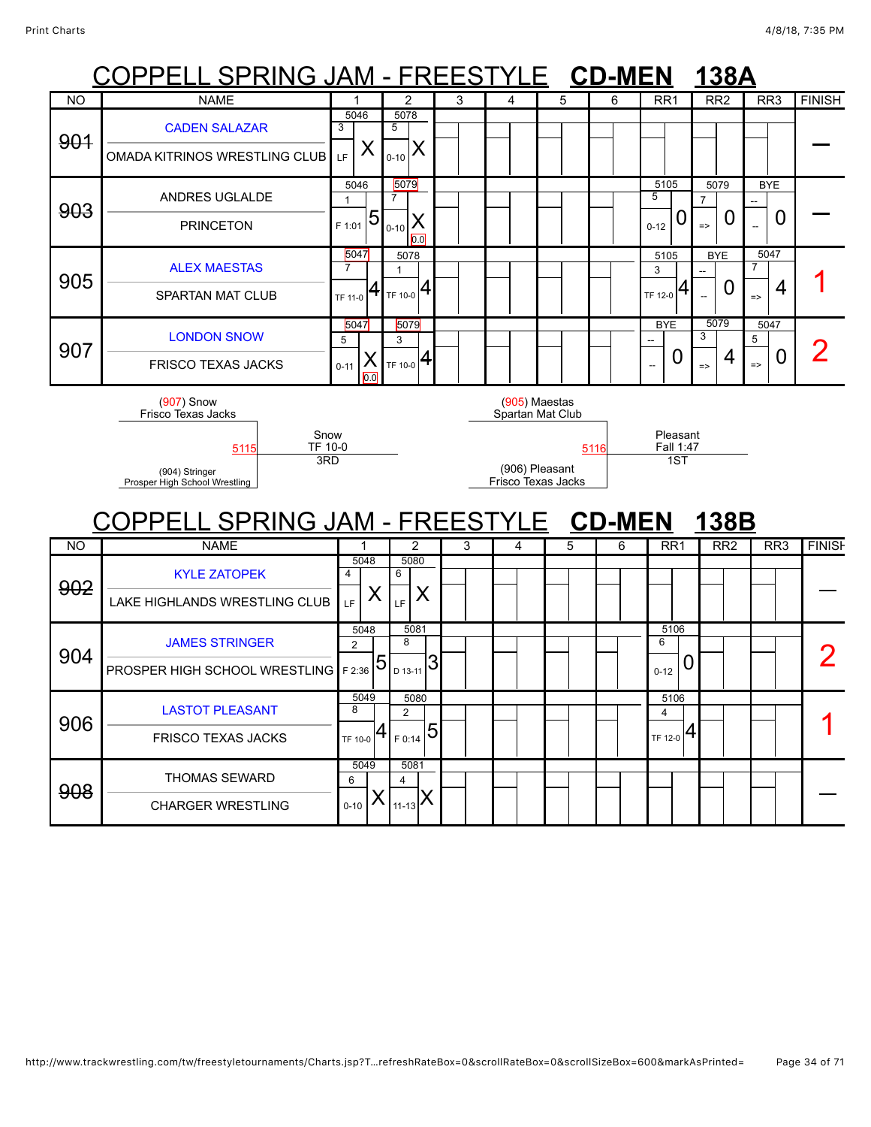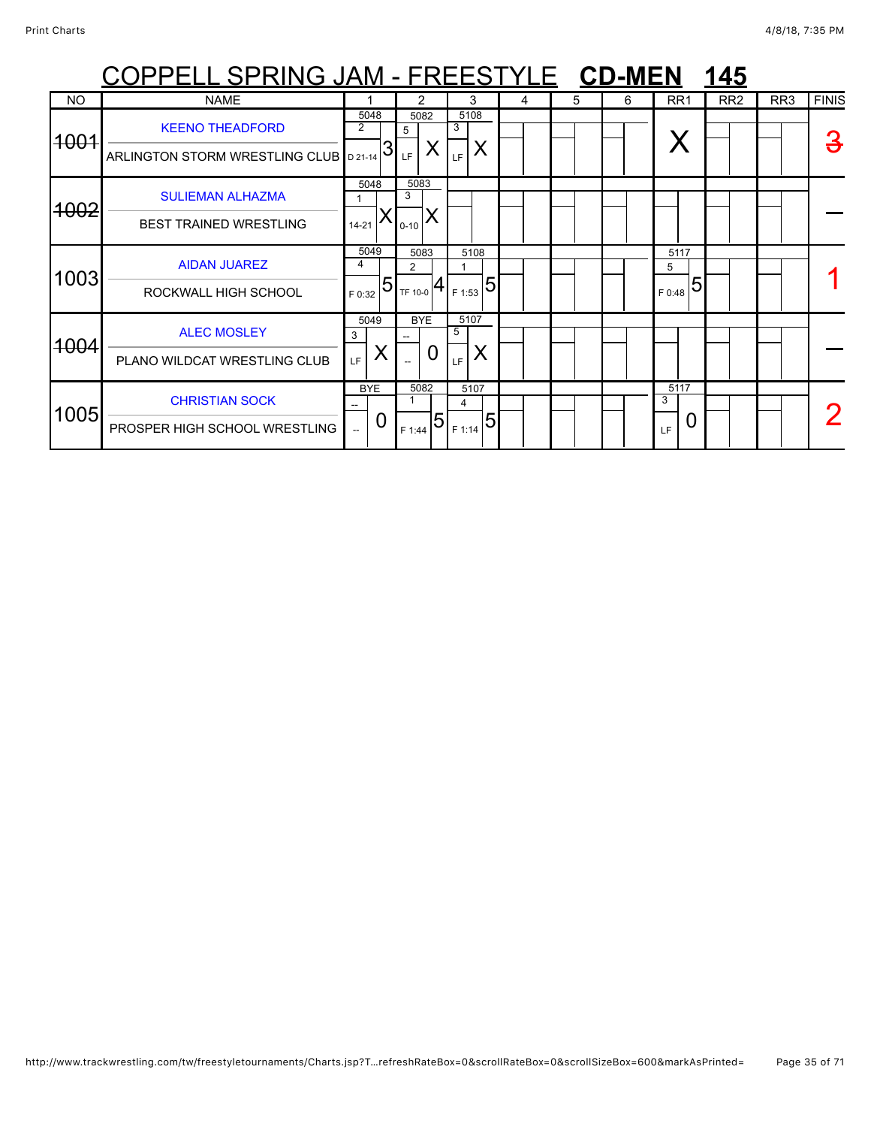|                  | <u> OPPELL SPRING JAM - FREESTYLE CD-MEN</u>                     |             |                 |                       |                                           |                 |                        |   |   |   |                       | 145 |                 |                 |              |
|------------------|------------------------------------------------------------------|-------------|-----------------|-----------------------|-------------------------------------------|-----------------|------------------------|---|---|---|-----------------------|-----|-----------------|-----------------|--------------|
| <b>NO</b>        | <b>NAME</b>                                                      |             |                 |                       | 2                                         |                 | 3                      | 4 | 5 | 6 | RR <sub>1</sub>       |     | RR <sub>2</sub> | RR <sub>3</sub> | <b>FINIS</b> |
| 4004             | <b>KEENO THEADFORD</b><br>ARLINGTON STORM WRESTLING CLUB D 21-14 | 2           | 5048<br>3       | 5<br>LF.              | 5082<br>X                                 | 3<br>LF         | 5108<br>X              |   |   |   |                       |     |                 |                 | З            |
| <del>1002</del>  | <b>SULIEMAN ALHAZMA</b><br><b>BEST TRAINED WRESTLING</b>         | $14 - 21$   | 5048<br>Х       | 5083<br>3<br>$0 - 10$ |                                           |                 |                        |   |   |   |                       |     |                 |                 |              |
| 1003             | <b>AIDAN JUAREZ</b><br>ROCKWALL HIGH SCHOOL                      | 4<br>F 0:32 | 5049<br>5       | 2                     | 5083<br>TF 10-0 $\left  4 \right $ F 1:53 |                 | 5108<br>$\overline{5}$ |   |   |   | 5117<br>5<br>F 0:48   | 5   |                 |                 |              |
| <del>100</del> 4 | <b>ALEC MOSLEY</b><br>PLANO WILDCAT WRESTLING CLUB               | 3<br>LF.    | 5049<br>Χ       |                       | <b>BYE</b><br>0                           | 5107<br>5<br>LF | X                      |   |   |   |                       |     |                 |                 |              |
| 1005             | <b>CHRISTIAN SOCK</b><br>PROSPER HIGH SCHOOL WRESTLING           |             | <b>BYE</b><br>Ü | F 1:44                | 5082<br>5                                 | 4<br>F 1:14     | 5107<br>5              |   |   |   | 5117<br>3<br>0<br>LF. |     |                 |                 |              |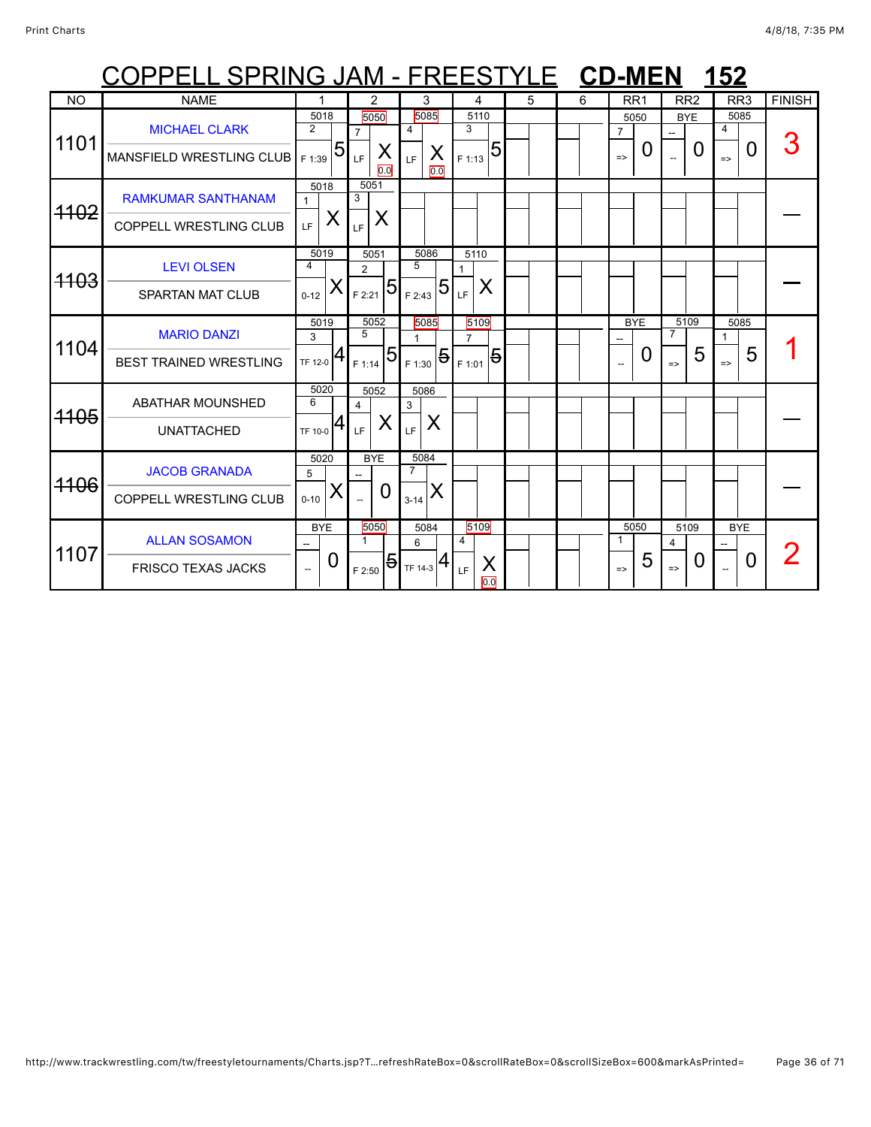|                 | OPPELL SPRING JAM - FREESTYLE CD-MEN 152                   |                                       |                                                  |                                                 |                                                    |   |   |                                              |                                              |                                 |               |
|-----------------|------------------------------------------------------------|---------------------------------------|--------------------------------------------------|-------------------------------------------------|----------------------------------------------------|---|---|----------------------------------------------|----------------------------------------------|---------------------------------|---------------|
| <b>NO</b>       | <b>NAME</b>                                                | 1                                     | 2                                                | 3                                               | 4                                                  | 5 | 6 | RR <sub>1</sub>                              | RR <sub>2</sub>                              | RR <sub>3</sub>                 | <b>FINISH</b> |
| 1101            | <b>MICHAEL CLARK</b><br>MANSFIELD WRESTLING CLUB           | 5018<br>$\overline{2}$<br>5<br>F 1:39 | 5050<br>$\overline{7}$<br>Χ<br>LF<br>0.0         | 5085<br>4<br>X<br>LF.<br>0.0                    | 5110<br>3<br>$\overline{5}$<br>F 1:13              |   |   | 5050<br>$\overline{7}$<br>0<br>$\Rightarrow$ | <b>BYE</b><br>0                              | 5085<br>4<br>0<br>$\Rightarrow$ |               |
| <del>1102</del> | <b>RAMKUMAR SANTHANAM</b><br><b>COPPELL WRESTLING CLUB</b> | 5018<br>1<br>X<br>LF.                 | 5051<br>3<br>Χ<br>LF                             |                                                 |                                                    |   |   |                                              |                                              |                                 |               |
| <del>1103</del> | <b>LEVI OLSEN</b><br><b>SPARTAN MAT CLUB</b>               | 5019<br>4<br>Х<br>$0 - 12$            | 5051<br>$\overline{2}$<br>5<br>F 2:21            | 5086<br>5<br>$5\overline{5}$<br>F 2:43          | 5110<br>1<br>Χ<br>LF.                              |   |   |                                              |                                              |                                 |               |
| 1104            | <b>MARIO DANZI</b><br><b>BEST TRAINED WRESTLING</b>        | 5019<br>3<br>TF 12-0 $ 4$             | 5052<br>5<br>5<br>F 1:14                         | 5085<br>$\frac{1}{2}$ F 1:30 $\frac{5}{1}$      | 5109<br>$\overline{7}$<br>$\overline{5}$<br>F 1:01 |   |   | <b>BYE</b><br>0                              | 5109<br>7<br>5<br>$\Rightarrow$              | 5085<br>5<br>$\Rightarrow$      |               |
| <del>1105</del> | <b>ABATHAR MOUNSHED</b><br><b>UNATTACHED</b>               | 5020<br>6<br>TF 10-0                  | 5052<br>4<br>X<br>LF                             | 5086<br>3<br>X<br>LF                            |                                                    |   |   |                                              |                                              |                                 |               |
| <del>1106</del> | <b>JACOB GRANADA</b><br><b>COPPELL WRESTLING CLUB</b>      | 5020<br>5<br>Χ<br>$0 - 10$            | <b>BYE</b><br>$\Omega$                           | 5084<br>$\overline{7}$<br>IX<br>$3 - 14$        |                                                    |   |   |                                              |                                              |                                 |               |
| 1107            | <b>ALLAN SOSAMON</b><br><b>FRISCO TEXAS JACKS</b>          | <b>BYE</b><br>0                       | 5050<br>$\mathbf{1}$<br>$\overline{5}$<br>F 2:50 | 5084<br>6<br>$\frac{1}{1}$ <sub>TF 14-3</sub> 4 | 5109<br>4<br>X<br>LF<br>0.0                        |   |   | 5050<br>1<br>5<br>$\Rightarrow$              | 5109<br>$\overline{4}$<br>O<br>$\Rightarrow$ | <b>BYE</b><br>0                 |               |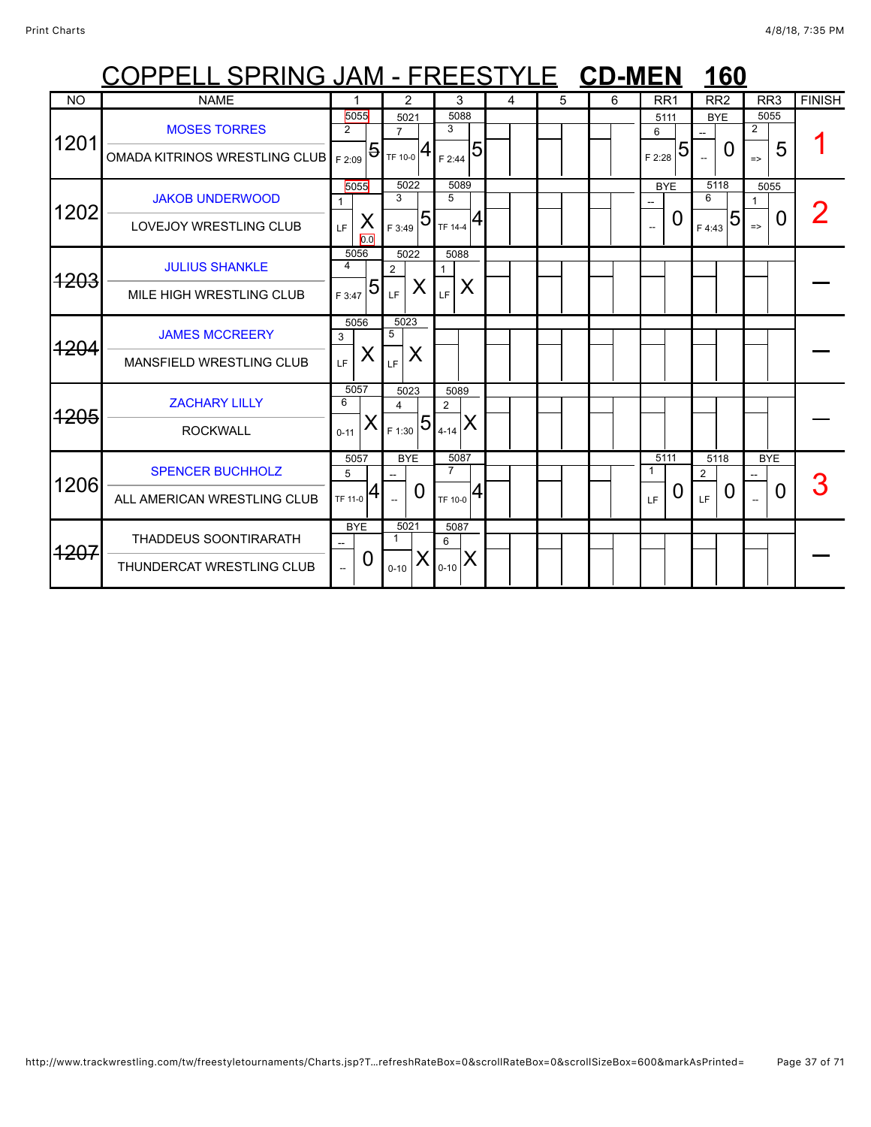|                 | COPPELL SPRING JAM - FREESTYLE CD-MEN                     |                                  |                               |                           |                        |                       |                                |   |   |   |                     |   |                              | 160            |                                         |   |               |
|-----------------|-----------------------------------------------------------|----------------------------------|-------------------------------|---------------------------|------------------------|-----------------------|--------------------------------|---|---|---|---------------------|---|------------------------------|----------------|-----------------------------------------|---|---------------|
| <b>NO</b>       | <b>NAME</b>                                               |                                  |                               |                           | 2                      |                       | 3                              | 4 | 5 | 6 | RR <sub>1</sub>     |   | RR <sub>2</sub>              |                | RR <sub>3</sub>                         |   | <b>FINISH</b> |
| 1201            | <b>MOSES TORRES</b><br>OMADA KITRINOS WRESTLING CLUB      | 5055<br>$\overline{2}$<br>F 2:09 | $\overline{5}$                | $\overline{7}$<br>TF 10-0 | 5021<br>4              | 3<br>F 2:44           | 5088<br>5                      |   |   |   | 5111<br>6<br>F 2:28 | 5 | <b>BYE</b><br>$\overline{a}$ | $\mathbf{U}$   | 5055<br>$\overline{2}$<br>$\Rightarrow$ | 5 |               |
| 1202            | <b>JAKOB UNDERWOOD</b><br>LOVEJOY WRESTLING CLUB          | LF.                              | 5055<br>X<br>$\overline{0.0}$ | 3<br>F 3:49               | 5022<br>$\overline{5}$ | 5<br>TF 14-4          | 5089                           |   |   |   | <b>BYE</b>          | O | 5118<br>6<br>F 4:43          | $\overline{5}$ | 5055<br>1<br>$\Rightarrow$              | O |               |
| <del>1203</del> | <b>JULIUS SHANKLE</b><br>MILE HIGH WRESTLING CLUB         | 5056<br>4<br>F 3:47              | 5                             | $\overline{2}$<br>LF      | 5022<br>X              | 1<br>LF               | 5088<br>X                      |   |   |   |                     |   |                              |                |                                         |   |               |
| <del>1204</del> | <b>JAMES MCCREERY</b><br>MANSFIELD WRESTLING CLUB         | 5056<br>3<br>LF                  | X                             | 5<br>LF.                  | 5023<br>X              |                       |                                |   |   |   |                     |   |                              |                |                                         |   |               |
| <del>1205</del> | <b>ZACHARY LILLY</b><br><b>ROCKWALL</b>                   | 5057<br>6<br>$0 - 11$            | Х                             | 4<br>F 1:30               | 5023<br>$\overline{5}$ | 2<br>$4 - 14$         | 5089<br>IX                     |   |   |   |                     |   |                              |                |                                         |   |               |
| 1206            | <b>SPENCER BUCHHOLZ</b><br>ALL AMERICAN WRESTLING CLUB    | 5057<br>5<br>TF 11-0             | 4                             |                           | <b>BYE</b><br>$\Omega$ | $\overline{7}$        | 5087<br>$T_{\text{TF 10-0}} 4$ |   |   |   | 5111<br>1<br>LF     | 0 | 5118<br>2<br>LF              | $\Omega$       | <b>BYE</b>                              | 0 |               |
| <del>1207</del> | <b>THADDEUS SOONTIRARATH</b><br>THUNDERCAT WRESTLING CLUB | <b>BYE</b>                       | 0                             | $\mathbf{1}$<br>$0 - 10$  | 5021<br>⋏              | 5087<br>6<br>$0 - 10$ | ΙX                             |   |   |   |                     |   |                              |                |                                         |   |               |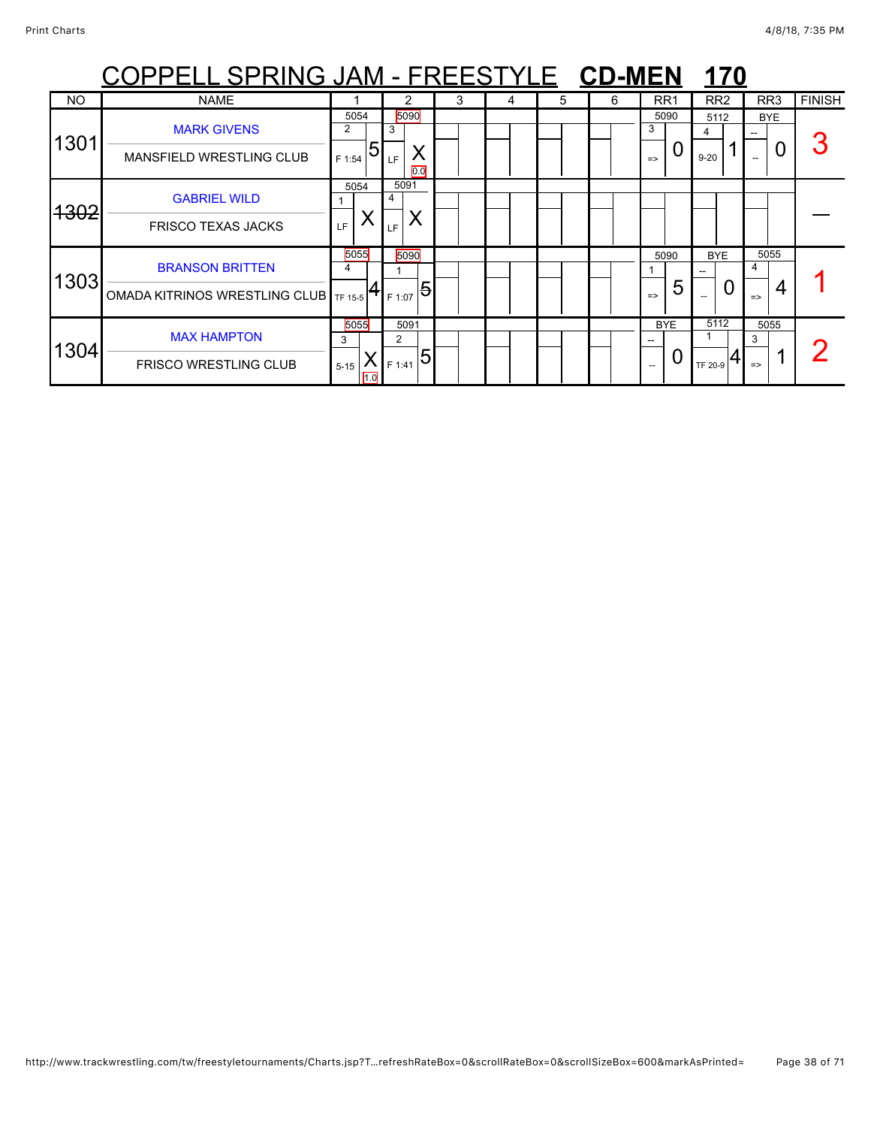|                 | <u> OPPELL SPRING JAM - FREESTYLE CD-MEN</u>                    |                              |                                       |   |   |   |   |                                             | 170                                                             |                                 |               |
|-----------------|-----------------------------------------------------------------|------------------------------|---------------------------------------|---|---|---|---|---------------------------------------------|-----------------------------------------------------------------|---------------------------------|---------------|
| NO.             | <b>NAME</b>                                                     |                              |                                       | 3 | 4 | 5 | 6 | RR <sub>1</sub>                             | RR <sub>2</sub>                                                 | RR3                             | <b>FINISH</b> |
| 1301            | <b>MARK GIVENS</b><br><b>MANSFIELD WRESTLING CLUB</b>           | 5054<br>2<br>5<br>F 1:54     | 5090<br>3<br>LF<br>0.0                |   |   |   |   | 5090<br>3<br>O<br>$\Rightarrow$             | 5112<br>4<br>$9 - 20$                                           | <b>BYE</b><br>0                 |               |
| <del>1302</del> | <b>GABRIEL WILD</b><br><b>FRISCO TEXAS JACKS</b>                | 5054<br>LF                   | 5091<br>4<br>X<br>LF.                 |   |   |   |   |                                             |                                                                 |                                 |               |
| 1303            | <b>BRANSON BRITTEN</b><br>OMADA KITRINOS WRESTLING CLUB TF 15-5 | 5055<br>4                    | 5090<br>$\overline{5}$<br>F 1:07      |   |   |   |   | 5090<br>5<br>$\Rightarrow$                  | <b>BYE</b><br>$- -$<br>$\mathbf{U}$<br>$\overline{\phantom{a}}$ | 5055<br>4<br>4<br>$\Rightarrow$ |               |
| 1304            | <b>MAX HAMPTON</b><br><b>FRISCO WRESTLING CLUB</b>              | 5055<br>3<br>$5 - 15$<br>1.0 | 5091<br>$\overline{2}$<br>5<br>F 1:41 |   |   |   |   | <b>BYE</b><br>U<br>$\overline{\phantom{a}}$ | 5112<br>TF 20-9                                                 | 5055<br>3<br>$\Rightarrow$      |               |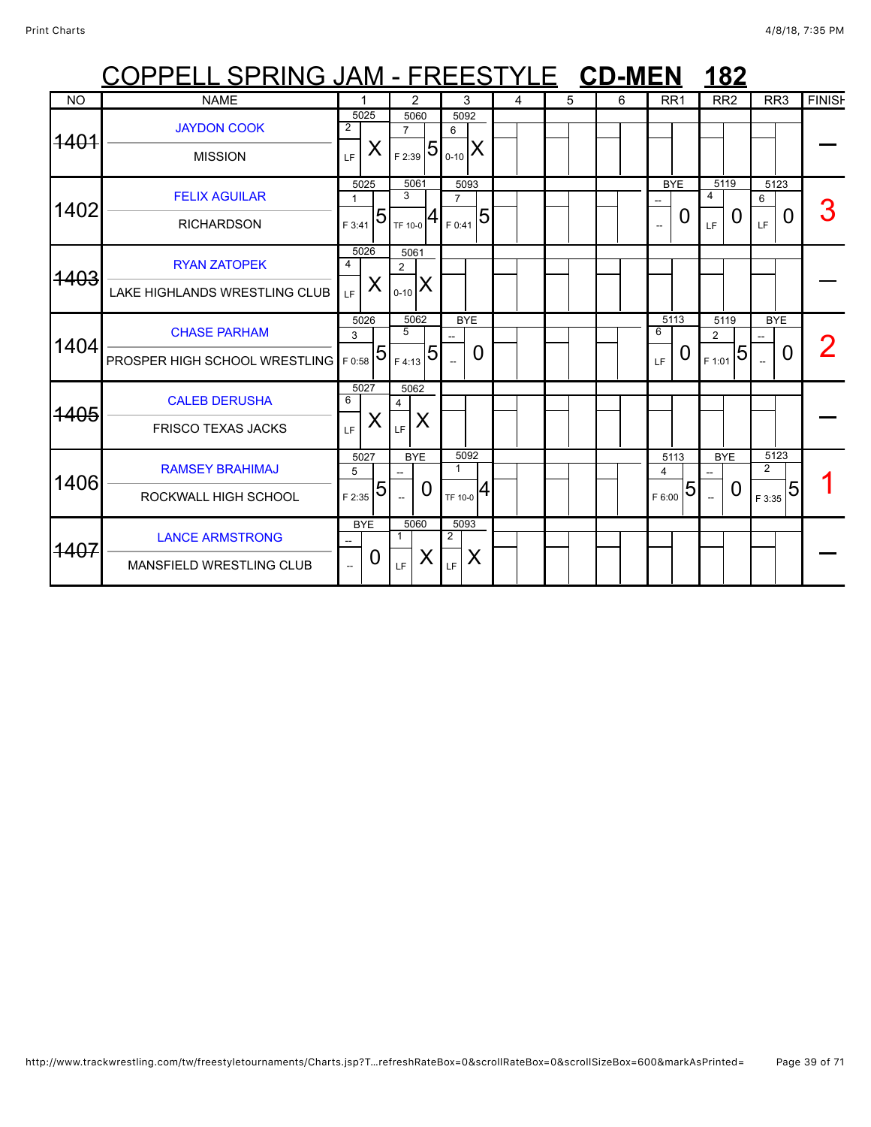|                 | COPPELL SPRING JAM - FREESTYLE CD-MEN                |                                                   |                               |                 |                                  |   |   |   |   |             |                        |                          | <b>182</b>      |                          |                 |               |
|-----------------|------------------------------------------------------|---------------------------------------------------|-------------------------------|-----------------|----------------------------------|---|---|---|---|-------------|------------------------|--------------------------|-----------------|--------------------------|-----------------|---------------|
| <b>NO</b>       | <b>NAME</b>                                          |                                                   |                               | 2               | 3                                |   | 4 | 5 | 6 |             | RR <sub>1</sub>        |                          | RR <sub>2</sub> |                          | RR <sub>3</sub> | <b>FINISH</b> |
| <del>1401</del> | <b>JAYDON COOK</b><br><b>MISSION</b>                 | 5025<br>$\overline{2}$<br>X<br>LF                 | $\overline{7}$<br>F 2:39      | 5060<br>5       | 5092<br>6<br>$0 - 10$            | X |   |   |   |             |                        |                          |                 |                          |                 |               |
| 1402            | <b>FELIX AGUILAR</b><br><b>RICHARDSON</b>            | 5025<br>$\mathbf{1}$<br>F 3:41                    | 3<br>5<br>TF 10-0             | 5061            | 5093<br>$\overline{7}$<br>F 0:41 | 5 |   |   |   |             | <b>BYE</b><br>0        | 4<br>LF                  | 5119<br>0       | 6<br>LF.                 | 5123<br>0       |               |
| <del>1403</del> | <b>RYAN ZATOPEK</b><br>LAKE HIGHLANDS WRESTLING CLUB | 5026<br>4<br>X<br>LF.                             | $\overline{2}$<br>$0 - 10$    | 5061<br>X       |                                  |   |   |   |   |             |                        |                          |                 |                          |                 |               |
| 1404            | <b>CHASE PARHAM</b><br>PROSPER HIGH SCHOOL WRESTLING | 5026<br>3<br>F 0:58                               | 5<br>5<br>F 4:13              | 5062<br>5       | <b>BYE</b>                       | 0 |   |   |   | 6<br>LF     | 5113<br>O              | $\overline{2}$<br>F 1:01 | 5119<br>5       |                          | <b>BYE</b><br>0 |               |
| <del>1405</del> | <b>CALEB DERUSHA</b><br><b>FRISCO TEXAS JACKS</b>    | 5027<br>6<br>X<br>LF                              | 4<br>LF.                      | 5062<br>X       |                                  |   |   |   |   |             |                        |                          |                 |                          |                 |               |
| 1406            | <b>RAMSEY BRAHIMAJ</b><br>ROCKWALL HIGH SCHOOL       | 5027<br>5<br>F 2:35                               | 5<br>$\overline{\phantom{a}}$ | <b>BYE</b><br>0 | 5092<br>$\mathbf{1}$<br>TF 10-0  | 4 |   |   |   | 4<br>F 6:00 | 5113<br>$\overline{5}$ | $\sim$                   | <b>BYE</b><br>0 | $\overline{2}$<br>F 3:35 | 5123<br>5       |               |
| 1407            | <b>LANCE ARMSTRONG</b><br>MANSFIELD WRESTLING CLUB   | <b>BYE</b><br>--<br>0<br>$\overline{\phantom{a}}$ | $\mathbf{1}$<br>LF            | 5060<br>Χ       | 5093<br>$\overline{2}$<br>LF     | Χ |   |   |   |             |                        |                          |                 |                          |                 |               |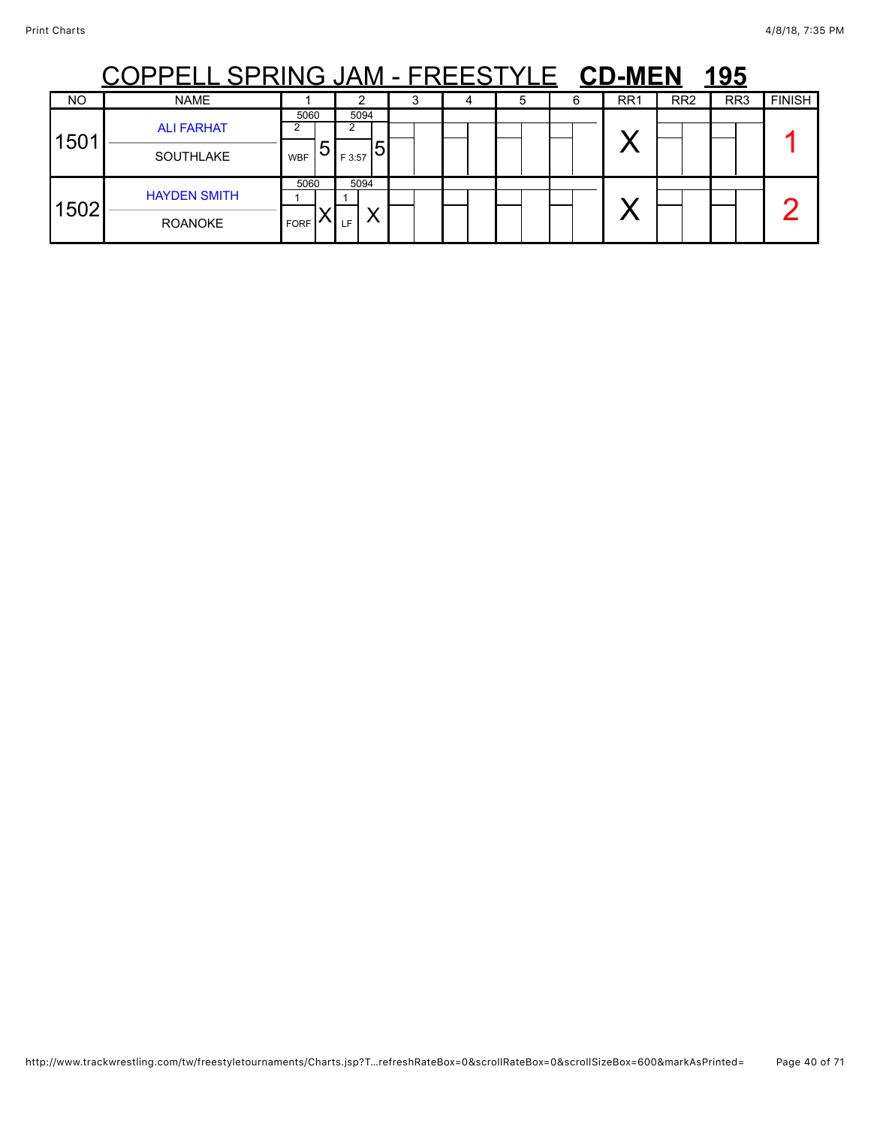|     | <u>. SPRING JAM - FREEST</u>          |                     |   |                |   |   |  |   |   | <b>CD-MEN</b>   |                 | 195             |               |
|-----|---------------------------------------|---------------------|---|----------------|---|---|--|---|---|-----------------|-----------------|-----------------|---------------|
| NO  | <b>NAME</b>                           |                     |   | ົ              |   | 3 |  | 5 | 6 | RR <sub>1</sub> | RR <sub>2</sub> | RR <sub>3</sub> | <b>FINISH</b> |
| 501 | <b>ALI FARHAT</b><br><b>SOUTHLAKE</b> | 5060<br><b>WBF</b>  | b | 5094<br>F 3:57 | 5 |   |  |   |   |                 |                 |                 |               |
| 502 | <b>HAYDEN SMITH</b><br><b>ROANOKE</b> | 5060<br><b>FORF</b> |   | 5094<br>LF     |   |   |  |   |   |                 |                 |                 |               |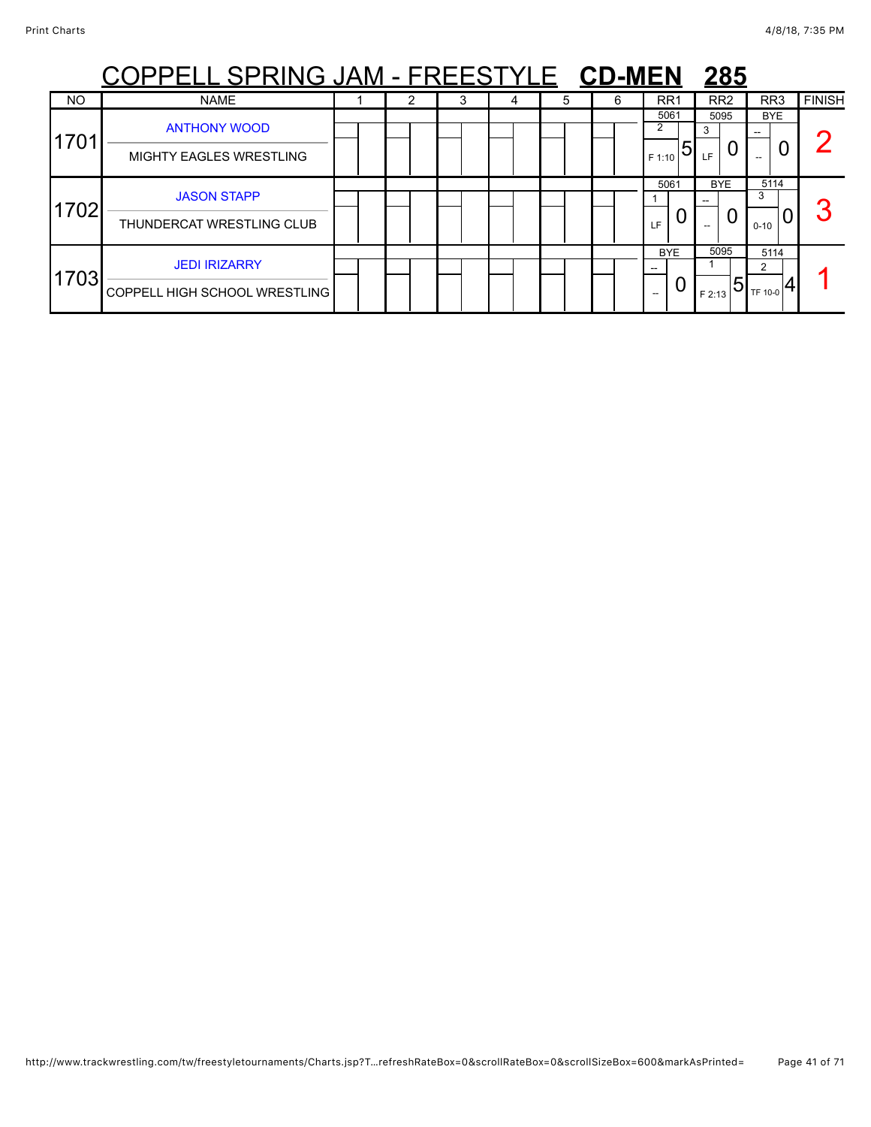|           | <u> PELL SPRING JAM - FREESTYLE CD-MEN</u>                   |  |   |   |   |                          | 285                              |                       |               |
|-----------|--------------------------------------------------------------|--|---|---|---|--------------------------|----------------------------------|-----------------------|---------------|
| <b>NO</b> | <b>NAME</b>                                                  |  | 3 | 5 | 6 | RR <sub>1</sub>          | RR <sub>2</sub>                  | RR <sub>3</sub>       | <b>FINISH</b> |
| 1701      | <b>ANTHONY WOOD</b><br><b>MIGHTY EAGLES WRESTLING</b>        |  |   |   |   | 5061<br>2<br>5<br>F 1:10 | 5095<br>3<br>LF                  | <b>BYE</b>            |               |
| 1702      | <b>JASON STAPP</b><br>THUNDERCAT WRESTLING CLUB              |  |   |   |   | 5061<br>U<br>LF          | <b>BYE</b><br>0                  | 5114<br>3<br>$0 - 10$ |               |
| 1703      | <b>JEDI IRIZARRY</b><br><b>COPPELL HIGH SCHOOL WRESTLING</b> |  |   |   |   | <b>BYE</b><br>U<br>--    | 5095<br>$\overline{5}$<br>F 2:13 | 5114<br>っ<br>TF 10-0  |               |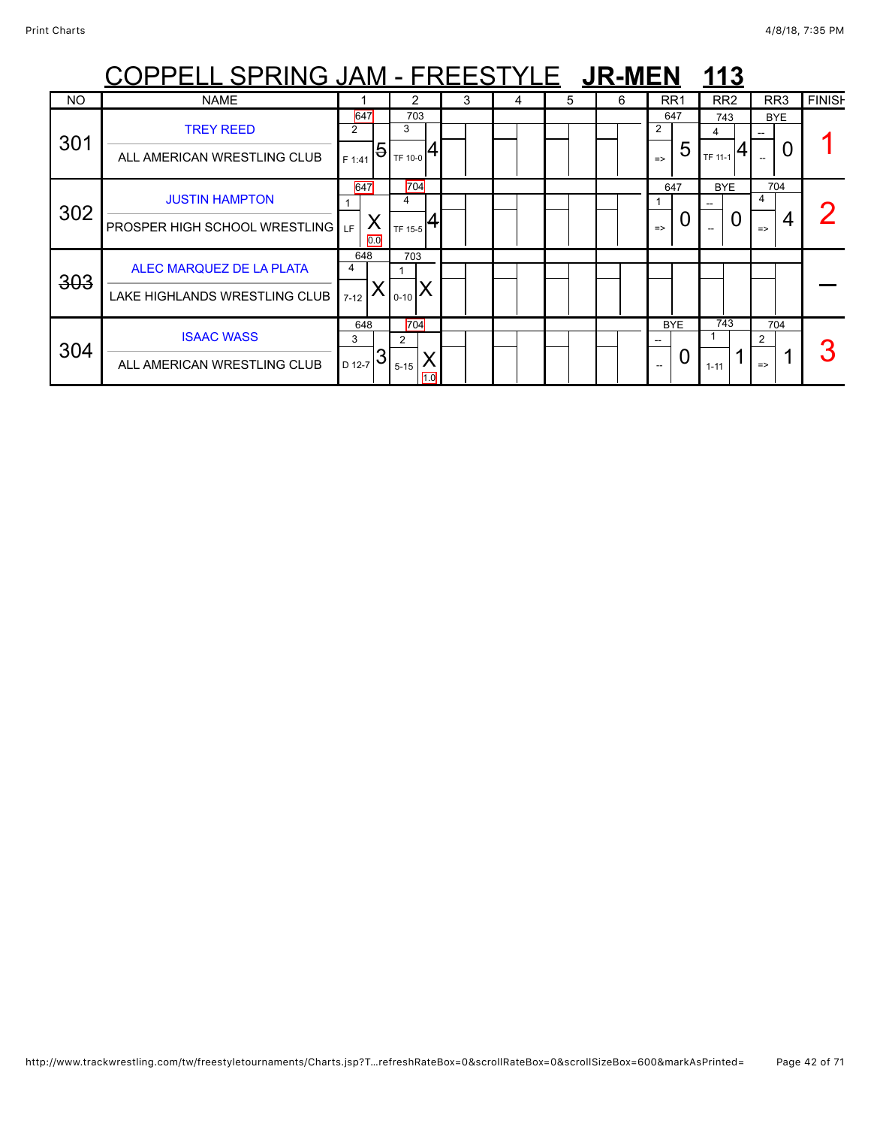|           | <u> OPPELL SPRING JAM - FREESTYLE 【JR-MEN</u>                 |                                    |                                                      |   |   |   |   |                                | 113                 |                                |               |
|-----------|---------------------------------------------------------------|------------------------------------|------------------------------------------------------|---|---|---|---|--------------------------------|---------------------|--------------------------------|---------------|
| <b>NO</b> | <b>NAME</b>                                                   |                                    | 2                                                    | 3 | 4 | 5 | 6 | RR <sub>1</sub>                | RR <sub>2</sub>     | RR <sub>3</sub>                | <b>FINISH</b> |
| 301       | <b>TREY REED</b><br>ALL AMERICAN WRESTLING CLUB               | 647<br>2<br>F 1:41                 | 703<br>3<br>, $ \mathbf{5} _{\text{\tiny TF 10-0}} $ |   |   |   |   | 647<br>2<br>5<br>$\Rightarrow$ | 743<br>4<br>TF 11-1 | <b>BYE</b><br>U                |               |
| 302       | <b>JUSTIN HAMPTON</b><br><b>PROSPER HIGH SCHOOL WRESTLING</b> | 647<br>Χ<br>LF<br>0.0              | 704<br>4<br>TF 15-5                                  |   |   |   |   | 647<br>U<br>$\Rightarrow$      | <b>BYE</b><br>O     | 704<br>4<br>4<br>$\Rightarrow$ |               |
| 303       | ALEC MARQUEZ DE LA PLATA<br>LAKE HIGHLANDS WRESTLING CLUB     | 648<br>4<br>$7 - 12$               | 703<br>$_{10-10}$ $\lambda$                          |   |   |   |   |                                |                     |                                |               |
| 304       | <b>ISAAC WASS</b><br>ALL AMERICAN WRESTLING CLUB              | 648<br>3<br>$\mathbf{3}$<br>D 12-7 | 704<br>2<br>$5 - 15$<br>1.0                          |   |   |   |   | <b>BYE</b><br>O                | 743<br>$1 - 11$     | 704<br>2<br>$\Rightarrow$      |               |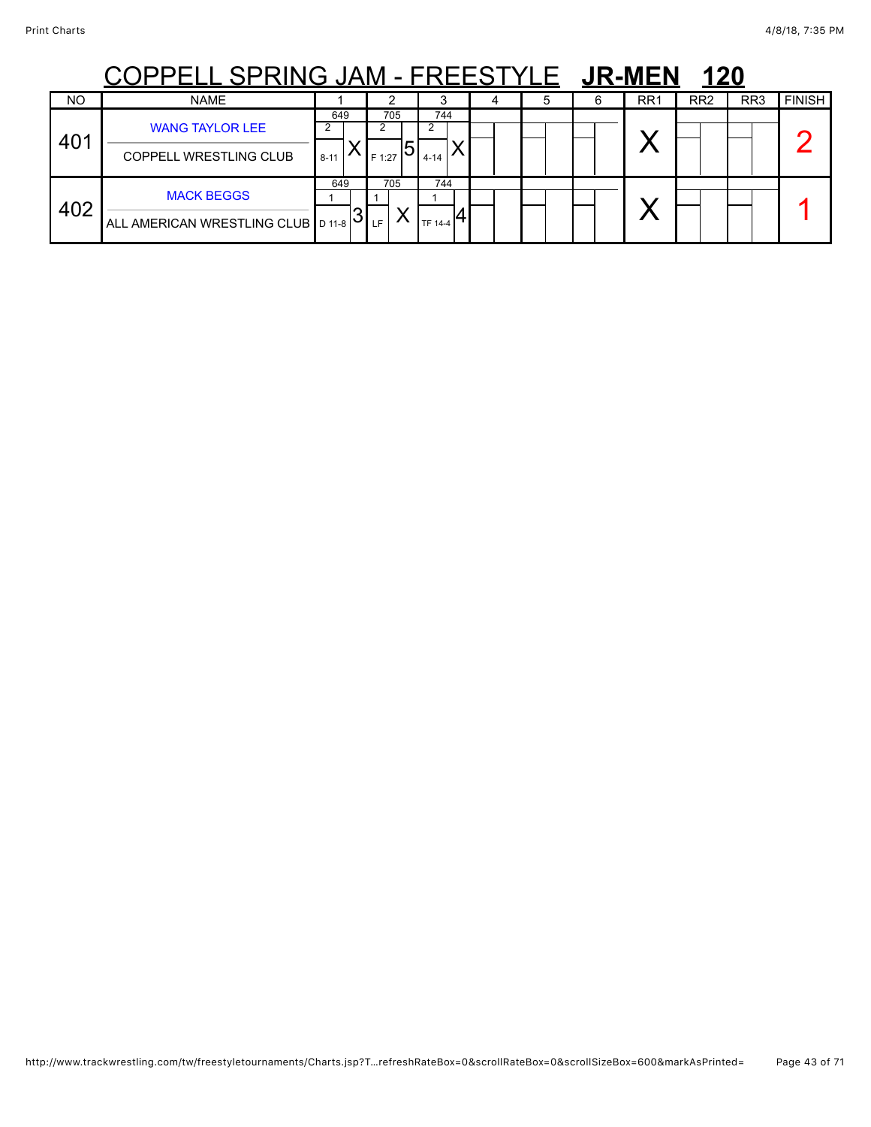## COPPELL SPRING JAM - FREESTYLE JR-MEN 120

|           | ---<br>---<br>. <i>.</i>                                  |                 |               |                       |  | . |                 |                 |                 |               |
|-----------|-----------------------------------------------------------|-----------------|---------------|-----------------------|--|---|-----------------|-----------------|-----------------|---------------|
| <b>NO</b> | <b>NAME</b>                                               |                 | ົ             |                       |  | 6 | RR <sub>1</sub> | RR <sub>2</sub> | RR <sub>3</sub> | <b>FINISH</b> |
| 401       | <b>WANG TAYLOR LEE</b><br><b>COPPELL WRESTLING CLUB</b>   | 649<br>$8 - 11$ | 705<br>F 1:27 | 744<br>$4 - 14$       |  |   |                 |                 |                 |               |
| 402       | <b>MACK BEGGS</b><br>ALL AMERICAN WRESTLING CLUB   D 11-8 | 649<br>ΙJ       | 705<br>LF     | 744<br><b>TF 14-4</b> |  |   |                 |                 |                 |               |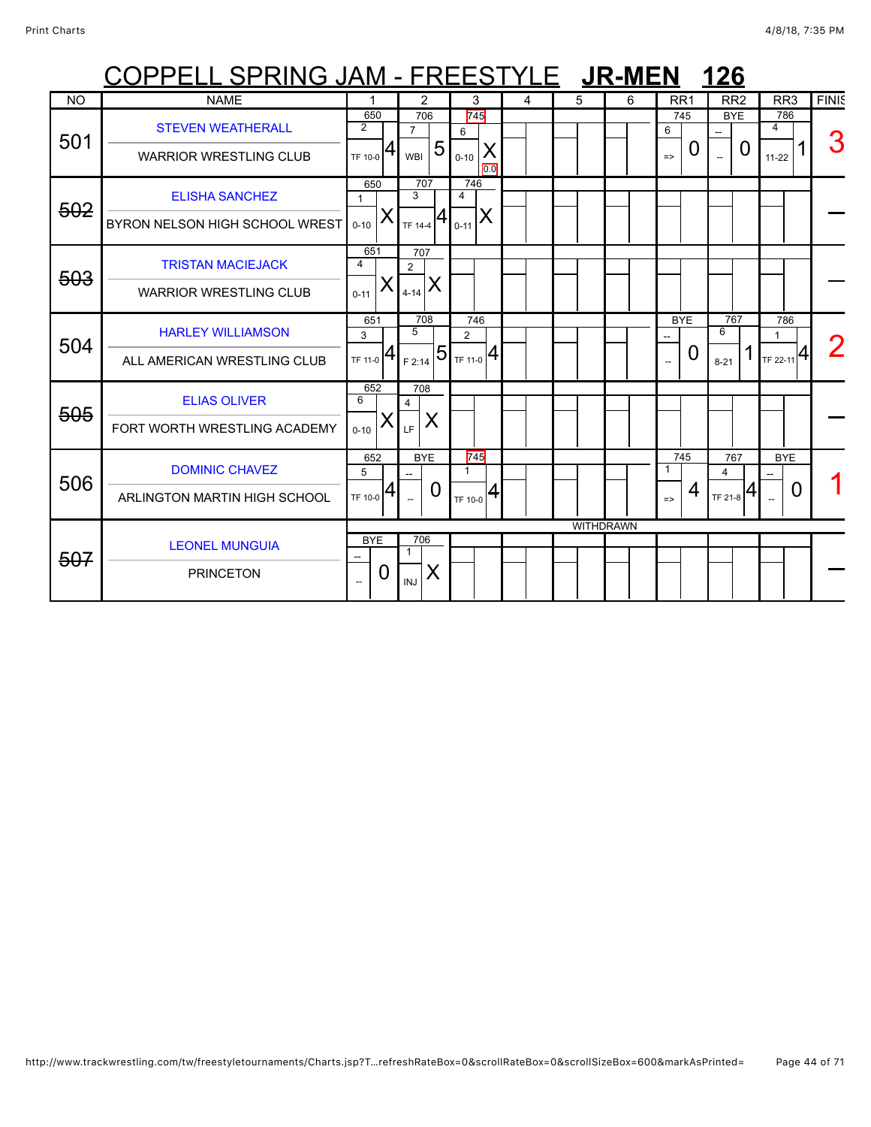|           | COPPELL SPRING JAM - FREESTYLE JR-MEN                     |                           |                 |                                   |                                          |                       |                                |   |   |                  |                                        |   | <b>126</b>                 |   |                                 |              |
|-----------|-----------------------------------------------------------|---------------------------|-----------------|-----------------------------------|------------------------------------------|-----------------------|--------------------------------|---|---|------------------|----------------------------------------|---|----------------------------|---|---------------------------------|--------------|
| <b>NO</b> | <b>NAME</b>                                               |                           |                 |                                   | 2                                        |                       | 3                              | 4 | 5 | 6                | RR <sub>1</sub>                        |   | RR <sub>2</sub>            |   | RR <sub>3</sub>                 | <b>FINIS</b> |
| 501       | <b>STEVEN WEATHERALL</b><br><b>WARRIOR WRESTLING CLUB</b> | $\overline{2}$<br>TF 10-0 | 650             | $\overline{7}$<br><b>WBI</b>      | 706<br>5                                 | 6<br>$0 - 10$         | 745<br>X                       |   |   |                  | 745<br>6<br>$\Rightarrow$              | O | <b>BYE</b>                 | 0 | 786<br>4<br>$11 - 22$           | З            |
| 502       | <b>ELISHA SANCHEZ</b><br>BYRON NELSON HIGH SCHOOL WREST   | $0 - 10$                  | 650<br>X        | $\overline{3}$                    | 707<br>TF 14-4 $\left  4 \right _{0-11}$ | 746<br>$\overline{a}$ | 0.0<br>X                       |   |   |                  |                                        |   |                            |   |                                 |              |
| 503       | <b>TRISTAN MACIEJACK</b><br><b>WARRIOR WRESTLING CLUB</b> | 4<br>$0 - 11$             | 651<br>Χ        | 707<br>$\overline{2}$<br>$4 - 14$ | X                                        |                       |                                |   |   |                  |                                        |   |                            |   |                                 |              |
| 504       | <b>HARLEY WILLIAMSON</b><br>ALL AMERICAN WRESTLING CLUB   | 3<br>TF 11-0              | 651             | 5                                 | 708<br>$I_{F2:14}$ 51                    | $\overline{2}$        | 746<br>$T_{\text{TF 11-0}} 4.$ |   |   |                  | <b>BYE</b><br>$\overline{\phantom{a}}$ | 0 | 767<br>6<br>$8 - 21$       |   | 786<br>$T_F$ 22-11 <sup>4</sup> |              |
| 505       | <b>ELIAS OLIVER</b><br>FORT WORTH WRESTLING ACADEMY       | 6<br>$0 - 10$             | 652             | 708<br>$\overline{4}$<br>LF       | X                                        |                       |                                |   |   |                  |                                        |   |                            |   |                                 |              |
| 506       | <b>DOMINIC CHAVEZ</b><br>ARLINGTON MARTIN HIGH SCHOOL     | 5<br>TF 10-0              | 652<br>Ι4       | $\overline{\phantom{a}}$          | <b>BYE</b><br>O                          | 1<br>TF 10-0          | 745<br> 4                      |   |   |                  | 745<br>$\mathbf{1}$<br>$\Rightarrow$   | 4 | 767<br>4<br>$T_F$ 21-8 $4$ |   | <b>BYE</b><br>0                 |              |
| 507       | <b>LEONEL MUNGUIA</b><br><b>PRINCETON</b>                 |                           | <b>BYE</b><br>0 | 706<br>1<br><b>INJ</b>            | X                                        |                       |                                |   |   | <b>WITHDRAWN</b> |                                        |   |                            |   |                                 |              |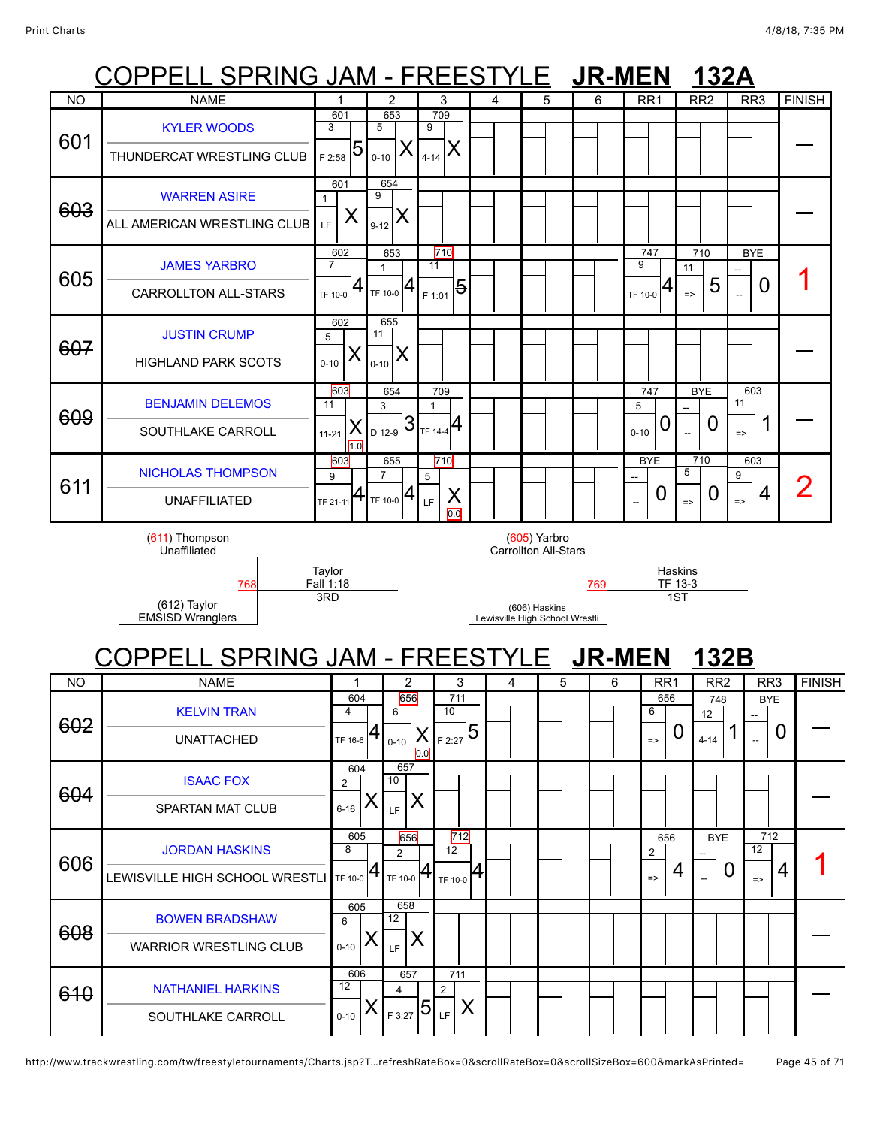### PPELL SPRING JAM - FREESTYLE JR-MEN 132 COPPELL SPRING JAM - FREESTYLE **JR-MEN 132B** NO | NAME | 1 | 2 | 3 | 4 | 5 | 6 | RR1 | RR2 | RR3 |FINISH 601 [KYLER WOODS](javascript:viewProfile(1553105096)) THUNDERCAT WRESTLING CLUB 601 3  $_{{\sf F}$  2:58 5 653 5  $0 - 10$ 709 9 <sub>4-14</sub> X <sup>—</sup> 603 [WARREN ASIRE](javascript:viewProfile(628571132)) ALL AMERICAN WRESTLING CLUB 601 1  $_{\rm LF}$   $\mid$   $\sf X$ 654 9  $_{9\text{-}12}$   $\bm{\mathsf{X}}$ <sup>—</sup> 605 [JAMES YARBRO](javascript:viewProfile(752068096)) CARROLLTON ALL-STARS 602 7  $_{\rm TF\ 10{\text -}0}$   $\bm{4}$ 653 1 TF 10-0 710 11 <sub>F 1:01</sub> 5 747 9  $_{\rm TF\ 10-0}$  |4 710 11 => 5 **BYF** --  $\Box$  0 | 1 607 [JUSTIN CRUMP](javascript:viewProfile(627343132)) HIGHLAND PARK SCOTS 602 5  $0 - 10$ 655 11  $_{_{0\text{-}10}}$   $\times$ <sup>—</sup> 609 [BENJAMIN DELEMOS](javascript:viewProfile(116764096)) SOUTHLAKE CARROLL 603 11 X  $1.0$ 11-21 654 3  $_{\rm D$  12-9  $|3$ 709 1  $TF 14-4$ 747 5  $_{0-10}$  0 BYE -- 0 603 11  $\frac{1}{2}$  1 = 611 [NICHOLAS THOMPSON](javascript:viewProfile(1611302096)) UNAFFILIATED 603 9 TF 21-11 655 7  $TF 10-0$ 710 5 X 0.0 LF BYE -- 0 710 5  $_{\scriptscriptstyle{-\sim}}$   $\mid$  0 603 9  $\frac{1}{2}$ 4 | 2 (611) Thompson Unaffiliated **Taylor** Fall 1:18 (605) Yarbro Carrollton All-Stars Haskins<br>TF 13-3 [768](javascript:openBoutSheet(6041)) [769](javascript:openBoutSheet(6031)) TF 13-3 (612) Taylor EMSISD Wranglers 3RD (606) Haskins Lewisville High School Wrestli 1ST NO NAME 1 2 3 4 5 6 RR1 RR2 RR3 FINISH 602 [KELVIN TRAN](javascript:viewProfile(1536843096)) UNATTACHED 604 4 TF 16-6 656 6 X  $0.0$ 0-10 711 10 F 2:27 5 656 6 => 0 748 12  $4-14$  1 **BYE** --  $\frac{1}{2}$  0  $\vert$  -604 [ISAAC FOX](javascript:viewProfile(109275096)) SPARTAN MAT CLUB 604  $\mathfrak{p}$  $6 - 16$ 657 10  $\mathbb{E}$   $\mathsf{X}$ <sup>—</sup> 606 [JORDAN HASKINS](javascript:viewProfile(524637096)) LEWISVILLE HIGH SCHOOL WRESTLI 605 8 TF 10-0 656 2  $_{\sf TF\ 10\text{-}0}$  4 712 12 TF 10-0 656 2  $_{\sim}$  | 4 BYE --  $\Omega$ 712 12  $\frac{12}{12}$  4 1 608 [BOWEN BRADSHAW](javascript:viewProfile(627851132)) WARRIOR WRESTLING CLUB 605 6  $0 - 10$ 658 12  $\mathbb{E}$   $\mathsf{X}$ <sup>—</sup> 610 [NATHANIEL HARKINS](javascript:viewProfile(1161617096)) 606 12 657 4 <sub>F 3:27</sub> 5 711 2 <sub>LE</sub> | X

 $0 - 10$ 

SOUTHLAKE CARROLL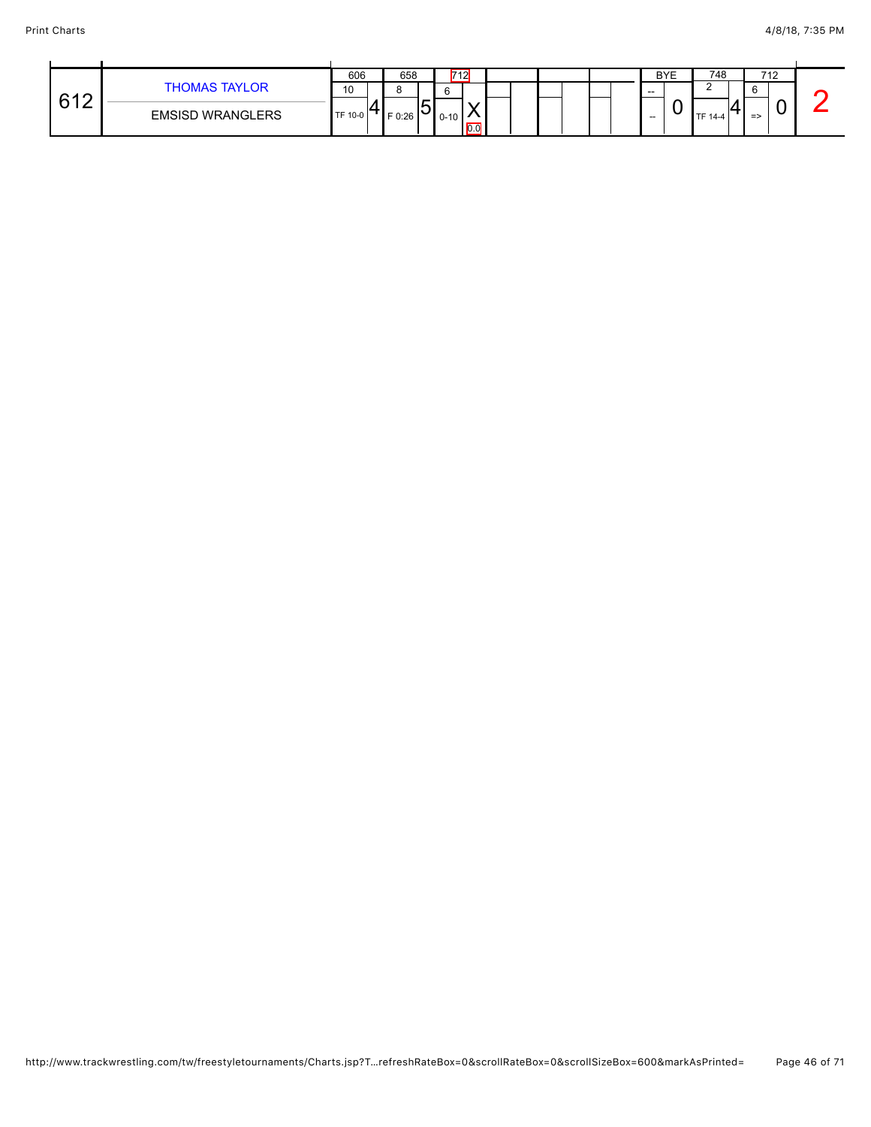|        |                         | 606     | 658      |    | 712      |     |  | <b>BYE</b>    | 748     |               | 712 |  |
|--------|-------------------------|---------|----------|----|----------|-----|--|---------------|---------|---------------|-----|--|
| 610    | <b>THOMAS TAYLOR</b>    | 10      |          |    |          |     |  | $\sim$ $\sim$ |         | $\sim$        |     |  |
| .<br>◡ | <b>EMSISD WRANGLERS</b> | TF 10-0 | $F$ 0:26 | שו | $0 - 10$ | 0.0 |  | $- -$         | TF 14-4 | $\Rightarrow$ |     |  |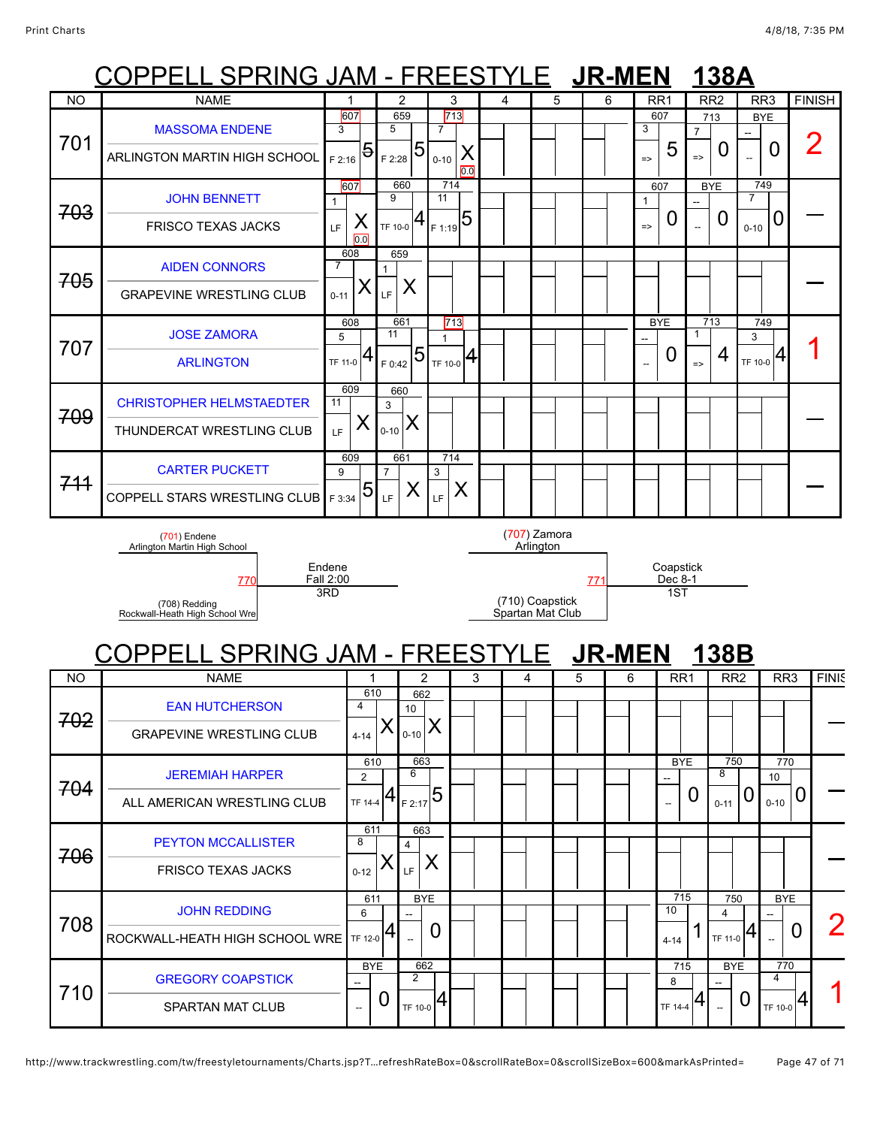|           | <u> COPPELL SPRING JAM - FREESTYLE LUR-MEN</u>                                   |                  |                       |                       |                        |   |                           |   | 138A |   |                 |                             |                |                  |          |                       |                |
|-----------|----------------------------------------------------------------------------------|------------------|-----------------------|-----------------------|------------------------|---|---------------------------|---|------|---|-----------------|-----------------------------|----------------|------------------|----------|-----------------------|----------------|
| <b>NO</b> | <b>NAME</b>                                                                      |                  |                       | 2                     | 3                      | 4 |                           | 5 | 6    |   | RR <sub>1</sub> |                             |                | RR <sub>2</sub>  |          | RR <sub>3</sub>       | <b>FINISH</b>  |
|           |                                                                                  | 607              |                       | 659                   | 713                    |   |                           |   |      |   | 607             |                             |                | 713              |          | <b>BYE</b>            |                |
|           | <b>MASSOMA ENDENE</b>                                                            | 3                | 5                     |                       | $\overline{7}$         |   |                           |   |      |   | 3               |                             | $\overline{7}$ |                  |          |                       |                |
| 701       | ARLINGTON MARTIN HIGH SCHOOL                                                     | 5<br>F 2:16      | F 2:28                | 5                     | Х<br>$0 - 10$<br>0.0   |   |                           |   |      |   | $\Rightarrow$   | 5                           | $\Rightarrow$  | 0                |          | 0                     | 2              |
|           | <b>JOHN BENNETT</b>                                                              | 607<br>1         | 9                     | 660                   | 714<br>11              |   |                           |   |      |   | 607<br>1        |                             |                | <b>BYE</b>       | 7        | 749                   |                |
| 703       | <b>FRISCO TEXAS JACKS</b>                                                        | X<br>LF<br>0.0   | TF 10-0               |                       | $4 F1:19}$ 5           |   |                           |   |      |   | $\Rightarrow$   | U                           |                | $\boldsymbol{0}$ | $0 - 10$ | 0                     |                |
| 705       | <b>AIDEN CONNORS</b>                                                             | 608<br>7         | 659                   |                       |                        |   |                           |   |      |   |                 |                             |                |                  |          |                       |                |
|           | <b>GRAPEVINE WRESTLING CLUB</b>                                                  | Х<br>$0 - 11$    | LF                    | X                     |                        |   |                           |   |      |   |                 |                             |                |                  |          |                       |                |
|           | <b>JOSE ZAMORA</b>                                                               | 608<br>5         | 661<br>11             |                       | 713<br>$\mathbf{1}$    |   |                           |   |      |   | <b>BYE</b>      |                             | 1              | 713              | 3        | 749                   |                |
| 707       | <b>ARLINGTON</b>                                                                 | TF 11-0          | F 0:42                | $\overline{5}$        | $T_{\text{TF 10-0}} 4$ |   |                           |   |      |   | $\mathbb{Z}^2$  | U                           | $\Rightarrow$  | 4                | TF 10-0  | 4                     |                |
|           | <b>CHRISTOPHER HELMSTAEDTER</b>                                                  | 609<br>11        | 660<br>3              |                       |                        |   |                           |   |      |   |                 |                             |                |                  |          |                       |                |
| 709       | THUNDERCAT WRESTLING CLUB                                                        | X<br>LF.         | $0 - 10$              | X                     |                        |   |                           |   |      |   |                 |                             |                |                  |          |                       |                |
|           | <b>CARTER PUCKETT</b>                                                            | 609<br>9         | 661<br>$\overline{7}$ |                       | 714<br>3               |   |                           |   |      |   |                 |                             |                |                  |          |                       |                |
| 744       | <b>COPPELL STARS WRESTLING CLUB</b>                                              | 5<br>F 3:34      | LF                    | X                     | X<br>LF                |   |                           |   |      |   |                 |                             |                |                  |          |                       |                |
|           | $(701)$ Endene<br>Arlington Martin High School                                   |                  |                       |                       |                        |   | (707) Zamora<br>Arlington |   |      |   |                 |                             |                |                  |          |                       |                |
|           |                                                                                  | Endene           |                       |                       |                        |   |                           |   |      |   |                 |                             |                |                  |          |                       |                |
|           | 770<br>(708) Redding                                                             | Fall 2:00<br>3RD |                       |                       |                        |   | (710) Coapstick           |   | 771  |   |                 | Coapstick<br>Dec 8-1<br>1ST |                |                  |          |                       |                |
|           | Rockwall-Heath High School Wre<br><u> COPPELL SPRING JAM - FREESTYLE LUR-MEN</u> |                  |                       |                       |                        |   | Spartan Mat Club          |   |      |   |                 |                             |                | 138B             |          |                       |                |
| NO        | <b>NAME</b>                                                                      |                  | 1                     | 2                     |                        | 3 | 4                         | 5 |      | 6 |                 |                             |                |                  |          | RR <sub>3</sub>       | <b>FINIS</b>   |
|           |                                                                                  |                  | 610                   | 662                   |                        |   |                           |   |      |   |                 | RR <sub>1</sub>             |                | RR <sub>2</sub>  |          |                       |                |
| 702       | <b>EAN HUTCHERSON</b>                                                            | 4<br>$4 - 14$    |                       | 10<br>$0 - 10$        | X                      |   |                           |   |      |   |                 |                             |                |                  |          |                       |                |
|           | <b>GRAPEVINE WRESTLING CLUB</b>                                                  |                  | 610                   | 663                   |                        |   |                           |   |      |   |                 | <b>BYE</b>                  |                | 750              |          | 770                   |                |
| 704       | <b>JEREMIAH HARPER</b>                                                           | $\overline{2}$   |                       | 6                     |                        |   |                           |   |      |   |                 | 44                          |                | 8                |          | 10                    |                |
|           | ALL AMERICAN WRESTLING CLUB                                                      | TF 14-4          | 4                     | F 2:17                | $\overline{5}$         |   |                           |   |      |   |                 |                             | 0              | $0 - 11$         | U        | $0 - 10$              | 0              |
|           | <b>PEYTON MCCALLISTER</b>                                                        | 8                | 611                   | 663<br>$\overline{4}$ |                        |   |                           |   |      |   |                 |                             |                |                  |          |                       |                |
| 706       | <b>FRISCO TEXAS JACKS</b>                                                        | $0 - 12$         | Х                     | LF                    | X                      |   |                           |   |      |   |                 |                             |                |                  |          |                       |                |
|           | <b>JOHN REDDING</b>                                                              | 6                | 611                   | <b>BYE</b>            |                        |   |                           |   |      |   |                 | 715<br>10                   |                | 750<br>4         |          | <b>BYE</b>            |                |
| 708       | ROCKWALL-HEATH HIGH SCHOOL WRE                                                   | TF 12-0          | 4                     |                       | 0                      |   |                           |   |      |   |                 | $4 - 14$                    |                | TF 11-0          | 4        |                       | $\overline{0}$ |
| 710       | <b>GREGORY COAPSTICK</b>                                                         |                  | <b>BYE</b>            | 662<br>$\overline{2}$ |                        |   |                           |   |      |   |                 | 715<br>8                    |                | <b>BYE</b>       |          | 770<br>$\overline{4}$ |                |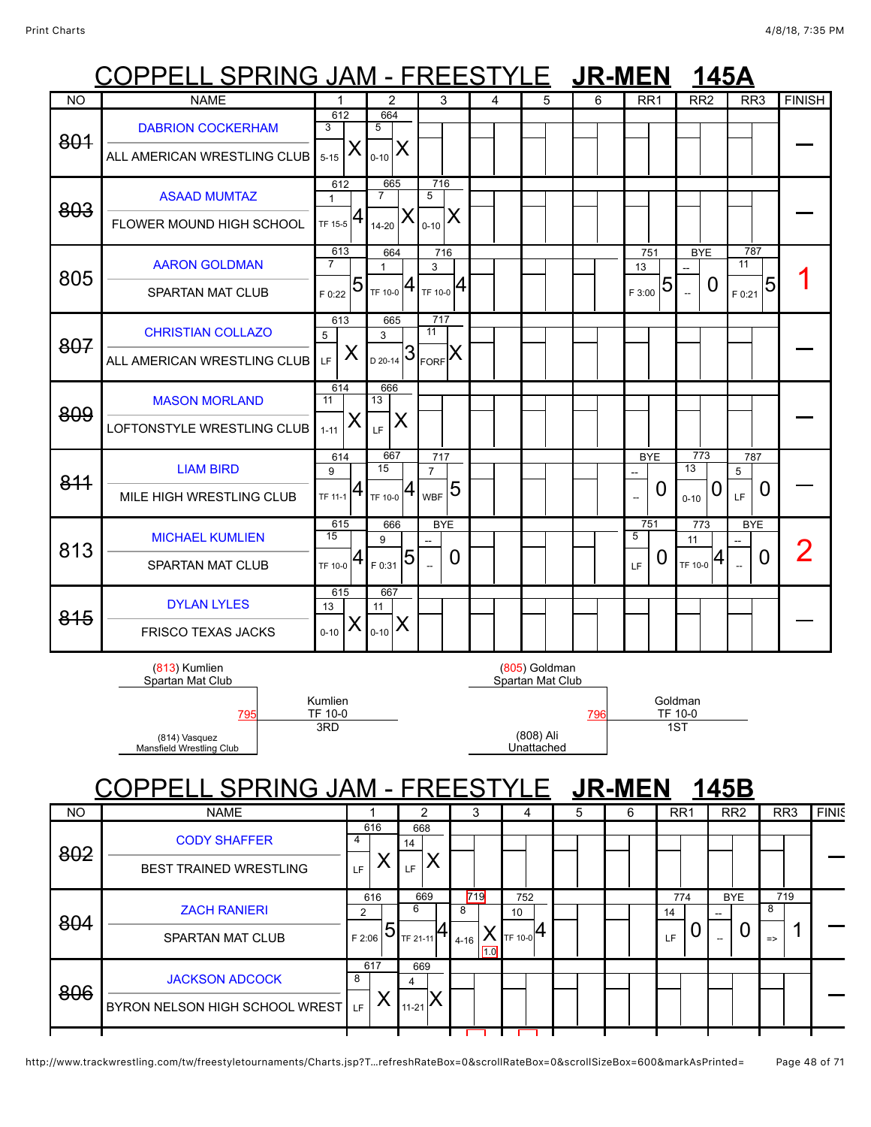## COPPELL SPRING JAM - FREESTYLE **JR-MEN 145A**

|           | ししГГ<br><u>LL OF RIIVU JAMI</u>           |                       |                | $\overline{\phantom{a}}$ |                                |            | REEOI |   |                                   | <b>JIZ-IVIEIN</b> |   |                               |                    |                          | 140A            |                 |                 |                |
|-----------|-------------------------------------------|-----------------------|----------------|--------------------------|--------------------------------|------------|-------|---|-----------------------------------|-------------------|---|-------------------------------|--------------------|--------------------------|-----------------|-----------------|-----------------|----------------|
| <b>NO</b> | <b>NAME</b>                               | 1                     |                | $\overline{2}$           |                                | 3          | 4     |   | 5                                 | 6                 |   | RR <sub>1</sub>               |                    | RR <sub>2</sub>          |                 | RR <sub>3</sub> |                 | <b>FINISH</b>  |
| 801       | <b>DABRION COCKERHAM</b>                  | 612<br>3              | 5              | 664                      |                                |            |       |   |                                   |                   |   |                               |                    |                          |                 |                 |                 |                |
|           | ALL AMERICAN WRESTLING CLUB               | $5 - 15$              | X<br>$0 - 10$  | ⋏                        |                                |            |       |   |                                   |                   |   |                               |                    |                          |                 |                 |                 |                |
|           | <b>ASAAD MUMTAZ</b>                       | 612<br>$\mathbf{1}$   | $\overline{7}$ | 665                      | 716<br>5                       |            |       |   |                                   |                   |   |                               |                    |                          |                 |                 |                 |                |
| 803       | FLOWER MOUND HIGH SCHOOL                  | TF 15-5               | 4<br>$14 - 20$ |                          | $0 - 10$                       | X          |       |   |                                   |                   |   |                               |                    |                          |                 |                 |                 |                |
|           | <b>AARON GOLDMAN</b>                      | 613<br>$\overline{7}$ | 1              | 664                      | 3                              | 716        |       |   |                                   |                   |   | 751<br>13                     |                    | <b>BYE</b>               |                 | 787<br>11       |                 |                |
| 805       | SPARTAN MAT CLUB                          | F 0:22                | 5              | $T_F$ 10-0 $ 4$          | $T_F$ 10-0 $ 4$                |            |       |   |                                   |                   |   | F 3:00                        | 5                  | $\overline{\phantom{a}}$ | 0               | F 0:21          | 5               |                |
| 807       | <b>CHRISTIAN COLLAZO</b>                  | 613<br>5              | 3              | 665                      | 717<br>11                      |            |       |   |                                   |                   |   |                               |                    |                          |                 |                 |                 |                |
|           | ALL AMERICAN WRESTLING CLUB               | LF.                   | X              | $\frac{1}{20.20-14}$ 3   | $E_{\text{LORF}}$ $\mathsf{X}$ |            |       |   |                                   |                   |   |                               |                    |                          |                 |                 |                 |                |
| 809       | <b>MASON MORLAND</b>                      | 614<br>11             | 13             | 666                      |                                |            |       |   |                                   |                   |   |                               |                    |                          |                 |                 |                 |                |
|           | LOFTONSTYLE WRESTLING CLUB                | $1 - 11$              | Х<br>LF.       | Χ                        |                                |            |       |   |                                   |                   |   |                               |                    |                          |                 |                 |                 |                |
| 811       | <b>LIAM BIRD</b>                          | 614<br>9              | 15             | 667                      | 717<br>$\overline{7}$          |            |       |   |                                   |                   |   | <b>BYE</b>                    |                    | 773<br>13                |                 | 787<br>5        |                 |                |
|           | MILE HIGH WRESTLING CLUB                  | TF 11-1               | 4              | 4<br>TF 10-0             | <b>WBF</b>                     | 5          |       |   |                                   |                   |   | 0<br>$\overline{\phantom{a}}$ |                    | $0 - 10$                 | O               | LF              | 0               |                |
| 813       | <b>MICHAEL KUMLIEN</b>                    | 615<br>15             | 9              | 666                      |                                | <b>BYE</b> |       |   |                                   |                   |   | 751<br>5                      |                    | 773<br>11                |                 | <b>BYE</b>      |                 | $\overline{2}$ |
|           | SPARTAN MAT CLUB                          | TF 10-0               | 4<br>F 0:31    | 5                        | $\overline{\phantom{a}}$       | 0          |       |   |                                   |                   |   | U<br>LF                       |                    | TF 10-0                  | 4               | 0<br>$\sim$     |                 |                |
| 815       | <b>DYLAN LYLES</b>                        | 615<br>13             | 11             | 667                      |                                |            |       |   |                                   |                   |   |                               |                    |                          |                 |                 |                 |                |
|           | <b>FRISCO TEXAS JACKS</b>                 | $0 - 10$              | Х<br>$0 - 10$  | X                        |                                |            |       |   |                                   |                   |   |                               |                    |                          |                 |                 |                 |                |
|           | (813) Kumlien<br>Spartan Mat Club         |                       |                |                          |                                |            |       |   | (805) Goldman<br>Spartan Mat Club |                   |   |                               |                    |                          |                 |                 |                 |                |
|           | <u>795</u>                                | Kumlien<br>TF 10-0    |                |                          |                                |            |       |   |                                   | <b>796</b>        |   |                               | Goldman<br>TF 10-0 |                          |                 |                 |                 |                |
|           | (814) Vasquez<br>Mansfield Wrestling Club | 3RD                   |                |                          |                                |            |       |   | (808) Ali<br>Unattached           |                   |   |                               | 1ST                |                          |                 |                 |                 |                |
|           | <b>SPRING JAM - FRE</b>                   |                       |                |                          |                                |            |       |   | E                                 | <u> JR-MEN</u>    |   |                               |                    |                          | 145B            |                 |                 |                |
| <b>NO</b> | <b>NAME</b>                               |                       | 1              |                          | 2                              |            | 3     | 4 |                                   | 5                 | 6 |                               | RR1                |                          | RR <sub>2</sub> |                 | RR <sub>3</sub> | <b>FINIS</b>   |
|           |                                           |                       | C1C            |                          | 000                            |            |       |   |                                   |                   |   |                               |                    |                          |                 |                 |                 |                |

| <b>IVU</b> | <b>INAIVIE</b>                                             |             |                       |                                  |     |               | د   | 4                                    | Ð. | O | <b>KRI</b>      | <b>RRZ</b>        | <b>KKJ</b>                     | <b>FINK</b> |
|------------|------------------------------------------------------------|-------------|-----------------------|----------------------------------|-----|---------------|-----|--------------------------------------|----|---|-----------------|-------------------|--------------------------------|-------------|
| 802        | <b>CODY SHAFFER</b><br><b>BEST TRAINED WRESTLING</b>       | LF          | 616                   | 668<br>14<br>LF.                 |     |               |     |                                      |    |   |                 |                   |                                |             |
| 804        | <b>ZACH RANIERI</b><br><b>SPARTAN MAT CLUB</b>             | 2<br>F 2:06 | 616<br>$\overline{5}$ | 6<br>TF 21-11                    | 669 | 8<br>$4 - 16$ | 719 | 752<br>10<br>$\cdot$ Ite 10-0 $ 4$ I |    |   | 774<br>14<br>LF | <b>BYE</b><br>$-$ | 719<br>8<br>╭<br>$\Rightarrow$ |             |
| 806        | <b>JACKSON ADCOCK</b><br>BYRON NELSON HIGH SCHOOL WREST LF | 8           | 617                   | 669<br>4<br>$11-21$ <sup>/</sup> |     |               |     |                                      |    |   |                 |                   |                                |             |
|            |                                                            |             |                       |                                  |     |               |     |                                      |    |   |                 |                   |                                |             |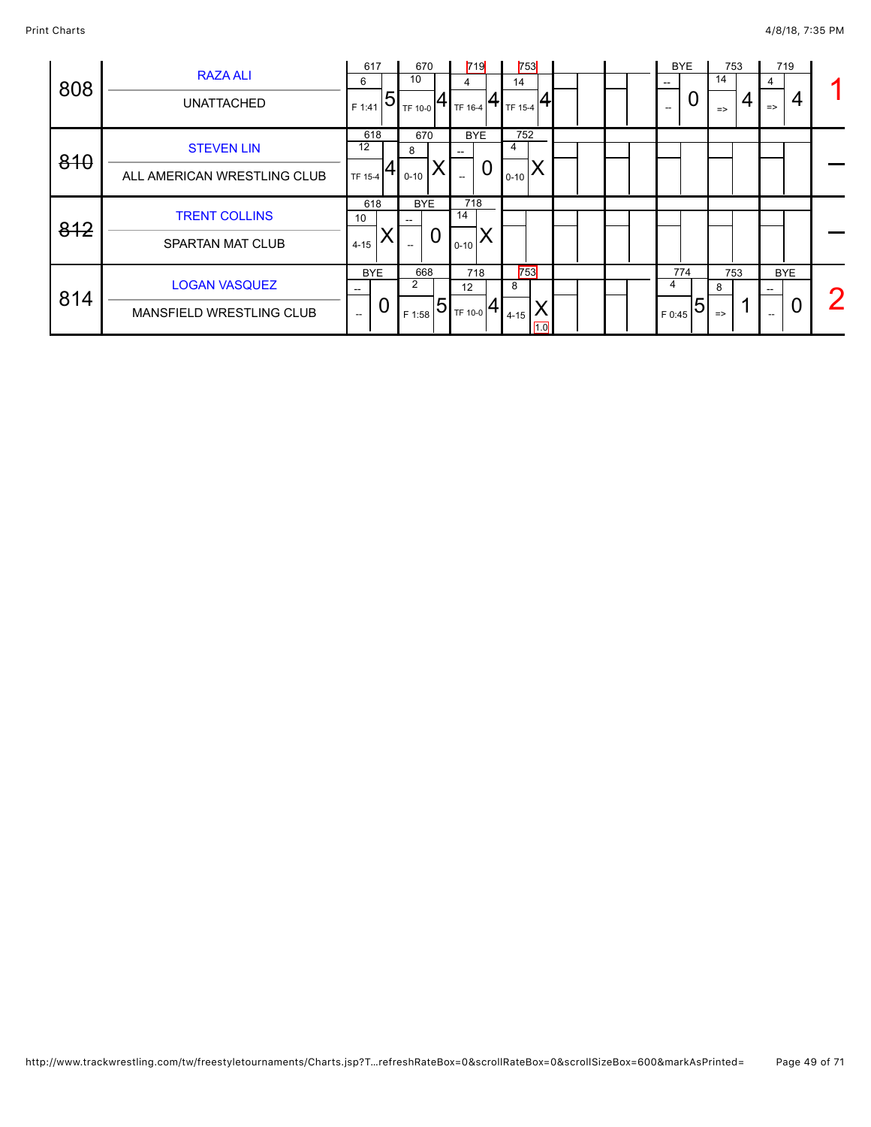| 808 | <b>RAZA ALI</b><br><b>UNATTACHED</b>             | 617<br>6<br>F 1:41   | $\overline{5}$ | 670<br>10<br>TF 10-0 |   | 4<br>TF 16-4   | 719                    | 753<br>14<br>TF 15-4 |  |  | $\overline{\phantom{a}}$<br>$\hspace{0.05cm} -$ | <b>BYE</b><br>O | 753<br>14<br>$\Rightarrow$ | 4 | 4<br>$\Rightarrow$ | 719<br>4 |  |
|-----|--------------------------------------------------|----------------------|----------------|----------------------|---|----------------|------------------------|----------------------|--|--|-------------------------------------------------|-----------------|----------------------------|---|--------------------|----------|--|
| 810 | <b>STEVEN LIN</b><br>ALL AMERICAN WRESTLING CLUB | 618<br>12<br>TF 15-4 |                | 670<br>8<br>$0 - 10$ |   |                | <b>BYE</b><br>$\Omega$ | 752<br>4<br>$0 - 10$ |  |  |                                                 |                 |                            |   |                    |          |  |
|     | <b>TRENT COLLINS</b>                             | 618                  |                | <b>BYE</b>           |   | 718            |                        |                      |  |  |                                                 |                 |                            |   |                    |          |  |
| 812 | <b>SPARTAN MAT CLUB</b>                          | 10<br>$4 - 15$       |                | $--$                 | 0 | 14<br>$0 - 10$ |                        |                      |  |  |                                                 |                 |                            |   |                    |          |  |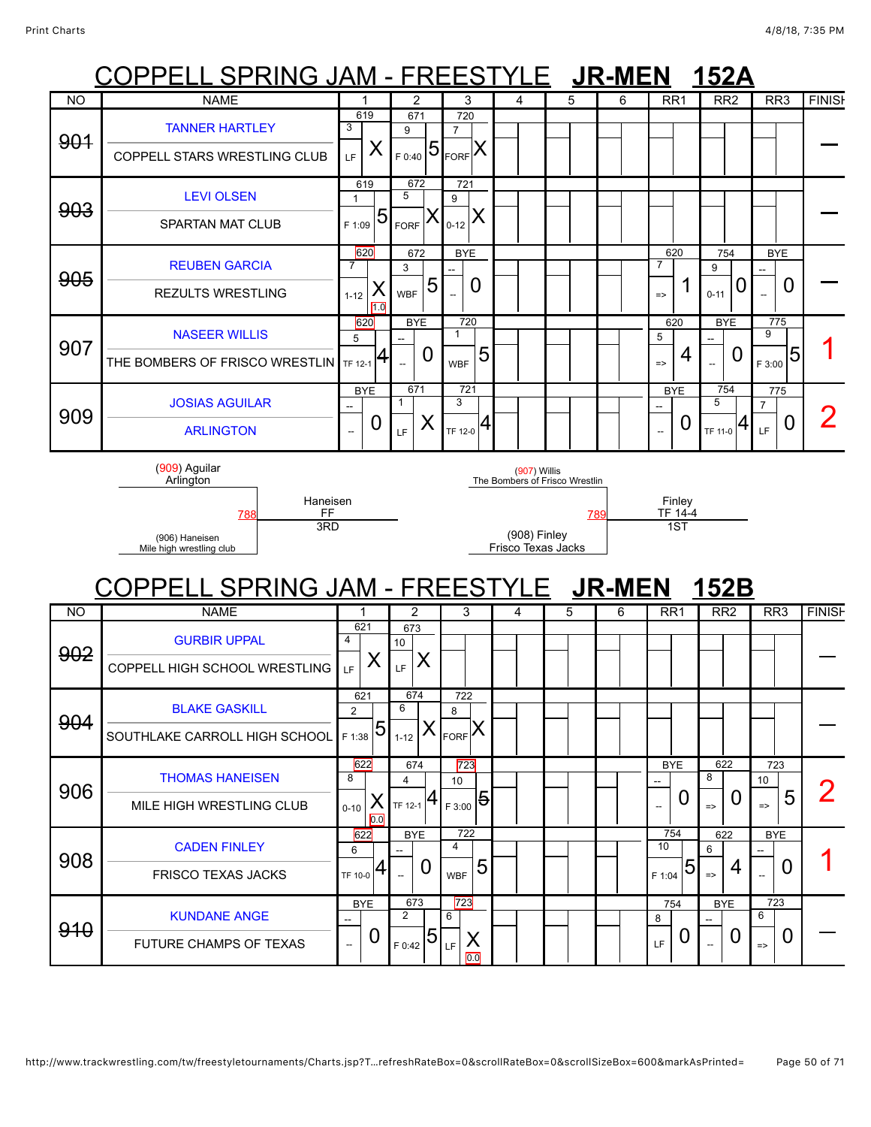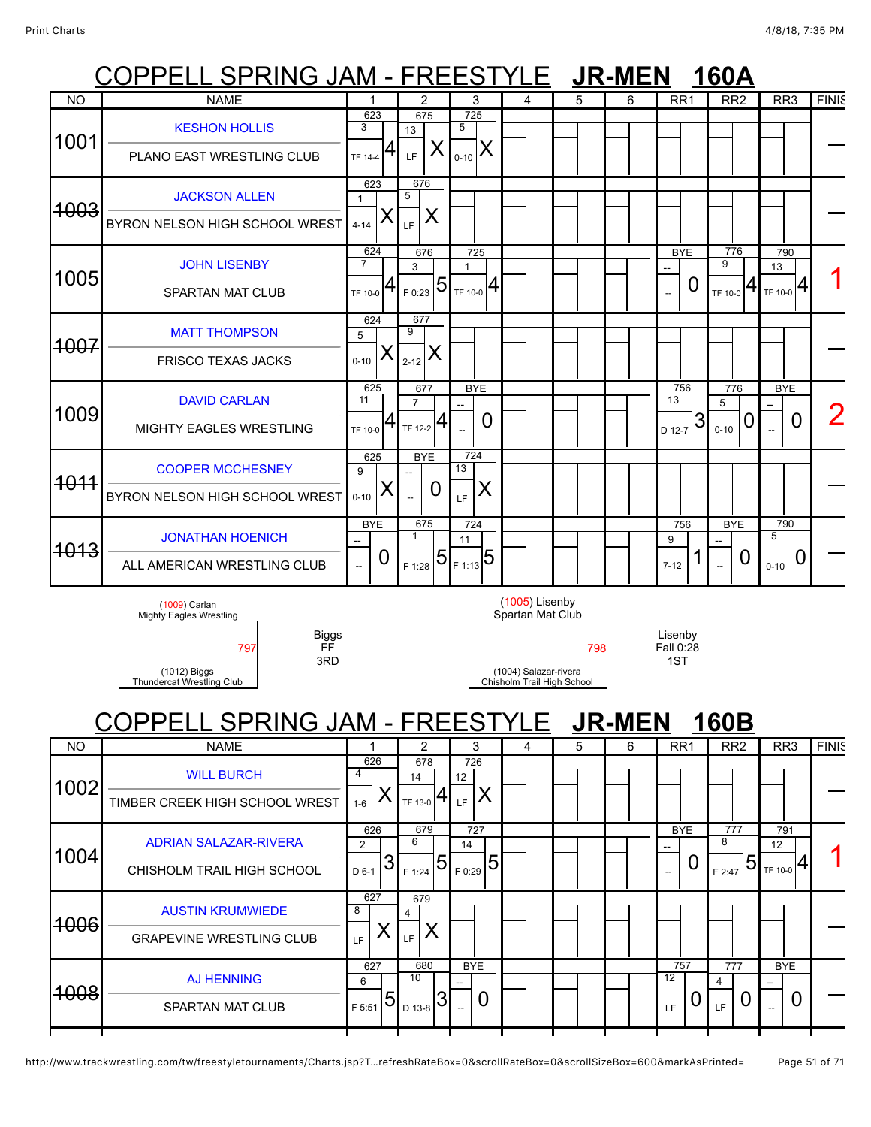## COPPELL SPRING JAM - FREESTYLE **JR-MEN 160A**

|                 | .<br>.                                                    | .                                           |                     |                             |                                        |                                    | . . |   |                                             | .                                   |                              |              |
|-----------------|-----------------------------------------------------------|---------------------------------------------|---------------------|-----------------------------|----------------------------------------|------------------------------------|-----|---|---------------------------------------------|-------------------------------------|------------------------------|--------------|
| <b>NO</b>       | <b>NAME</b>                                               | 1                                           |                     | $\overline{2}$              | 3                                      | 4                                  | 5   | 6 | RR <sub>1</sub>                             | RR <sub>2</sub>                     | RR <sub>3</sub>              | <b>FINIS</b> |
| <del>1001</del> | <b>KESHON HOLLIS</b><br>PLANO EAST WRESTLING CLUB         | 623<br>3<br><b>TF 14-4</b>                  | 13<br>4<br>LF       | 675<br>Χ                    | $\overline{725}$<br>5<br>Χ<br>$0 - 10$ |                                    |     |   |                                             |                                     |                              |              |
| <del>1003</del> | <b>JACKSON ALLEN</b><br>BYRON NELSON HIGH SCHOOL WREST    | 623<br>$\mathbf{1}$<br>$4 - 14$             | 5<br>LF             | 676<br>X                    |                                        |                                    |     |   |                                             |                                     |                              |              |
| 1005            | <b>JOHN LISENBY</b><br><b>SPARTAN MAT CLUB</b>            | 624<br>$\overline{7}$<br>TF 10-0            | 3<br>4<br>F 0:23    | 676<br>$\overline{5}$       | 725<br>$\mathbf{1}$<br> 4<br>TF 10-0   |                                    |     |   | <b>BYE</b><br>0<br>$\overline{\phantom{a}}$ | 776<br>9<br>$\mathbf{4}$<br>TF 10-0 | 790<br>13<br>4<br>TF 10-0    |              |
| <del>1007</del> | <b>MATT THOMPSON</b><br><b>FRISCO TEXAS JACKS</b>         | 624<br>5<br>$0 - 10$                        | 9<br>$2 - 12$       | 677<br>Χ                    |                                        |                                    |     |   |                                             |                                     |                              |              |
| 1009            | <b>DAVID CARLAN</b><br><b>MIGHTY EAGLES WRESTLING</b>     | 625<br>11<br>TF 10-0                        | $\overline{7}$<br>4 | 677<br>TF 12-2 <sup>4</sup> | <b>BYE</b><br>0                        |                                    |     |   | 756<br>13<br>3<br>D 12-7                    | 776<br>5<br>C<br>$0 - 10$           | <b>BYE</b><br>$\overline{0}$ |              |
| 1011            | <b>COOPER MCCHESNEY</b><br>BYRON NELSON HIGH SCHOOL WREST | 625<br>9<br>Х<br>$0 - 10$                   |                     | <b>BYE</b><br>0             | 724<br>13<br>Χ<br>LF                   |                                    |     |   |                                             |                                     |                              |              |
| <del>1013</del> | <b>JONATHAN HOENICH</b><br>ALL AMERICAN WRESTLING CLUB    | <b>BYE</b><br>0<br>$\overline{\phantom{a}}$ | F 1:28              | 675<br>$\overline{5}$       | 724<br>11<br>$\mathbf{F}_{1:13}$ 5     |                                    |     |   | 756<br>9<br>$7 - 12$                        | <b>BYE</b><br>$\overline{0}$        | 790<br>5<br>0<br>$0 - 10$    |              |
|                 | (1009) Carlan<br><b>Mighty Eagles Wrestling</b>           |                                             |                     |                             |                                        | (1005) Lisenby<br>Spartan Mat Club |     |   |                                             |                                     |                              |              |

(1012) Biggs

Thundercat Wrestling Club

Biggs

3RD

FF

### [797](javascript:openBoutSheet(6261)) [798](javascript:openBoutSheet(6251)) Fall 0:28 (1004) Salazar-rivera Chisholm Trail High School

Lisenby<br>Fall 0:28 1ST

COPPELL SPRING JAM - FREESTYLE **JR-MEN 160B**

| <b>NO</b>       | <b>NAME</b>                                                |                         | 2                                         | 3                                     | 4 | 5 | 6 | RR <sub>1</sub>                                                  | RR <sub>2</sub>                  | RR <sub>3</sub>      | <b>FINIS</b> |
|-----------------|------------------------------------------------------------|-------------------------|-------------------------------------------|---------------------------------------|---|---|---|------------------------------------------------------------------|----------------------------------|----------------------|--------------|
| <del>1002</del> | <b>WILL BURCH</b><br>TIMBER CREEK HIGH SCHOOL WREST        | 626<br>4<br>$1 - 6$     | 678<br>14<br>$T_{\rm TF\,13\text{-}0}  4$ | 726<br>12<br>Χ<br>LF.                 |   |   |   |                                                                  |                                  |                      |              |
| 1004            | <b>ADRIAN SALAZAR-RIVERA</b><br>CHISHOLM TRAIL HIGH SCHOOL | 626<br>2<br>3<br>D 6-1  | 679<br>6<br>15<br>F 1:24                  | 727<br>14<br>$\overline{5}$<br>F 0:29 |   |   |   | <b>BYE</b><br>$\hspace{0.05cm}$<br>0<br>$\overline{\phantom{a}}$ | 777<br>8<br>$\sqrt{5}$<br>F 2:47 | 791<br>12<br>TF 10-0 |              |
| <del>1006</del> | <b>AUSTIN KRUMWIEDE</b><br><b>GRAPEVINE WRESTLING CLUB</b> | 627<br>8<br>LF          | 679<br>4<br>X<br>LF                       |                                       |   |   |   |                                                                  |                                  |                      |              |
| 4008            | <b>AJ HENNING</b><br><b>SPARTAN MAT CLUB</b>               | 627<br>6<br>5<br>F 5:51 | 680<br>10<br>3<br>D 13-8                  | <b>BYE</b><br>0                       |   |   |   | 757<br>12<br>U<br>LF.                                            | 777<br>4<br>0<br>LF.             | <b>BYE</b><br>U      |              |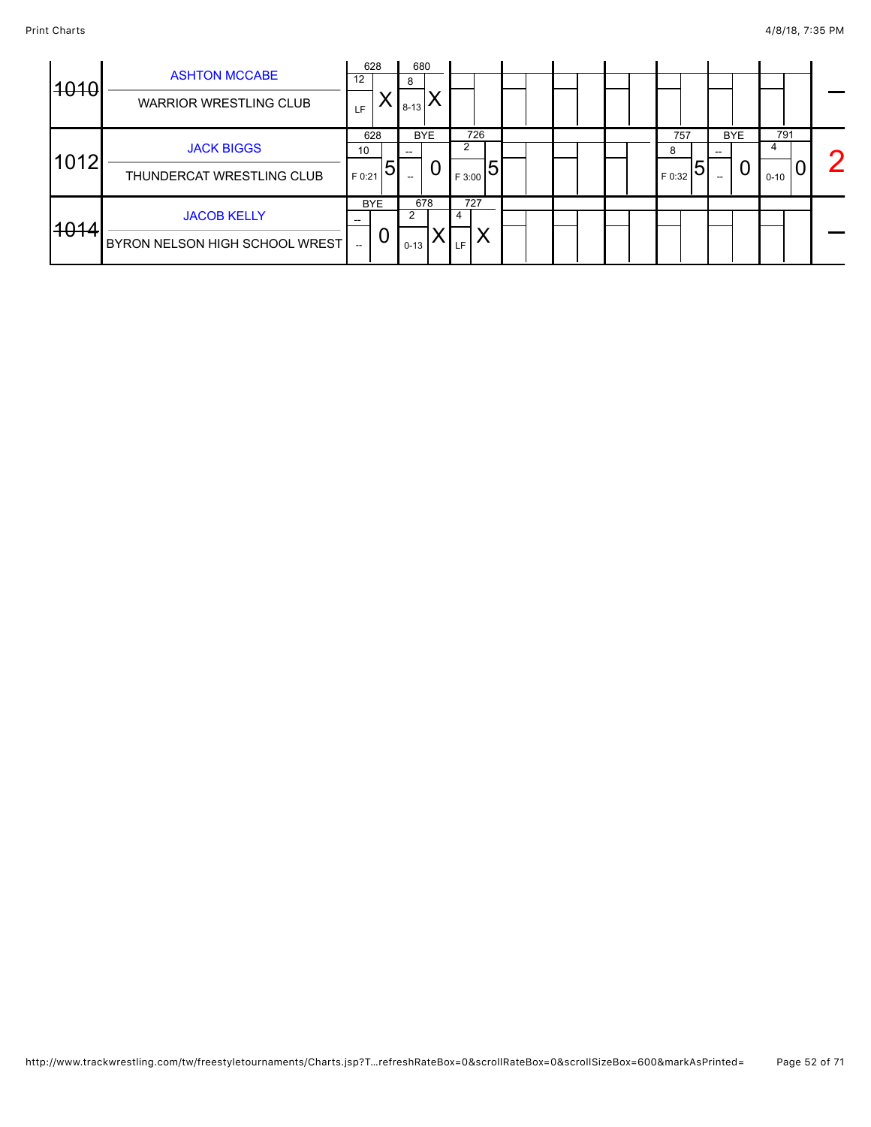| 4040 | <b>ASHTON MCCABE</b><br><b>WARRIOR WRESTLING CLUB</b> | 12<br>LF                       | 628             | 8<br>$8 - 13$ | 680             |                  |  |                          |                 |                      |                |
|------|-------------------------------------------------------|--------------------------------|-----------------|---------------|-----------------|------------------|--|--------------------------|-----------------|----------------------|----------------|
| 1012 | <b>JACK BIGGS</b><br>THUNDERCAT WRESTLING CLUB        | 10<br>$F$ 0:21                 | 628             |               | <b>BYE</b><br>U | 726<br>F 3:00    |  | 757<br>8<br>.5<br>F 0:32 | <b>BYE</b><br>U | 791<br>4<br>$0 - 10$ | $\overline{2}$ |
| 4014 | <b>JACOB KELLY</b><br>BYRON NELSON HIGH SCHOOL WREST  | --<br>$\overline{\phantom{a}}$ | <b>BYE</b><br>U | $0 - 13$      | 678             | 727<br><b>LF</b> |  |                          |                 |                      |                |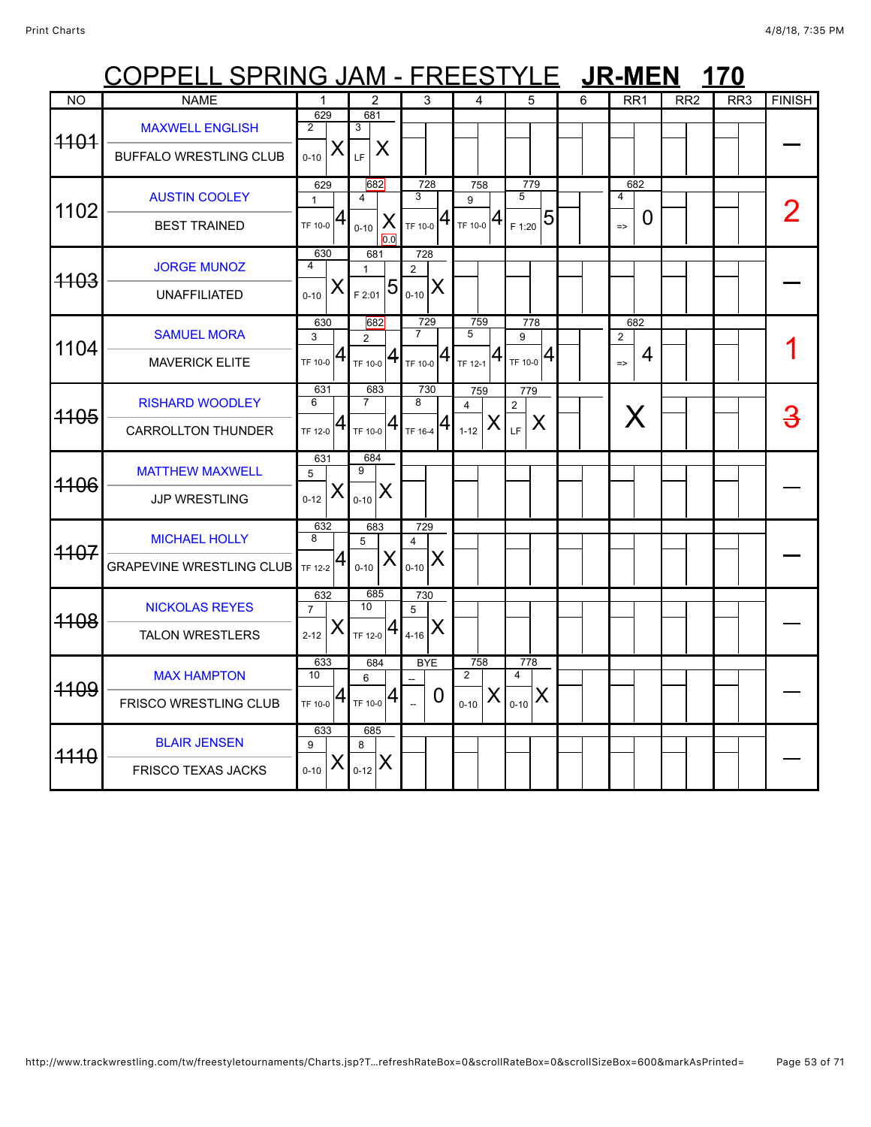## COPPELL SPRING JAM - FREESTYLE JR-MEN 170

| N <sub>O</sub> | <b>NAME</b>                                             | $\mathbf{1}$                           | $\overline{2}$                                  | 3                                                                                                   | $\overline{4}$                                                  | 5                                                      | 6 | RR <sub>1</sub>                             | RR2 | RR3 | <b>FINISH</b> |
|----------------|---------------------------------------------------------|----------------------------------------|-------------------------------------------------|-----------------------------------------------------------------------------------------------------|-----------------------------------------------------------------|--------------------------------------------------------|---|---------------------------------------------|-----|-----|---------------|
| 4404           | <b>MAXWELL ENGLISH</b><br><b>BUFFALO WRESTLING CLUB</b> | 629<br>2<br>X<br>$0 - 10$              | 681<br>3<br>X<br>LF                             |                                                                                                     |                                                                 |                                                        |   |                                             |     |     |               |
| 1102           | <b>AUSTIN COOLEY</b><br><b>BEST TRAINED</b>             | 629<br>$\mathbf{1}$<br>$T$ F 10-0 $ 4$ | 682<br>$\overline{4}$<br>X<br>$0 - 10$<br>0.0   | 728<br>3<br>41<br>TF 10-0                                                                           | 758<br>9<br>$T_{\text{TF 10-0}} 4$                              | 779<br>5<br>$\frac{1}{2}$ $\frac{1}{20}$ $\frac{1}{5}$ |   | 682<br>$\overline{4}$<br>0<br>$\Rightarrow$ |     |     |               |
| 4103           | <b>JORGE MUNOZ</b><br><b>UNAFFILIATED</b>               | 630<br>4<br>X<br>$0 - 10$              | 681<br>$\mathbf{1}$<br>$\overline{5}$<br>F 2:01 | 728<br>2<br>X<br>$0 - 10$                                                                           |                                                                 |                                                        |   |                                             |     |     |               |
| 1104           | <b>SAMUEL MORA</b><br><b>MAVERICK ELITE</b>             | 630<br>3<br>$T$ F 10-0 $ 4$            | 682<br>$\overline{2}$<br>$T_F$ 10-0 $ 4 $       | 729<br>$\overline{7}$<br>$\mathbf{1}_{\mathsf{TF} \, \mathsf{10}\text{-}\mathsf{0}}   \mathsf{4}  $ | 759<br>5<br>$\mathbf{1}_{\mathsf{TF}\,12\text{-}1} \mathbf{4} $ | 778<br>9<br>$T_{\text{TF 10-0}} 4$                     |   | 682<br>$\overline{2}$<br>4<br>$\Rightarrow$ |     |     |               |
| 4105           | <b>RISHARD WOODLEY</b><br><b>CARROLLTON THUNDER</b>     | 631<br>6<br>$\overline{a}$<br>TF 12-0  | 683<br>$\overline{7}$<br>TF 10-0 $ 4$           | 730<br>8<br>TF 16-4 $ 4 $                                                                           | 759<br>4<br>X<br>$1-12$                                         | 779<br>$\mathbf{2}$<br>X<br>LF                         |   | X                                           |     |     | <u>3</u>      |
| 4106           | <b>MATTHEW MAXWELL</b><br>JJP WRESTLING                 | 631<br>5<br>X<br>$0 - 12$              | 684<br>9<br>X<br>$0 - 10$                       |                                                                                                     |                                                                 |                                                        |   |                                             |     |     |               |
| 4107           | <b>MICHAEL HOLLY</b><br><b>GRAPEVINE WRESTLING CLUB</b> | 632<br>8<br><b>TF 12-2</b>             | 683<br>5<br>X<br>$0 - 10$                       | 729<br>$\overline{4}$<br>X<br>$0 - 10$                                                              |                                                                 |                                                        |   |                                             |     |     |               |
| 4108           | <b>NICKOLAS REYES</b><br><b>TALON WRESTLERS</b>         | 632<br>$\overline{7}$<br>X<br>$2 - 12$ | 685<br>10 <sup>1</sup><br>$T$ F 12-0 $ 4$       | 730<br>5<br>X<br>$4 - 16$                                                                           |                                                                 |                                                        |   |                                             |     |     |               |
| 4109           | <b>MAX HAMPTON</b><br><b>FRISCO WRESTLING CLUB</b>      | 633<br>10<br>4<br>TF 10-0              | 684<br>6<br>$TF$ 10-0 $ 4$                      | <b>BYE</b><br>0                                                                                     | 758<br>$\overline{2}$<br>X<br>$0 - 10$                          | 778<br>4<br>$\sum_{0-10} X$                            |   |                                             |     |     |               |
| 4440           | <b>BLAIR JENSEN</b><br>FRISCO TEXAS JACKS               | 633<br>9<br>X<br>$0 - 10$              | 685<br>8<br>$_{0-12}$ $X$                       |                                                                                                     |                                                                 |                                                        |   |                                             |     |     |               |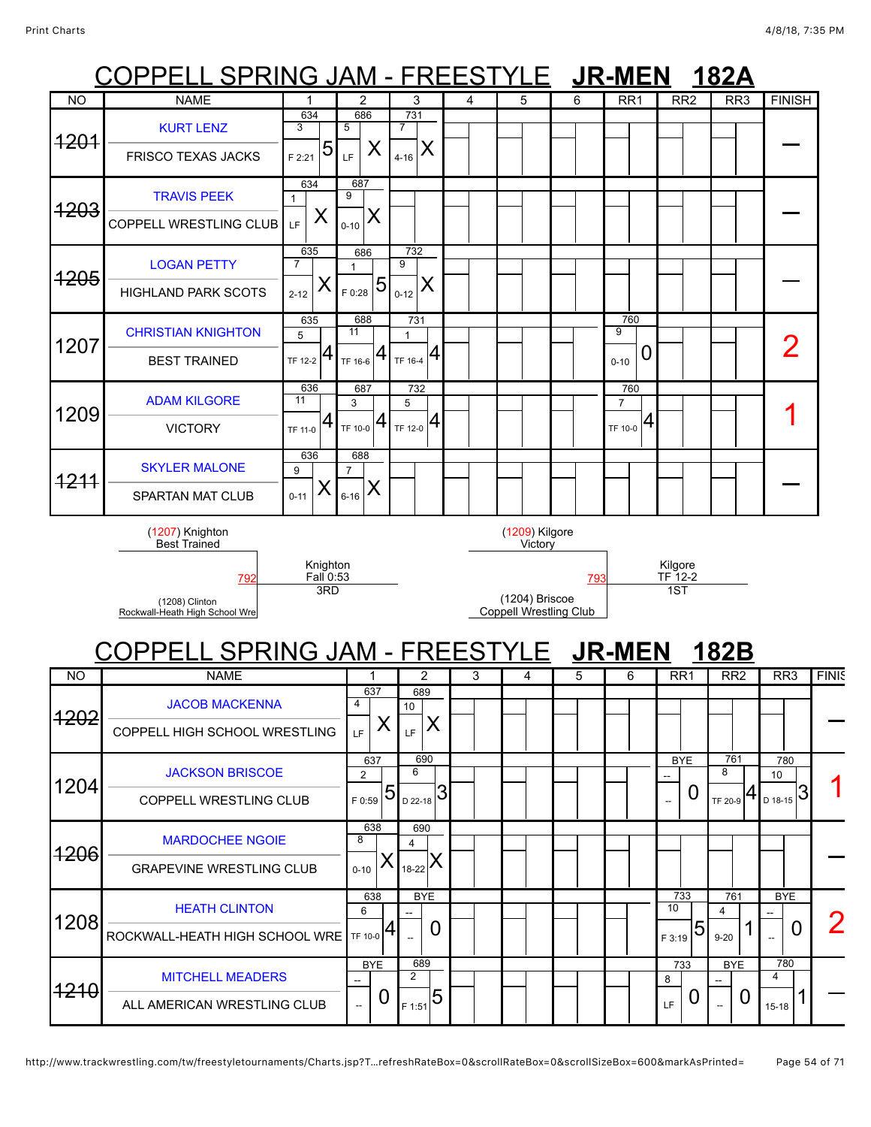1206

1208

1210

[MARDOCHEE NGOIE](javascript:viewProfile(628789132)) GRAPEVINE WRESTLING CLUB

[HEATH CLINTON](javascript:viewProfile(628475132)) ROCKWALL-HEATH HIGH SCHOOL WRE

[MITCHELL MEADERS](javascript:viewProfile(1098526096))

ALL AMERICAN WRESTLING CLUB

 $\overline{a}$ 

 $\overline{a}$ 

733 8  $_{LF}$  | 0

BYE --

0

BYE --

 $\overline{\phantom{a}}$  0 2

### Print Charts 4/8/18, 7(35 PM COPPELL SPRING JAM - FREESTYLE **JR-MEN 182A** COPPELL SPRING JAM - FREESTYLE **JR-MEN 182B** NO | NAME | 1 | 2 | 3 | 4 | 5 | 6 | RR1 | RR2 | RR3 |FINISH 1201 [KURT LENZ](javascript:viewProfile(777425096)) FRISCO TEXAS JACKS 634 3  $_{F\,2:21}$  5 686 5  $_{LF}$   $\mid$  X 731 7  $_{4-16}$   $\times$  $\overline{a}$ 1203 [TRAVIS PEEK](javascript:viewProfile(542352096)) COPPELL WRESTLING CLUB 634 1  $L_{\text{F}}$   $\vert$  X 687 9  $_{\scriptscriptstyle{0\text{-}10}}$   $\mathsf{X}$  $\overline{a}$ 1205 [LOGAN PETTY](javascript:viewProfile(522357096)) HIGHLAND PARK SCOTS 635 7  $2-12$  X 686 1 5 <sub>F 0:28</sub> 732 9  $_{0-12}$   $\vert$  X  $\overline{a}$ 1207 [CHRISTIAN KNIGHTON](javascript:viewProfile(256644132)) BEST TRAINED 635 5 TF 12-2 688 11 TF 16-6 731 1  $T$ F 16-4  $4$ 760 9  $_{0.10}$  0  $\overline{\phantom{a}}$   $\overline{\phantom{a}}$   $\overline{\phantom{a}}$   $\overline{\phantom{a}}$   $\overline{\phantom{a}}$   $\overline{\phantom{a}}$   $\overline{\phantom{a}}$   $\overline{\phantom{a}}$   $\overline{\phantom{a}}$   $\overline{\phantom{a}}$   $\overline{\phantom{a}}$   $\overline{\phantom{a}}$   $\overline{\phantom{a}}$   $\overline{\phantom{a}}$   $\overline{\phantom{a}}$   $\overline{\phantom{a}}$   $\overline{\phantom{a}}$   $\overline{\phantom{a}}$   $\overline{\$ 1209 [ADAM KILGORE](javascript:viewProfile(25026009)) VICTORY 636 11 TF 11-0 687 3  $_{\sf TF\ 10{\text -}0}$   $\bm{4}$ 732 5  $T_{\rm F\ 12-0}$  4 760 7  $_{\rm TF\ 10{\text -}0}$  4  $\begin{array}{c|c|c|c|c|c} \mathsf{1} & \mathsf{1} & \mathsf{1} & \mathsf{1} \end{array}$ 1211 [SKYLER MALONE](javascript:viewProfile(1580278009)) SPARTAN MAT CLUB 636 9  $0 - 11$ 688 7  $_{\rm 6\text{-}16}$   $\bm{\mathsf{X}}$  $\overline{a}$ (1207) Knighton Best Trained Knighton <u>Fall</u> 0:53<br>3RD (1209) Kilgore **Victory** Kilgore<br>TF 12-2 [792](javascript:openBoutSheet(5561)) [793](javascript:openBoutSheet(5551)) TF 12-2 (1208) Clinton Rockwall-Heath High School Wre (1204) Briscoe Coppell Wrestling Club 1ST NO | NAME | 1 | 2 | 3 | 4 | 5 | 6 | RR1 | RR2 | RR3 |FINIS 1202 [JACOB MACKENNA](javascript:viewProfile(918137096)) COPPELL HIGH SCHOOL WRESTLING 637 4  $_{LF}$   $\vert$  X 689 10  $_{\rm LF}$   $\mid$   $\sf X$ 1204 [JACKSON BRISCOE](javascript:viewProfile(3955076)) COPPELL WRESTLING CLUB 637 2  $50.59$  5 690 6  $_{\rm D$  22-18  $\rm G$ **BYE** --  $\Omega$ 761 8 TF 20-9 780 10  $_{D \ 18-15}$ 3

638 8

638 6 TF 10-0

> BYE --

> > $\overline{0}$

690 4 18-22

BYE --

689 2 <sub>F 1:51</sub> 5

 $\overline{0}$ 

 $0 - 10$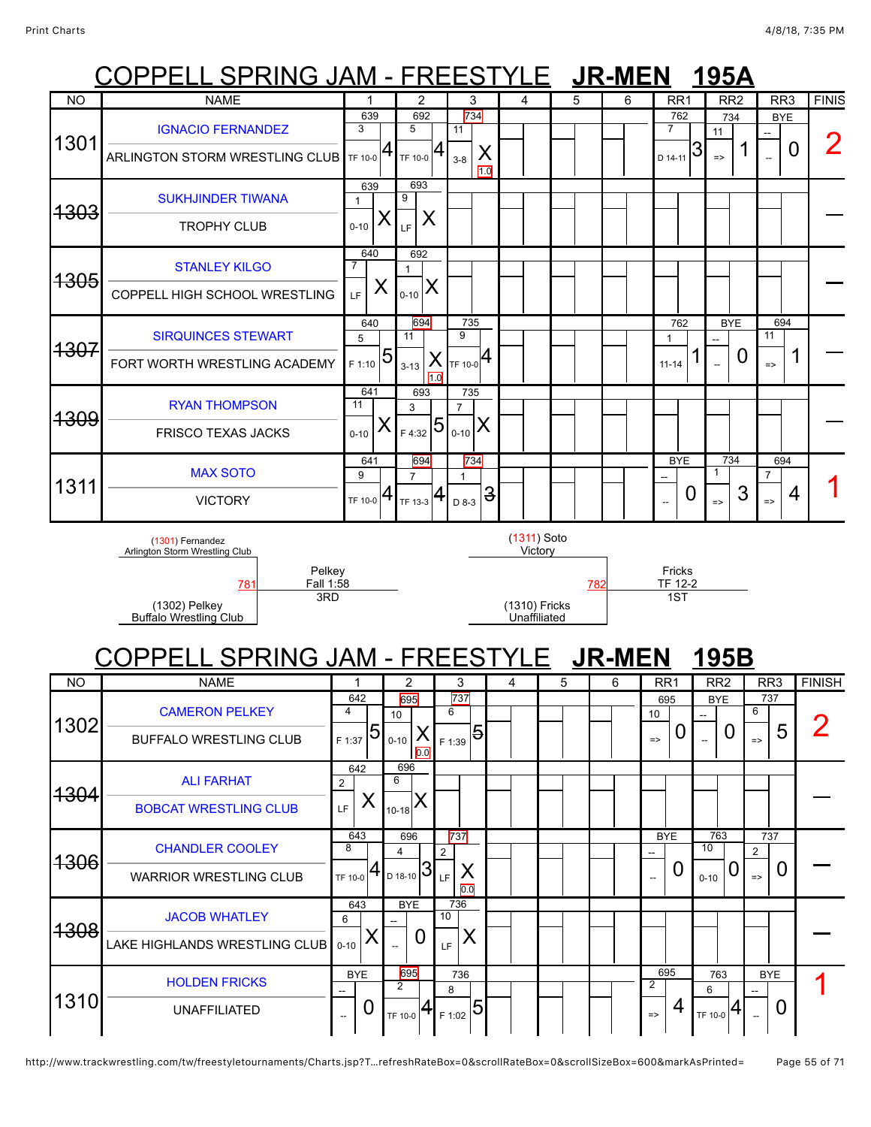## COPPELL SPRING JAM - FREESTYLE **JR-MEN 195A**

| <b>NO</b>       | <b>NAME</b>                                                | 1                     | 2                                                 |                 | 3                                | 4                             | 5 |     | 6 | RR <sub>1</sub>             |   | RR <sub>2</sub>     |                |                    | RR <sub>3</sub> | <b>FINIS</b>  |
|-----------------|------------------------------------------------------------|-----------------------|---------------------------------------------------|-----------------|----------------------------------|-------------------------------|---|-----|---|-----------------------------|---|---------------------|----------------|--------------------|-----------------|---------------|
|                 |                                                            | 639<br>$\overline{3}$ | 692                                               |                 | 734                              |                               |   |     |   | 762                         |   | 734                 |                |                    | <b>BYE</b>      |               |
| 1301            | <b>IGNACIO FERNANDEZ</b><br>ARLINGTON STORM WRESTLING CLUB | TF 10-0               | 5<br>TF 10-0                                      |                 | 11<br>X<br>$3 - 8$               |                               |   |     |   | $\overline{7}$<br>D 14-11   | 3 | 11<br>$\Rightarrow$ | 1              |                    | $\overline{0}$  |               |
|                 |                                                            |                       |                                                   |                 | 1.0                              |                               |   |     |   |                             |   |                     |                |                    |                 |               |
| <del>1303</del> | <b>SUKHJINDER TIWANA</b>                                   | 639<br>$\mathbf{1}$   | 693<br>9                                          |                 |                                  |                               |   |     |   |                             |   |                     |                |                    |                 |               |
|                 | <b>TROPHY CLUB</b>                                         | Х<br>$0 - 10$         | Χ<br>LF                                           |                 |                                  |                               |   |     |   |                             |   |                     |                |                    |                 |               |
| 1305            | <b>STANLEY KILGO</b>                                       | 640<br>7              | 692<br>$\mathbf{1}$                               |                 |                                  |                               |   |     |   |                             |   |                     |                |                    |                 |               |
|                 | COPPELL HIGH SCHOOL WRESTLING                              | X<br>LF.              | Х<br>$0 - 10$                                     |                 |                                  |                               |   |     |   |                             |   |                     |                |                    |                 |               |
|                 | <b>SIRQUINCES STEWART</b>                                  | 640<br>5              | 694<br>11                                         |                 | 735<br>9                         |                               |   |     |   | 762<br>$\mathbf{1}$         |   | <b>BYE</b>          |                | 11                 | 694             |               |
| <del>1307</del> | FORT WORTH WRESTLING ACADEMY                               | 5<br>F 1:10           | $3 - 13$                                          | X<br>1.0        | TF 10-0 <sup>4</sup>             |                               |   |     |   | $11 - 14$                   | ш |                     | $\overline{0}$ | $\Rightarrow$      | 1               |               |
|                 | <b>RYAN THOMPSON</b>                                       | 641<br>11             | 693                                               |                 | 735                              |                               |   |     |   |                             |   |                     |                |                    |                 |               |
| 1309            | <b>FRISCO TEXAS JACKS</b>                                  | Х                     | 3<br>F 4:32                                       | 5               | $\overline{7}$<br>X<br>$0 - 10$  |                               |   |     |   |                             |   |                     |                |                    |                 |               |
|                 |                                                            | $0 - 10$              |                                                   |                 |                                  |                               |   |     |   |                             |   |                     |                |                    |                 |               |
|                 | <b>MAX SOTO</b>                                            | 641<br>9              | 694<br>$\overline{7}$                             |                 | $734$<br>$\mathbf{1}$            |                               |   |     |   | <b>BYE</b>                  |   | 734<br>$\mathbf{1}$ |                | $\overline{7}$     | 694             |               |
| 1311            | <b>VICTORY</b>                                             | 4<br>TF 10-0          | $T_{\rm TF\,13\text{-}3}$ $\left  \bm{4} \right $ |                 | $\overline{\mathbf{3}}$<br>D 8-3 |                               |   |     |   | $\overline{a}$              | 0 | $\Rightarrow$       | 3              | $\Rightarrow$      | 4               |               |
|                 | (1301) Fernandez<br>Arlington Storm Wrestling Club         |                       |                                                   |                 |                                  | (1311) Soto<br>Victory        |   |     |   |                             |   |                     |                |                    |                 |               |
|                 | Pelkey                                                     |                       |                                                   |                 |                                  |                               |   |     |   | Fricks                      |   |                     |                |                    |                 |               |
|                 | Fall 1:58<br>781<br>3RD                                    |                       |                                                   |                 |                                  |                               |   | 782 |   | TF 12-2<br>$\overline{1ST}$ |   |                     |                |                    |                 |               |
|                 | (1302) Pelkey<br>Buffalo Wrestling Club                    |                       |                                                   |                 |                                  | (1310) Fricks<br>Unaffiliated |   |     |   |                             |   |                     |                |                    |                 |               |
|                 | <u> COPPELL SPRING JAM - FREESTYLE LUR-MEN</u>             |                       |                                                   |                 |                                  |                               |   |     |   |                             |   | 195B                |                |                    |                 |               |
| <b>NO</b>       | <b>NAME</b>                                                |                       | $\overline{2}$                                    |                 | 3                                | 4                             | 5 | 6   |   | RR <sub>1</sub>             |   | RR <sub>2</sub>     |                | RR <sub>3</sub>    |                 | <b>FINISH</b> |
|                 | <b>CAMERON PELKEY</b>                                      | 642<br>$\overline{4}$ | 695<br>10                                         | $6\overline{6}$ | 737                              |                               |   |     |   | 695<br>10                   |   | <b>BYE</b>          | 6              | 737                |                 |               |
| 1302            | <b>BUFFALO WRESTLING CLUB</b>                              | 5<br>F 1:37           | Х<br>$0 - 10$<br>0.0                              | F 1:39          | 5                                |                               |   |     |   | 0<br>$\Rightarrow$          |   | 0                   |                | 5<br>$\Rightarrow$ |                 |               |
|                 | <b>ALI FARHAT</b>                                          | 642<br>$\overline{2}$ | 696<br>6                                          |                 |                                  |                               |   |     |   |                             |   |                     |                |                    |                 |               |
| <del>1304</del> | <b>BOBCAT WRESTLING CLUB</b>                               | X<br>LF               | $_{10-18}$ $X$                                    |                 |                                  |                               |   |     |   |                             |   |                     |                |                    |                 |               |

| 1306 | <b>UHANDLER COOLEY</b><br><b>WARRIOR WRESTLING CLUB</b>      | ŏ<br>TF 10-0                           |         |                 | ົ<br>LF. | 0.0                         |  |  | $- -$                | ΠU<br>U<br>$0 - 10$ | $\overline{2}$<br>$\Rightarrow$ |  |
|------|--------------------------------------------------------------|----------------------------------------|---------|-----------------|----------|-----------------------------|--|--|----------------------|---------------------|---------------------------------|--|
| 1308 | <b>JACOB WHATLEY</b><br>LAKE HIGHLANDS WRESTLING CLUB   0-10 | 643<br>6                               |         | <b>BYE</b><br>0 | 10<br>LF | 736                         |  |  |                      |                     |                                 |  |
| 1310 | <b>HOLDEN FRICKS</b><br><b>UNAFFILIATED</b>                  | <b>BYE</b><br>$\overline{\phantom{a}}$ | TF 10-0 | 695             |          | 736<br>$_{\rm 1F\,1:02}$ 51 |  |  | 695<br>$\Rightarrow$ | 763<br>6<br>TF 10-0 | <b>BYE</b><br>U<br>--           |  |

737

BYE

763  $\begin{array}{|c|c|c|}\n\hline\n763 & 737 \\
\hline\n10 & 2\n\end{array}$ 

643 8

696

[CHANDLER COOLEY](javascript:viewProfile(1535932096))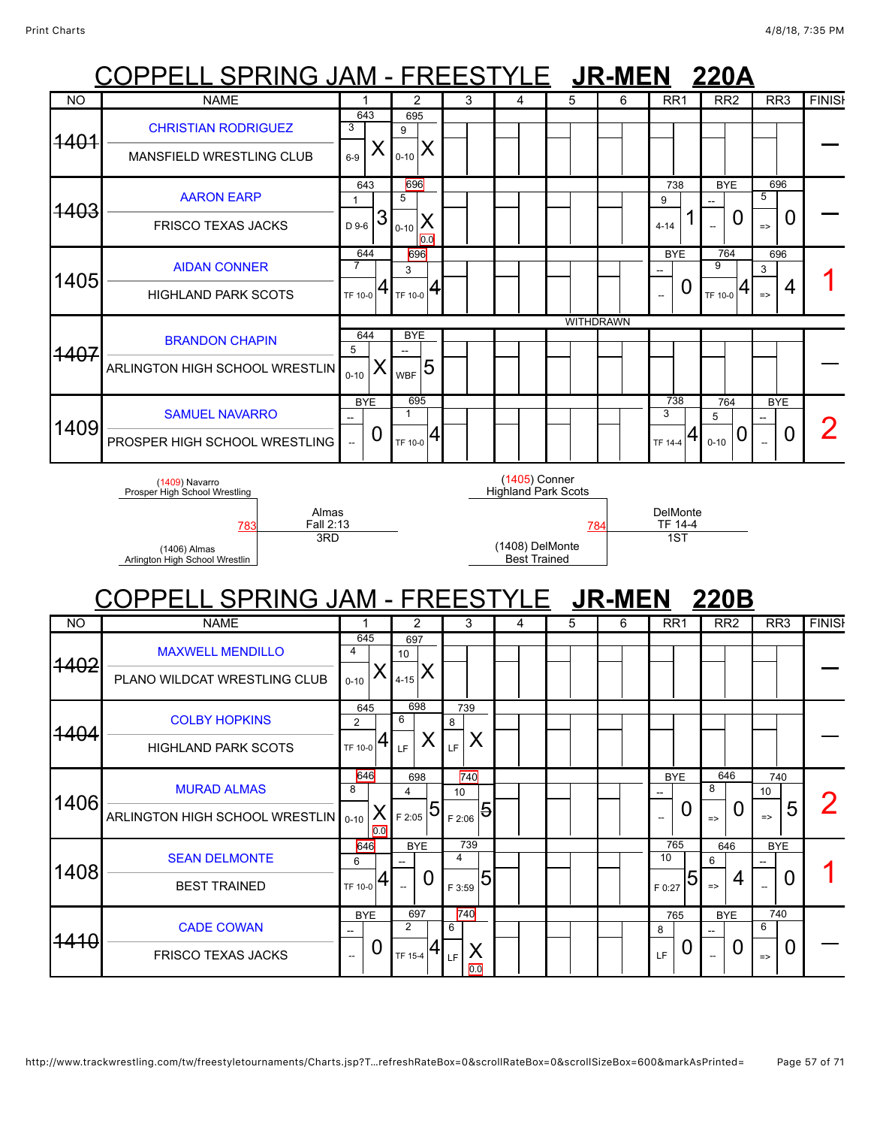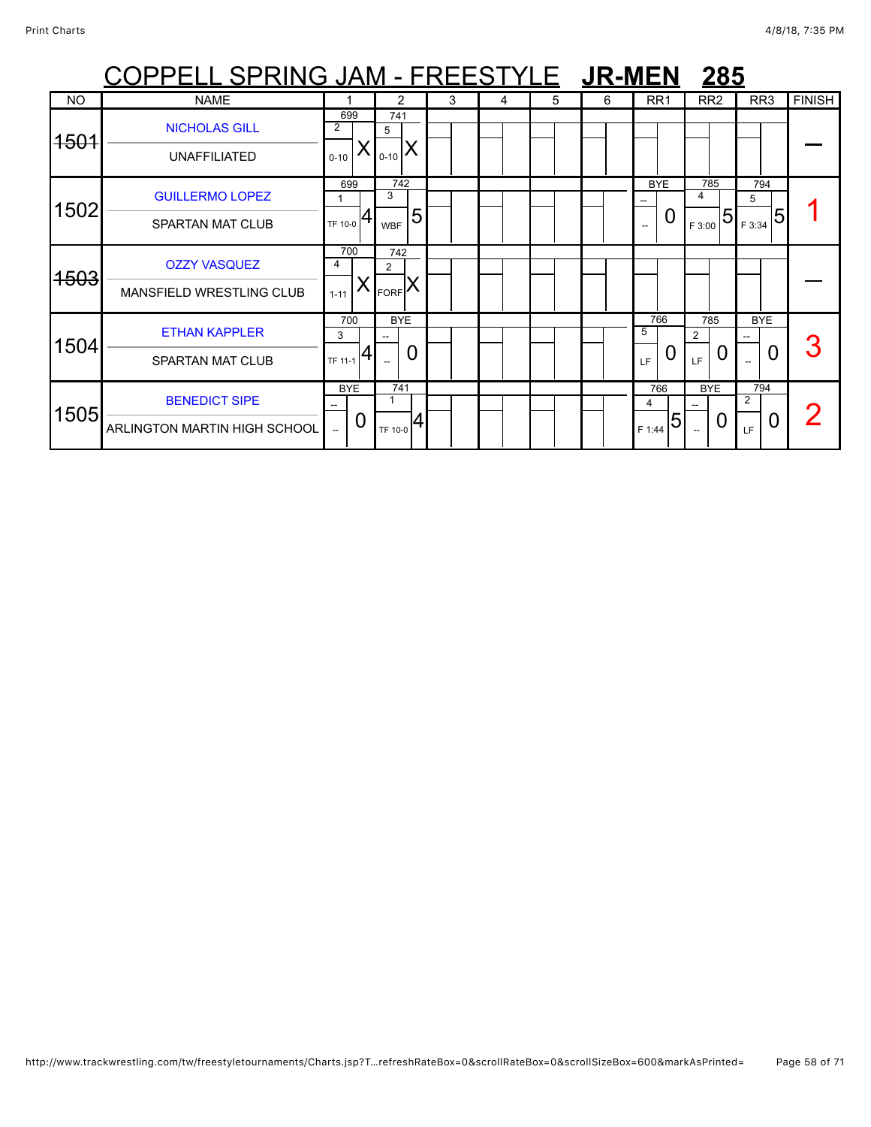|                 | <u> COPPELL SPRING JAM - FREESTYLE</u>                 |                     |          |                                  |                |   |   |   |   | <b>JR-MEN</b>                                         | 285                                           |                         |               |
|-----------------|--------------------------------------------------------|---------------------|----------|----------------------------------|----------------|---|---|---|---|-------------------------------------------------------|-----------------------------------------------|-------------------------|---------------|
| <b>NO</b>       | <b>NAME</b>                                            |                     |          | 2                                |                | 3 | 4 | 5 | 6 | RR1                                                   | RR <sub>2</sub>                               | RR <sub>3</sub>         | <b>FINISH</b> |
| <del>1501</del> | <b>NICHOLAS GILL</b><br><b>UNAFFILIATED</b>            | 2<br>$0 - 10$       | 699<br>Х | 741<br>5<br>$_{10-10}$ $\lambda$ |                |   |   |   |   |                                                       |                                               |                         |               |
| 1502            | <b>GUILLERMO LOPEZ</b><br><b>SPARTAN MAT CLUB</b>      | TF 10-0             | 699      | 742<br>3<br><b>WBF</b>           | 5              |   |   |   |   | <b>BYE</b><br>$\sim$<br>C<br>$\hspace{0.05cm} \ldots$ | 785<br>4<br>5<br>F 3:00                       | 794<br>5<br>5<br>F 3:34 |               |
| 4503            | <b>OZZY VASQUEZ</b><br><b>MANSFIELD WRESTLING CLUB</b> | 4<br>$1 - 11$       | 700      | 742<br>2<br>$F_{\text{ORF}}$     |                |   |   |   |   |                                                       |                                               |                         |               |
| 1504            | <b>ETHAN KAPPLER</b><br><b>SPARTAN MAT CLUB</b>        | 3<br><b>TF 11-1</b> | 700      | <b>BYE</b>                       | $\overline{0}$ |   |   |   |   | 766<br>5<br>U<br>LF                                   | 785<br>$\overline{2}$<br>$\overline{0}$<br>LF | <b>BYE</b><br>0         |               |
| 1505            | <b>BENEDICT SIPE</b><br>ARLINGTON MARTIN HIGH SCHOOL   | <b>BYE</b><br>Ш.    | 0        | 741<br>TF 10-0                   | 14             |   |   |   |   | 766<br>4<br>5<br>F 1:44                               | <b>BYE</b><br>O<br>$\overline{\phantom{a}}$   | 794<br>2<br>O<br>LF     |               |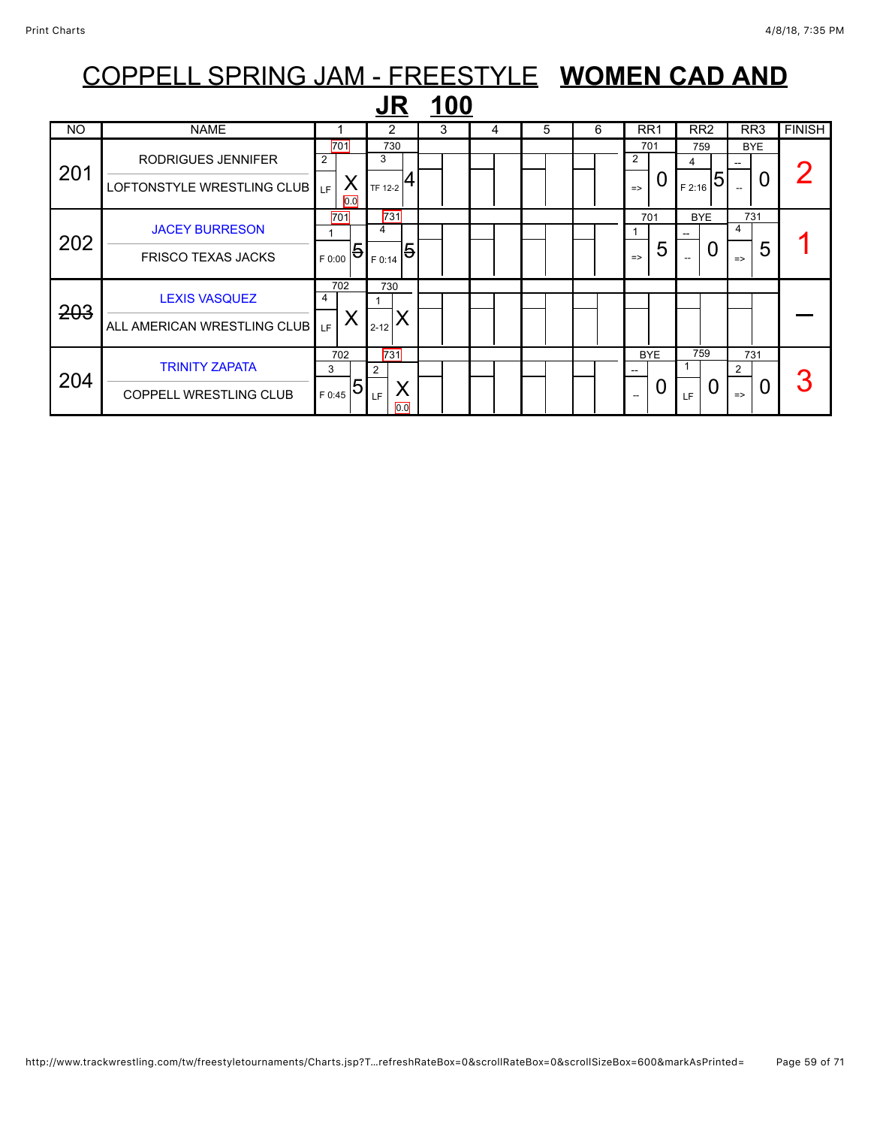|           |                                                        |                                   | JR                                      | <u>100</u> |   |   |   |                                                                         |                                  |                                             |               |
|-----------|--------------------------------------------------------|-----------------------------------|-----------------------------------------|------------|---|---|---|-------------------------------------------------------------------------|----------------------------------|---------------------------------------------|---------------|
| <b>NO</b> | <b>NAME</b>                                            |                                   | 2                                       | 3          | 4 | 5 | 6 | RR <sub>1</sub>                                                         | RR <sub>2</sub>                  | RR3                                         | <b>FINISH</b> |
| 201       | RODRIGUES JENNIFER<br>LOFTONSTYLE WRESTLING CLUB   LF  | 701<br>2<br>∧<br>$\overline{0.0}$ | 730<br>3<br>$T_{TF 12-2}$ $ 4$          |            |   |   |   | 701<br>2<br>0<br>$\Rightarrow$                                          | 759<br>4<br>5<br>F 2:16          | <b>BYE</b><br>0<br>$\overline{\phantom{a}}$ |               |
| 202       | <b>JACEY BURRESON</b><br><b>FRISCO TEXAS JACKS</b>     | 701<br>5<br>F 0:00                | 731<br>4<br>$\overline{5}$<br>F 0:14    |            |   |   |   | 701<br>5<br>$\Rightarrow$                                               | <b>BYE</b><br>--<br>$\mathbf{U}$ | 731<br>4<br>5<br>$\Rightarrow$              |               |
| 203       | <b>LEXIS VASQUEZ</b><br>ALL AMERICAN WRESTLING CLUB    | 702<br>4<br>LF                    | 730<br>$2 - 12$                         |            |   |   |   |                                                                         |                                  |                                             |               |
| 204       | <b>TRINITY ZAPATA</b><br><b>COPPELL WRESTLING CLUB</b> | 702<br>3<br>5<br>F 0:45           | 731<br>$\overline{2}$<br>X<br>LF<br>0.0 |            |   |   |   | <b>BYE</b><br>$\overline{\phantom{a}}$<br>0<br>$\overline{\phantom{a}}$ | 759<br>0<br>LF                   | 731<br>$\overline{2}$<br>0<br>$\Rightarrow$ | 3             |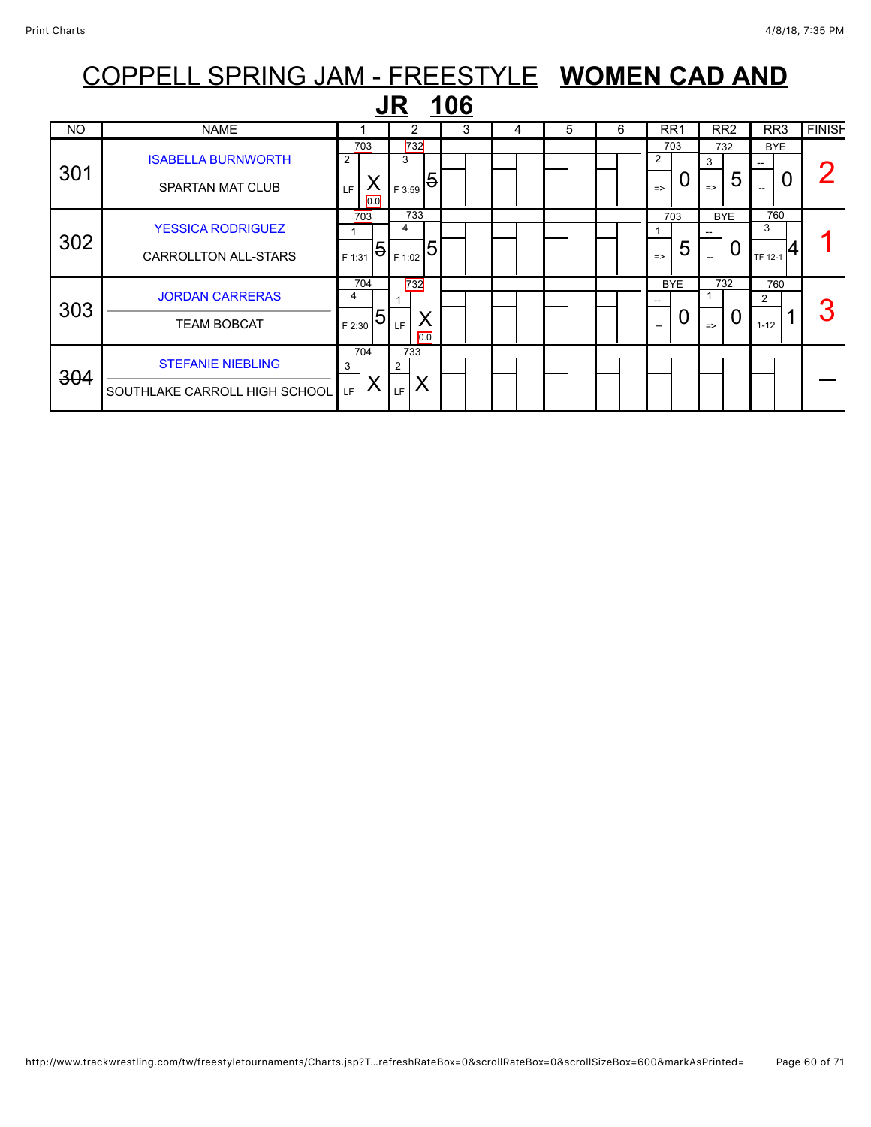|           | COPPELL SPRING JAM - FREESTYLE WOMEN CAD AND |                |          |           |          |             |   |   |   |               |                 |               |                 |          |                 |               |
|-----------|----------------------------------------------|----------------|----------|-----------|----------|-------------|---|---|---|---------------|-----------------|---------------|-----------------|----------|-----------------|---------------|
|           |                                              |                |          | <b>JR</b> |          | <u> 106</u> |   |   |   |               |                 |               |                 |          |                 |               |
| <b>NO</b> | <b>NAME</b>                                  |                |          |           | 2        | 3           | 4 | 5 | 6 |               | RR <sub>1</sub> |               | RR <sub>2</sub> |          | RR <sub>3</sub> | <b>FINISH</b> |
|           | <b>ISABELLA BURNWORTH</b>                    | $\overline{2}$ | 703      | 3         | 732      |             |   |   |   | 2             | 703             |               | 732             |          | <b>BYE</b>      |               |
| 301       | <b>SPARTAN MAT CLUB</b>                      | LE.            | Χ<br>0.0 | F 3:59    | 5        |             |   |   |   | $\Rightarrow$ | 0               | $\Rightarrow$ | 5               |          |                 |               |
| 302       | <b>YESSICA RODRIGUEZ</b>                     |                | 703      | 4         | 733      |             |   |   |   |               | 703             |               | <b>BYE</b>      | 3        | 760             |               |
|           | <b>CARROLLTON ALL-STARS</b>                  | F 1:31         | 5        | F 1:02    | 5        |             |   |   |   | $\Rightarrow$ | 5               |               | 0               | TF 12-1  |                 |               |
| 303       | <b>JORDAN CARRERAS</b>                       | 4              | 704      |           | 732      |             |   |   |   |               | <b>BYE</b>      |               | 732             | 2        | 760             |               |
|           | <b>TEAM BOBCAT</b>                           | F 2:30         | 5        | LF        | X<br>0.0 |             |   |   |   |               | 0               | $\Rightarrow$ | 0               | $1 - 12$ |                 |               |
| 304       | <b>STEFANIE NIEBLING</b>                     | 3              | 704      | 733<br>2  |          |             |   |   |   |               |                 |               |                 |          |                 |               |
|           | SOUTHLAKE CARROLL HIGH SCHOOL                | LF.            | Χ        | LF.       | Χ        |             |   |   |   |               |                 |               |                 |          |                 |               |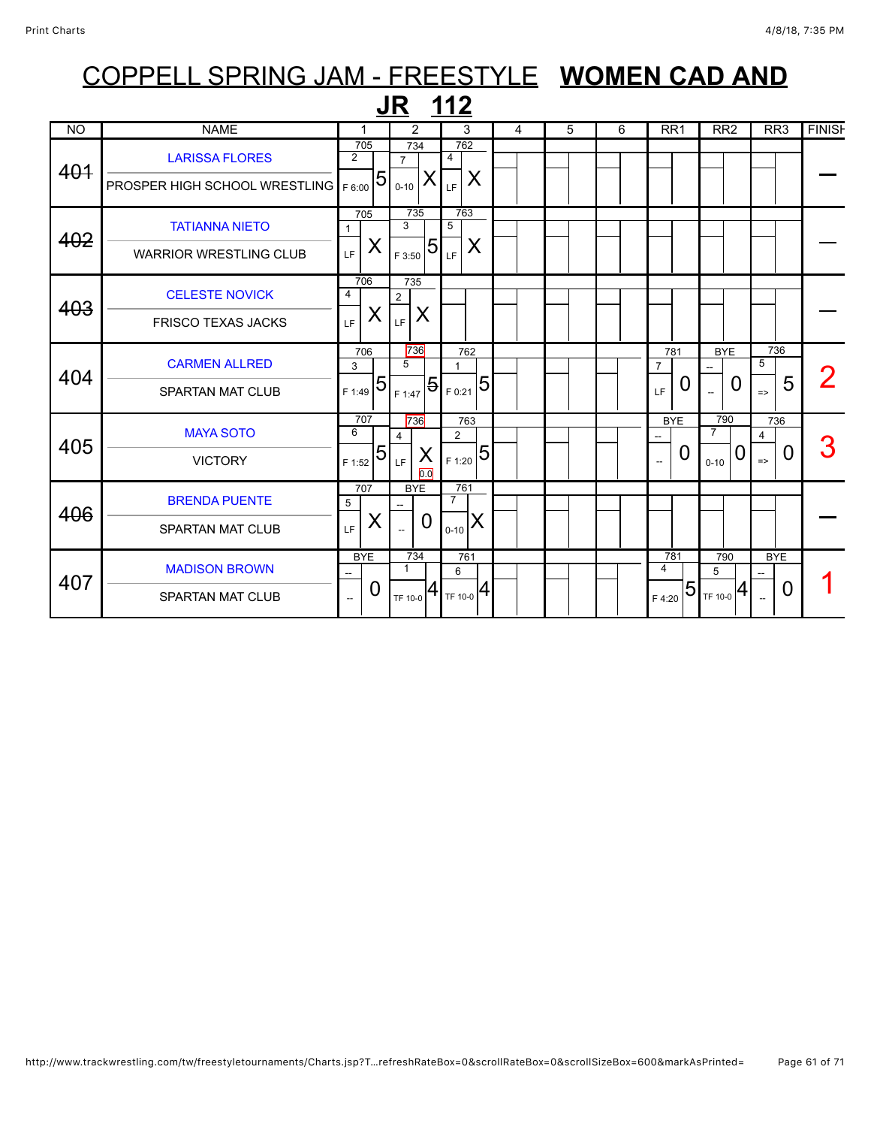|           |                                                                      |                                             | <b>JR 112</b>                                 |                                                       |                |   |   |                                             |                                                                |                                |               |
|-----------|----------------------------------------------------------------------|---------------------------------------------|-----------------------------------------------|-------------------------------------------------------|----------------|---|---|---------------------------------------------|----------------------------------------------------------------|--------------------------------|---------------|
| <b>NO</b> | <b>NAME</b>                                                          | $\mathbf 1$                                 | 2                                             | 3                                                     | $\overline{4}$ | 5 | 6 | RR <sub>1</sub>                             | RR <sub>2</sub>                                                | RR3                            | <b>FINISH</b> |
| 401       | <b>LARISSA FLORES</b><br><b>PROSPER HIGH SCHOOL WRESTLING</b> F 6:00 | 705<br>$\overline{2}$<br>5                  | 734<br>$\overline{7}$<br>X<br>$0 - 10$        | 762<br>4<br>X<br>LF                                   |                |   |   |                                             |                                                                |                                |               |
| 402       | <b>TATIANNA NIETO</b><br><b>WARRIOR WRESTLING CLUB</b>               | 705<br>X<br>LF.                             | 735<br>3<br>5<br>F 3:50                       | 763<br>5<br>X<br>LF                                   |                |   |   |                                             |                                                                |                                |               |
| 403       | <b>CELESTE NOVICK</b><br><b>FRISCO TEXAS JACKS</b>                   | 706<br>$\overline{4}$<br>X<br>LF            | 735<br>$\overline{2}$<br>X<br>LF <sup>1</sup> |                                                       |                |   |   |                                             |                                                                |                                |               |
| 404       | <b>CARMEN ALLRED</b><br><b>SPARTAN MAT CLUB</b>                      | 706<br>3<br>5<br>F 1:49                     | 736<br>5<br>F 1:47                            | 762<br>$\mathbf{1}$<br>5<br>$ \mathbf{5} _{F\,0:21} $ |                |   |   | 781<br>$\overline{7}$<br>O<br>LF            | <b>BYE</b><br>0                                                | 736<br>5<br>5<br>$\Rightarrow$ |               |
| 405       | <b>MAYA SOTO</b><br><b>VICTORY</b>                                   | 707<br>6<br>5<br>F 1:52                     | 736<br>4<br>X<br>LF<br>$\overline{0.0}$       | 763<br>$\overline{2}$<br>5<br>F 1:20                  |                |   |   | <b>BYE</b><br>0<br>$\overline{\phantom{a}}$ | 790<br>$\overline{7}$<br>U<br>$0 - 10$                         | 736<br>4<br>0<br>$\Rightarrow$ | 3             |
| 406       | <b>BRENDA PUENTE</b><br><b>SPARTAN MAT CLUB</b>                      | 707<br>5<br>X<br>LF                         | <b>BYE</b><br>0                               | 761<br>$\overline{7}$<br>X<br>$0 - 10$                |                |   |   |                                             |                                                                |                                |               |
| 407       | <b>MADISON BROWN</b><br><b>SPARTAN MAT CLUB</b>                      | <b>BYE</b><br>0<br>$\overline{\phantom{a}}$ | 734<br>$\mathbf{1}$<br>4<br>TF 10-0           | 761<br>6<br>$T$ F 10-0 $ 4$                           |                |   |   | 781<br>4<br>F 4:20                          | 790<br>5<br>$ 5 _{\scriptscriptstyle \sf TF\,10\text{-}0} $ 4) | <b>BYE</b><br>O                |               |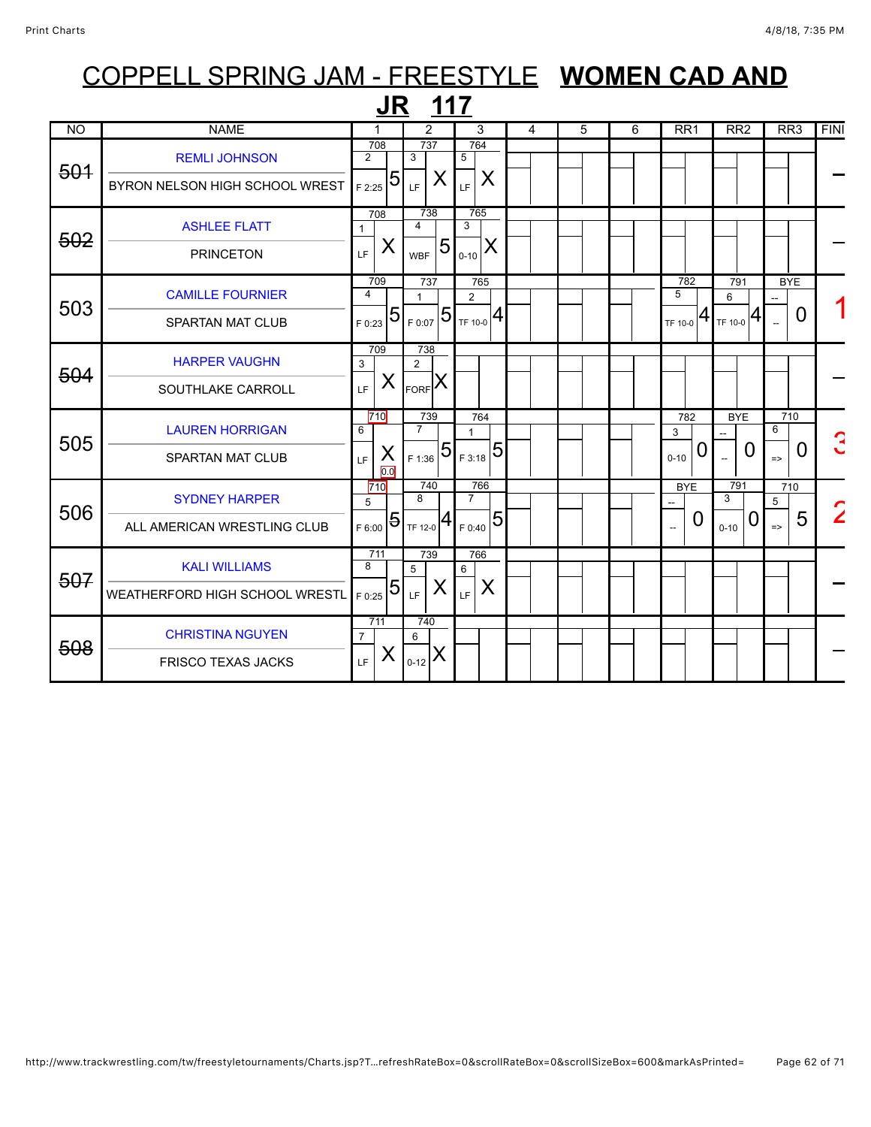|                |                                                        | JR                                            | 117                                           |                                                          |   |   |   |                           |                                             |                                |                |
|----------------|--------------------------------------------------------|-----------------------------------------------|-----------------------------------------------|----------------------------------------------------------|---|---|---|---------------------------|---------------------------------------------|--------------------------------|----------------|
| <b>NO</b>      | <b>NAME</b>                                            | 1                                             | $\overline{2}$                                | 3                                                        | 4 | 5 | 6 | RR <sub>1</sub>           | RR <sub>2</sub>                             | RR <sub>3</sub>                | <b>FINI</b>    |
| <del>501</del> | <b>REMLI JOHNSON</b><br>BYRON NELSON HIGH SCHOOL WREST | 708<br>$\overline{2}$<br>5<br>F 2:25          | 737<br>3<br>X<br>LF                           | 764<br>$5\overline{)}$<br>X<br>LF                        |   |   |   |                           |                                             |                                |                |
| 502            | <b>ASHLEE FLATT</b><br><b>PRINCETON</b>                | 708<br>$\mathbf{1}$<br>X<br>LF.               | 738<br>$\overline{4}$<br>5<br><b>WBF</b>      | 765<br>3<br>X<br>$0 - 10$                                |   |   |   |                           |                                             |                                |                |
| 503            | <b>CAMILLE FOURNIER</b><br><b>SPARTAN MAT CLUB</b>     | 709<br>$\overline{\mathbf{4}}$<br>5<br>F 0:23 | 737<br>$\mathbf{1}$<br>$T_{F0:07}$ 5          | 765<br>$\overline{2}$<br>$_{\rm TF\,10\text{-}0}$ $ 4$ ) |   |   |   | 782<br>5<br>TF 10-0       | 791<br>6<br>$T_{\text{TF 10-0}} 4$          | <b>BYE</b><br>0                |                |
| 504            | <b>HARPER VAUGHN</b><br>SOUTHLAKE CARROLL              | 709<br>3<br>X<br>LF.                          | 738<br>$\overline{2}$<br>$F_{\text{ORF}}$ $X$ |                                                          |   |   |   |                           |                                             |                                |                |
| 505            | <b>LAUREN HORRIGAN</b><br><b>SPARTAN MAT CLUB</b>      | 710<br>6<br>X<br>LF.<br>0.0                   | 739<br>$\overline{7}$<br>$_{\rm 1F\,1:36}$ 51 | 764<br>$\overline{5}$<br>F 3:18                          |   |   |   | 782<br>3<br>0<br>$0 - 10$ | <b>BYE</b><br>0<br>$\overline{\phantom{a}}$ | 710<br>6<br>0<br>$\Rightarrow$ |                |
| 506            | <b>SYDNEY HARPER</b><br>ALL AMERICAN WRESTLING CLUB    | 710<br>5<br>$\overline{5}$<br>F 6:00          | 740<br>8<br>4<br>TF 12-0                      | 766<br>$\overline{7}$<br>$\overline{5}$<br>F 0:40        |   |   |   | <b>BYE</b><br>0<br>$\sim$ | 791<br>3<br>0<br>$0 - 10$                   | 710<br>5<br>5<br>$\Rightarrow$ | $\overline{2}$ |
| 507            | <b>KALI WILLIAMS</b><br>WEATHERFORD HIGH SCHOOL WRESTL | 711<br>$\overline{8}$<br>5<br>F 0:25          | 739<br>5<br>X<br>LF                           | 766<br>6<br>X<br>LF                                      |   |   |   |                           |                                             |                                |                |
| 508            | <b>CHRISTINA NGUYEN</b><br><b>FRISCO TEXAS JACKS</b>   | 711<br>$\overline{7}$<br>X<br>LF.             | 740<br>6<br>X<br>$0 - 12$                     |                                                          |   |   |   |                           |                                             |                                |                |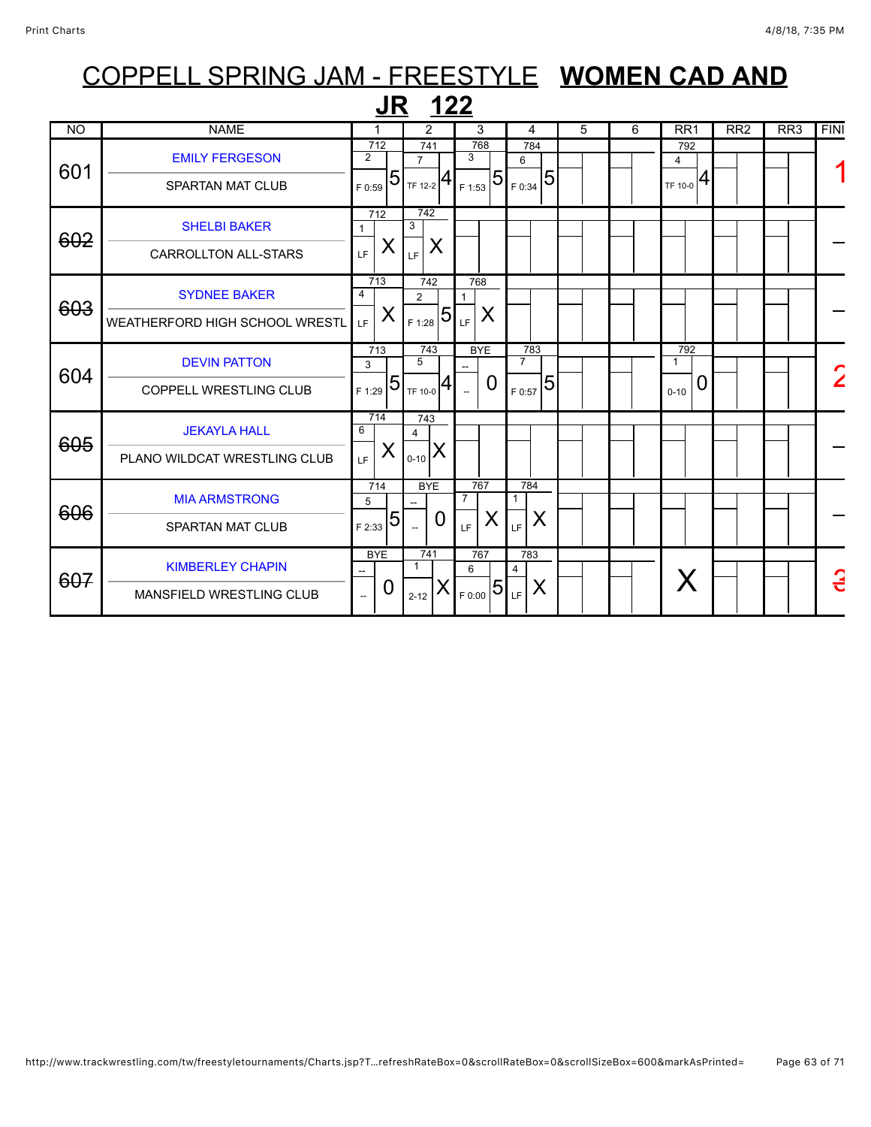| COPPELL SPRING JAM - FREESTYLE WOMEN CAD AND |                                |                          |                  |                       |             |                |                |                       |                 |   |  |   |                       |   |                 |                 |             |
|----------------------------------------------|--------------------------------|--------------------------|------------------|-----------------------|-------------|----------------|----------------|-----------------------|-----------------|---|--|---|-----------------------|---|-----------------|-----------------|-------------|
|                                              |                                |                          | $J_{\rm R}$      |                       | <u> 122</u> |                |                |                       |                 |   |  |   |                       |   |                 |                 |             |
| <b>NO</b>                                    | <b>NAME</b>                    |                          |                  | 2                     |             |                | 3              | 4                     |                 | 5 |  | 6 | RR1                   |   | RR <sub>2</sub> | RR <sub>3</sub> | <b>FINI</b> |
| 601                                          | <b>EMILY FERGESON</b>          | $\overline{2}$           | 712<br>5         | 741<br>$\overline{7}$ |             | 3              | 768            | 784<br>6              | $5\overline{)}$ |   |  |   | 792<br>$\overline{4}$ | 4 |                 |                 |             |
|                                              | <b>SPARTAN MAT CLUB</b>        | F 0:59                   |                  | $T_{TF\ 12-2}$ $ 4$   |             |                | $_{F1:53}$ 5   | F 0:34                |                 |   |  |   | TF 10-0               |   |                 |                 |             |
| 602                                          | <b>SHELBI BAKER</b>            |                          | 712              | 742<br>3              |             |                |                |                       |                 |   |  |   |                       |   |                 |                 |             |
|                                              | <b>CARROLLTON ALL-STARS</b>    | LF                       | X                | LF                    | X           |                |                |                       |                 |   |  |   |                       |   |                 |                 |             |
| 603                                          | <b>SYDNEE BAKER</b>            | 4                        | $\overline{713}$ | 742<br>$\overline{2}$ |             | 1              | 768            |                       |                 |   |  |   |                       |   |                 |                 |             |
|                                              | WEATHERFORD HIGH SCHOOL WRESTL | LE.                      | X                | F 1:28                | 5           | LF             | X              |                       |                 |   |  |   |                       |   |                 |                 |             |
| 604                                          | <b>DEVIN PATTON</b>            | 3                        | 713              | 743<br>5              |             |                | <b>BYE</b>     | 783<br>$\overline{7}$ |                 |   |  |   | 792<br>$\mathbf 1$    |   |                 |                 |             |
|                                              | <b>COPPELL WRESTLING CLUB</b>  | F 1:29                   | 5                | <b>TF 10-0</b>        | 4           |                | $\Omega$       | F 0:57                | $\overline{5}$  |   |  |   | $0 - 10$              | 0 |                 |                 |             |
|                                              | <b>JEKAYLA HALL</b>            | 6                        | 714              | 743<br>4              |             |                |                |                       |                 |   |  |   |                       |   |                 |                 |             |
| 605                                          | PLANO WILDCAT WRESTLING CLUB   | LF.                      | X                | $0 - 10$              | X           |                |                |                       |                 |   |  |   |                       |   |                 |                 |             |
|                                              | <b>MIA ARMSTRONG</b>           | 5                        | 714              | <b>BYE</b>            |             | $\overline{7}$ | 767            | 784                   |                 |   |  |   |                       |   |                 |                 |             |
| 606                                          | <b>SPARTAN MAT CLUB</b>        | F 2:33                   | 5                |                       | 0           | LF.            | X              | LF                    | X               |   |  |   |                       |   |                 |                 |             |
|                                              | <b>KIMBERLEY CHAPIN</b>        | <b>BYE</b>               |                  | 741<br>$\mathbf 1$    |             | 6              | 767            | 783<br>4              |                 |   |  |   |                       |   |                 |                 | G           |
| 607                                          | MANSFIELD WRESTLING CLUB       | $\overline{\phantom{a}}$ | 0                | $2 - 12$              |             |                | $T_{F,0:00}$ 5 | LF                    | X               |   |  |   |                       |   |                 |                 |             |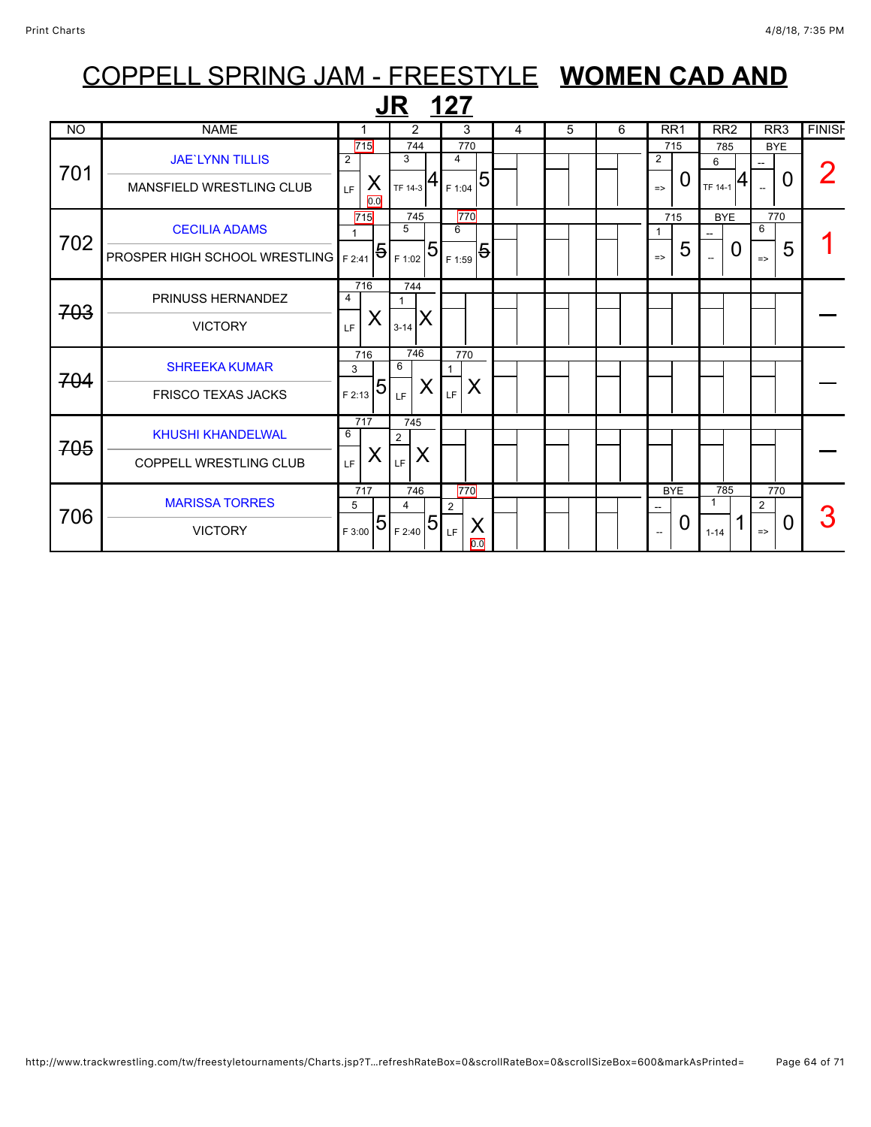### COPPELL SPRING JAM - FREESTYLE **WOMEN CAD AND JR 127**<br>NO NAME 1 2 3 4 5 6 RR1 RR2 RR3 FINISH **BYE** 715 785 715 744 770 H [JAE`LYNN TILLIS](javascript:viewProfile(752194096)) 2 3 4 2 6 --

| 701 | <b>JAE'LYNN TILLIS</b><br>MANSFIELD WRESTLING CLUB             | וייו<br>2<br>X<br>LF.<br>0.0     | .<br>3<br>TF 14-3                 | .<br>4<br>5<br>F 1:04                    |  | .<br>$\overline{2}$<br>O<br>$\Rightarrow$   | $\sim$<br>6<br>TF 14-1 | - -<br>0                                    |   |
|-----|----------------------------------------------------------------|----------------------------------|-----------------------------------|------------------------------------------|--|---------------------------------------------|------------------------|---------------------------------------------|---|
| 702 | <b>CECILIA ADAMS</b><br>PROSPER HIGH SCHOOL WRESTLING   F 2:41 | 715<br>5                         | 745<br>5<br> 5 <br>F 1:02         | 770<br>6<br>$\overline{5}$<br>F 1:59     |  | 715<br>5<br>$\Rightarrow$                   | <b>BYE</b><br>0<br>--  | 770<br>6<br>5<br>$\Rightarrow$              |   |
| 703 | PRINUSS HERNANDEZ<br><b>VICTORY</b>                            | 716<br>4<br>X<br>LF              | 744<br>ΙX<br>$3 - 14$             |                                          |  |                                             |                        |                                             |   |
| 704 | <b>SHREEKA KUMAR</b><br><b>FRISCO TEXAS JACKS</b>              | 716<br>3<br> 5<br>F 2:13         | 746<br>6<br>X<br>LF.              | 770<br>X<br>LF.                          |  |                                             |                        |                                             |   |
| 705 | <b>KHUSHI KHANDELWAL</b><br>COPPELL WRESTLING CLUB             | 717<br>6<br>X<br>LF              | 745<br>$\overline{2}$<br>X<br>LF. |                                          |  |                                             |                        |                                             |   |
| 706 | <b>MARISSA TORRES</b><br><b>VICTORY</b>                        | 717<br>5<br>$\sqrt{5}$<br>F 3:00 | 746<br>4<br> 5 <br>F 2:40         | 770<br>$\overline{2}$<br>X<br>LF.<br>0.0 |  | <b>BYE</b><br>0<br>$\overline{\phantom{a}}$ | 785<br>$1 - 14$        | 770<br>2<br>$\overline{0}$<br>$\Rightarrow$ | 3 |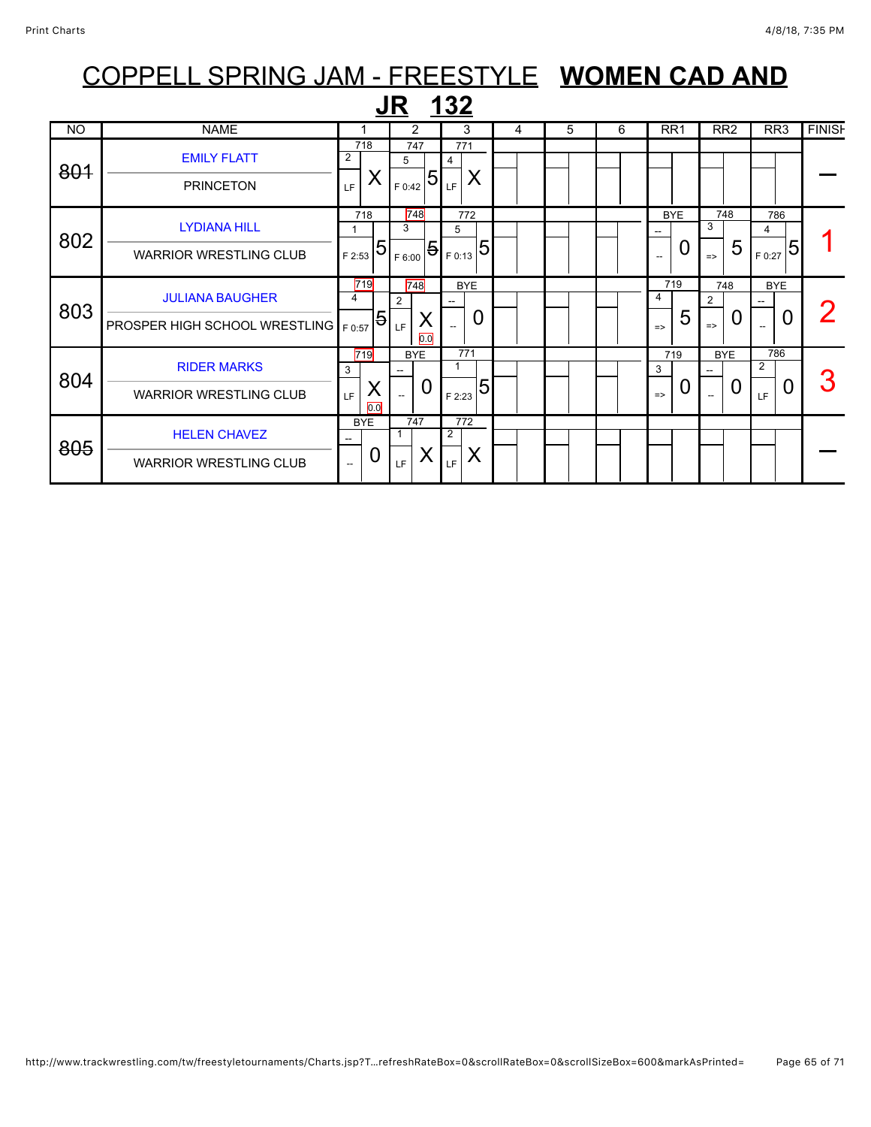|           | COPPELL SPRING JAM - FREESTYLE WOMEN CAD AND |                          |            |            |                                                     |             |            |   |   |  |   |               |                 |               |                 |            |                 |               |
|-----------|----------------------------------------------|--------------------------|------------|------------|-----------------------------------------------------|-------------|------------|---|---|--|---|---------------|-----------------|---------------|-----------------|------------|-----------------|---------------|
|           |                                              |                          |            | <b>JR</b>  |                                                     | <u> 132</u> |            |   |   |  |   |               |                 |               |                 |            |                 |               |
| <b>NO</b> | <b>NAME</b>                                  |                          |            | 2          |                                                     |             | 3          | 4 | 5 |  | 6 |               | RR <sub>1</sub> |               | RR <sub>2</sub> |            | RR <sub>3</sub> | <b>FINISH</b> |
| 801       | <b>EMILY FLATT</b>                           | $\overline{2}$           | 718        | 747<br>5   |                                                     | 4           | 771        |   |   |  |   |               |                 |               |                 |            |                 |               |
|           | <b>PRINCETON</b>                             | LF                       | Χ          | F 0:42     | $\overline{5}$                                      | LF          | X          |   |   |  |   |               |                 |               |                 |            |                 |               |
|           | <b>LYDIANA HILL</b>                          |                          | 718        | 748<br>3   |                                                     | 5           | 772        |   |   |  |   |               | <b>BYE</b>      | 3             | 748             | 4          | 786             |               |
| 802       | <b>WARRIOR WRESTLING CLUB</b>                | F 2:53                   | 5          | F 6:00     | .   <del>5</del>   <sub>F 0:13</sub>   <sup>;</sup> |             | 5          |   |   |  |   |               | 0               | $\Rightarrow$ | 5               | F 0:27     | 5               |               |
| 803       | <b>JULIANA BAUGHER</b>                       | 4                        | 719        | 748<br>2   |                                                     |             | <b>BYE</b> |   |   |  |   | 4             | 719             | 2             | 748             | <b>BYE</b> |                 |               |
|           | <b>PROSPER HIGH SCHOOL WRESTLING</b>         | F 0:57                   | 5          | LF.        | X<br>0.0                                            |             | 0          |   |   |  |   | $\Rightarrow$ | 5               | $\Rightarrow$ | 0               |            | O               |               |
| 804       | <b>RIDER MARKS</b>                           | 3                        | 719        | <b>BYE</b> |                                                     | 1           | 771        |   |   |  |   | 3             | 719             |               | <b>BYE</b>      | 2          | 786             |               |
|           | <b>WARRIOR WRESTLING CLUB</b>                | LF.                      | Χ<br>0.0   |            | 0                                                   | F 2:23      | 5          |   |   |  |   | $\Rightarrow$ | 0               |               | 0               | LF.        | 0               |               |
|           | <b>HELEN CHAVEZ</b>                          |                          | <b>BYE</b> | 747        |                                                     | 2           | 772        |   |   |  |   |               |                 |               |                 |            |                 |               |
| 805       | <b>WARRIOR WRESTLING CLUB</b>                | $\overline{\phantom{a}}$ | 0          | LF.        | Χ                                                   | LF          | X          |   |   |  |   |               |                 |               |                 |            |                 |               |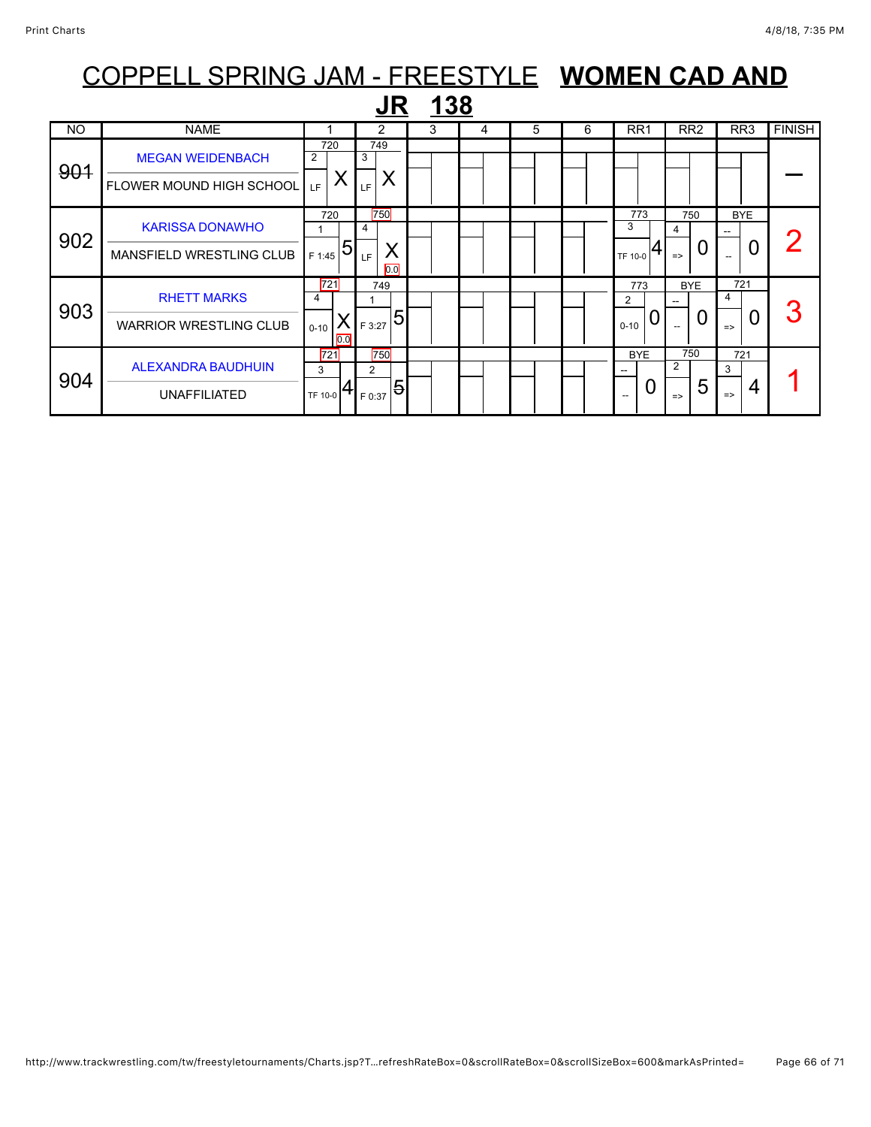|           |                                                            | COPPELL SPRING JAM - FREESTYLE WOMEN CAD AND |                                                      |   |   |   |   |                           |                                             |                                             |               |
|-----------|------------------------------------------------------------|----------------------------------------------|------------------------------------------------------|---|---|---|---|---------------------------|---------------------------------------------|---------------------------------------------|---------------|
|           |                                                            |                                              |                                                      |   |   |   |   |                           |                                             |                                             |               |
| <b>NO</b> | <b>NAME</b>                                                |                                              | 2                                                    | 3 | 4 | 5 | 6 | RR <sub>1</sub>           | RR <sub>2</sub>                             | RR <sub>3</sub>                             | <b>FINISH</b> |
| 901       | <b>MEGAN WEIDENBACH</b><br><b>FLOWER MOUND HIGH SCHOOL</b> | 720<br>2<br>Χ<br>LF.                         | 749<br>3<br>Χ<br>LF                                  |   |   |   |   |                           |                                             |                                             |               |
| 902       | <b>KARISSA DONAWHO</b><br><b>MANSFIELD WRESTLING CLUB</b>  | 720<br>5<br>F 1:45                           | 750<br>$\overline{4}$<br>Χ<br>LF<br>$\overline{0.0}$ |   |   |   |   | 773<br>3<br>TF 10-0       | 750<br>4<br>O<br>$\Rightarrow$              | <b>BYE</b><br>0<br>$\overline{\phantom{a}}$ |               |
| 903       | <b>RHETT MARKS</b><br><b>WARRIOR WRESTLING CLUB</b>        | 721<br>4<br>X<br>$0 - 10$<br>0.0             | 749<br>5<br>F 3:27                                   |   |   |   |   | 773<br>2<br>O<br>$0 - 10$ | <b>BYE</b><br>0                             | 721<br>4<br>0<br>$\Rightarrow$              | 3             |
| 904       | <b>ALEXANDRA BAUDHUIN</b><br><b>UNAFFILIATED</b>           | 721<br>3<br>TF 10-0                          | 750<br>2<br>$\overline{5}$<br>F 0:37                 |   |   |   |   | <b>BYE</b><br>0           | 750<br>$\overline{2}$<br>5<br>$\Rightarrow$ | 721<br>3<br>4<br>$\Rightarrow$              |               |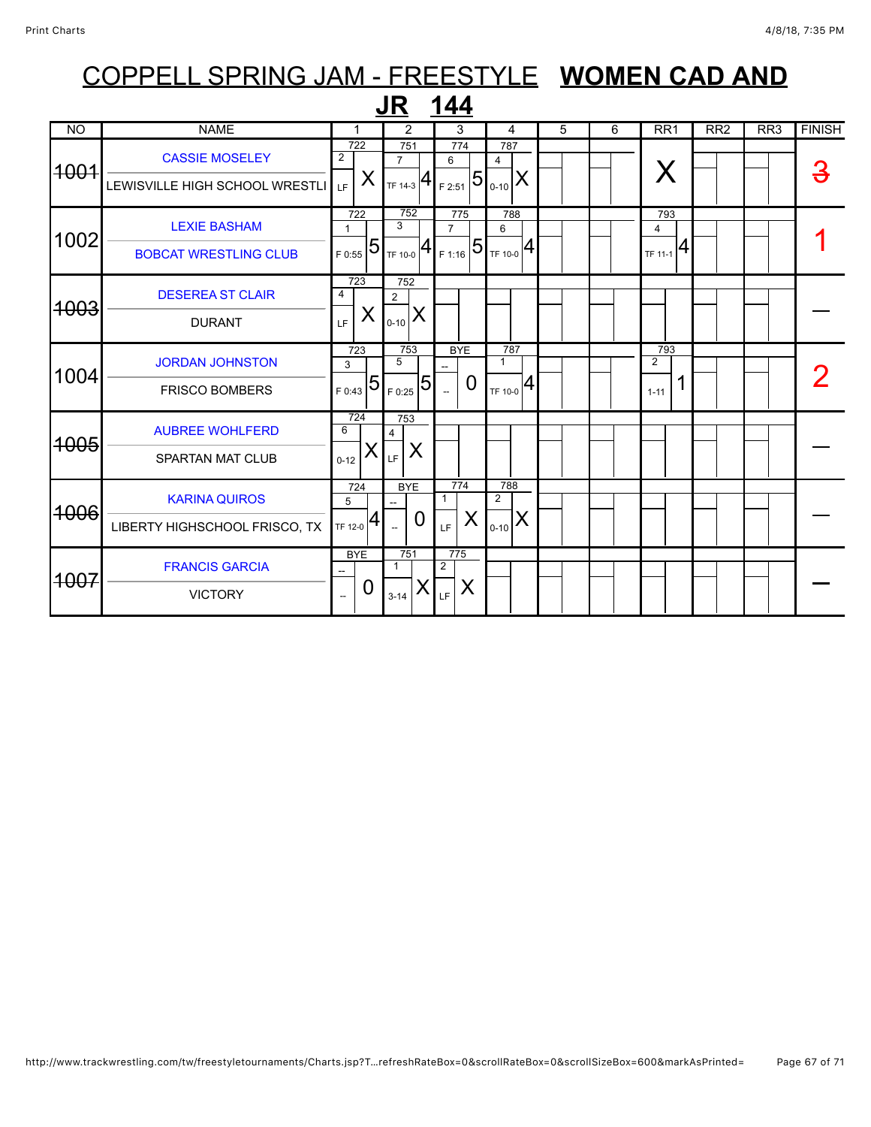| 144<br>JR       |                                                         |                                               |                |                                                            |                      |                       |                                                    |   |   |                                          |                 |                  |               |
|-----------------|---------------------------------------------------------|-----------------------------------------------|----------------|------------------------------------------------------------|----------------------|-----------------------|----------------------------------------------------|---|---|------------------------------------------|-----------------|------------------|---------------|
| <b>NO</b>       | <b>NAME</b>                                             | 1                                             |                | 2                                                          |                      | 3                     | 4                                                  | 5 | 6 | RR <sub>1</sub>                          | RR <sub>2</sub> | $\overline{RR3}$ | <b>FINISH</b> |
| <del>1001</del> | <b>CASSIE MOSELEY</b><br>LEWISVILLE HIGH SCHOOL WRESTLI | $\overline{722}$<br>$\overline{2}$<br>X<br>LF |                | 751<br>$\overline{7}$<br>TF 14-3 $ 4$                      |                      | 774<br>6<br>F 2:51    | 787<br>4<br>$5 _{\scriptscriptstyle{0-10}} $<br>ΙX |   |   | X                                        |                 |                  | З             |
| 1002            | <b>LEXIE BASHAM</b><br><b>BOBCAT WRESTLING CLUB</b>     | 722<br>$\mathbf{1}$<br>F 0:55                 | $\overline{5}$ | 752<br>$\overline{3}$<br>TF 10-0 $\left  4 \right $ F 1:16 |                      | 775<br>$\overline{7}$ | 788<br>6<br>$ 5 _{$ te 10-0 $ 4 $                  |   |   | 793<br>$\overline{4}$<br>$T$ F 11-1 $ 4$ |                 |                  |               |
| <del>1003</del> | <b>DESEREA ST CLAIR</b><br><b>DURANT</b>                | 723<br>4<br>X<br>LF.                          |                | 752<br>$\overline{2}$<br>IX<br>$0 - 10$                    |                      |                       |                                                    |   |   |                                          |                 |                  |               |
| 1004            | <b>JORDAN JOHNSTON</b><br><b>FRISCO BOMBERS</b>         | 723<br>3<br>$T_{F,0:43}$ 51                   |                | 753<br>$\overline{5}$<br>F 0:25                            | 5                    | <b>BYE</b><br>0       | 787<br>$\mathbf{1}$<br>4<br>TF 10-0                |   |   | 793<br>$\overline{2}$<br>$1 - 11$        |                 |                  |               |
| <del>1005</del> | <b>AUBREE WOHLFERD</b><br><b>SPARTAN MAT CLUB</b>       | 724<br>6<br>$0 - 12$                          | Х              | 753<br>4<br>X<br>LF                                        |                      |                       |                                                    |   |   |                                          |                 |                  |               |
| <del>1006</del> | <b>KARINA QUIROS</b><br>LIBERTY HIGHSCHOOL FRISCO, TX   | 724<br>5<br>TF 12-0                           | 4              | <b>BYE</b><br>$\Omega$<br>$\sim$                           | 1                    | 774<br>X<br>LF        | 788<br>$\overline{2}$<br>Χ<br>$0 - 10$             |   |   |                                          |                 |                  |               |
| <del>1007</del> | <b>FRANCIS GARCIA</b><br><b>VICTORY</b>                 | <b>BYE</b><br>0<br>$\overline{\phantom{a}}$   |                | 751<br>-1<br>Х<br>$3 - 14$                                 | $\overline{2}$<br>LF | 775<br>X              |                                                    |   |   |                                          |                 |                  |               |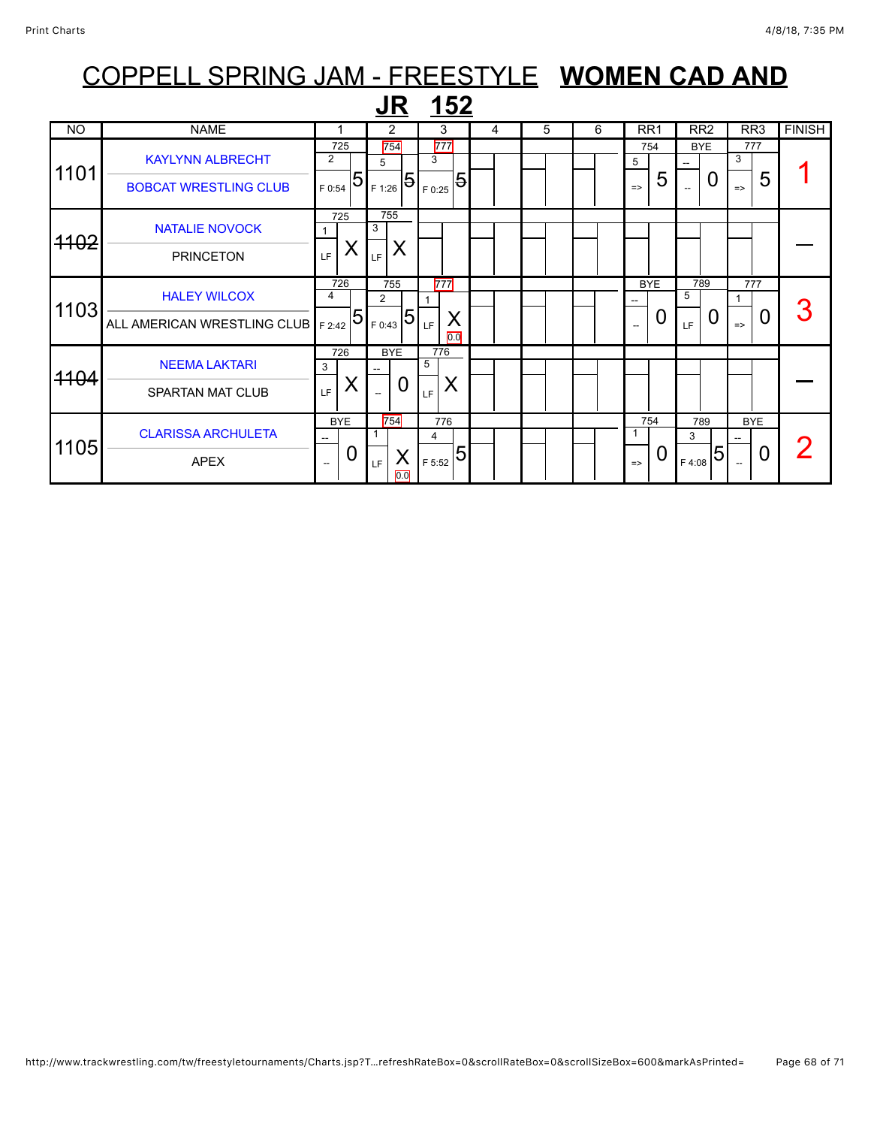## COPPELL SPRING JAM - FREESTYLE **WOMEN CAD AND JR <u>152</u>**<br>NO NAME 1 2 3 4 5 6 RR1 RR2 RR3 FINISH

| <b>NO</b> | <b>NAME</b>                                                 |                                                   | $\overline{2}$                              | 3                                    | 4 | 5 | 6 | RR <sub>1</sub>                             | RR <sub>2</sub>                             | RR <sub>3</sub>                             | <b>FINISH</b> |
|-----------|-------------------------------------------------------------|---------------------------------------------------|---------------------------------------------|--------------------------------------|---|---|---|---------------------------------------------|---------------------------------------------|---------------------------------------------|---------------|
| 1101      | <b>KAYLYNN ALBRECHT</b><br><b>BOBCAT WRESTLING CLUB</b>     | 725<br>$\overline{2}$<br>5<br>F 0:54              | 754<br>5<br>$\overline{5}$<br>F 1:26        | 777<br>3<br>$\overline{5}$<br>F 0:25 |   |   |   | 754<br>5<br>5<br>$\Rightarrow$              | <b>BYE</b><br>0<br>$\overline{\phantom{a}}$ | 777<br>3<br>5<br>$\Rightarrow$              |               |
| 4102      | <b>NATALIE NOVOCK</b><br><b>PRINCETON</b>                   | 725<br>⋏<br>LF                                    | 755<br>3<br>X<br>LF                         |                                      |   |   |   |                                             |                                             |                                             |               |
| 1103      | <b>HALEY WILCOX</b><br>ALL AMERICAN WRESTLING CLUB   F 2:42 | 726<br>4<br>$\overline{5}$                        | 755<br>$\overline{2}$<br>5<br>F 0:43        | 777<br>X<br>LF.<br>0.0               |   |   |   | <b>BYE</b><br>0<br>$\overline{\phantom{a}}$ | 789<br>5<br>LF                              | 777<br>0<br>$\Rightarrow$                   | З             |
| 4104      | <b>NEEMA LAKTARI</b><br><b>SPARTAN MAT CLUB</b>             | 726<br>3<br>∧<br>LF                               | <b>BYE</b><br>0<br>$\overline{\phantom{a}}$ | 776<br>5<br>X<br>LF                  |   |   |   |                                             |                                             |                                             |               |
| 1105      | <b>CLARISSA ARCHULETA</b><br><b>APEX</b>                    | <b>BYE</b><br>--<br>0<br>$\overline{\phantom{a}}$ | 754<br>X<br>LF<br>$\overline{0.0}$          | 776<br>4<br>5<br>F 5:52              |   |   |   | 754<br>0<br>$\Rightarrow$                   | 789<br>3<br>5<br>F 4:08                     | <b>BYE</b><br>0<br>$\overline{\phantom{a}}$ |               |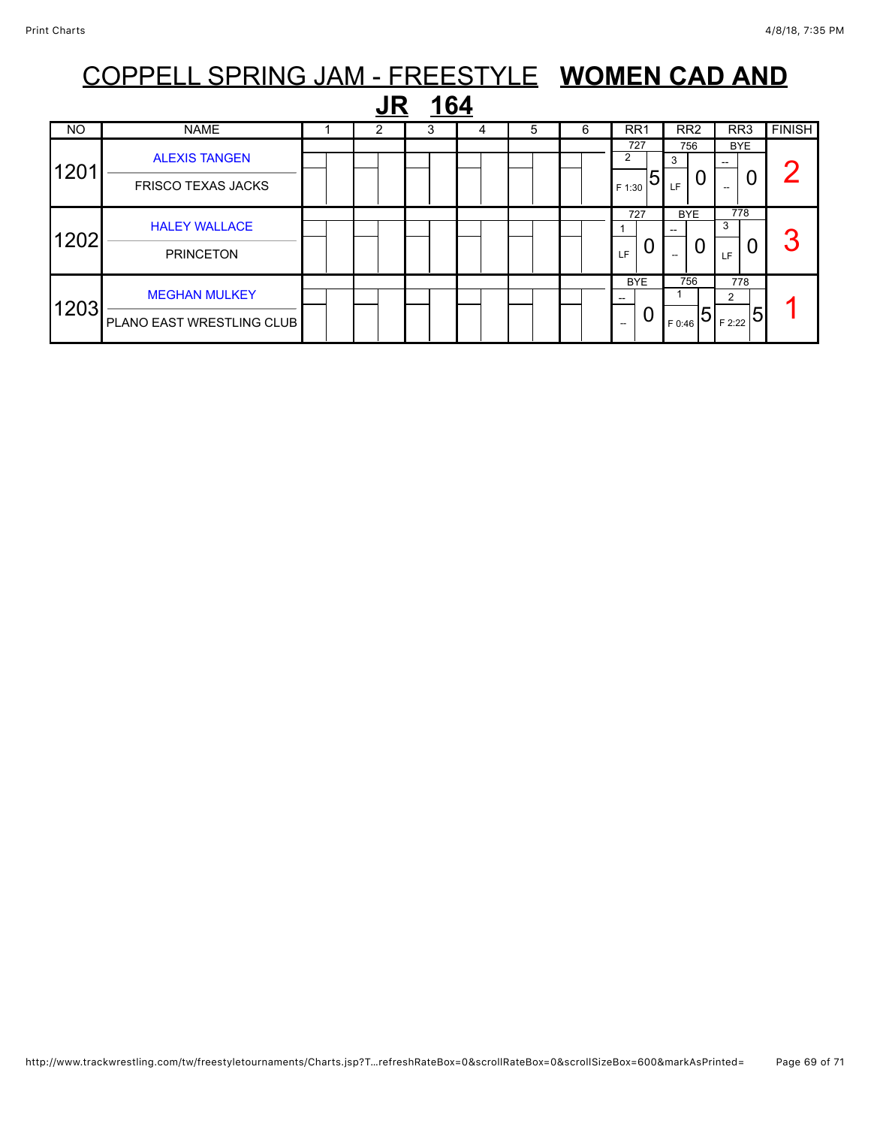|      |                                                   | COPPELL SPRING JAM - FREESTYLE WOMEN CAD AND |  |   |   |   |   |                                      |                        |                         |               |  |
|------|---------------------------------------------------|----------------------------------------------|--|---|---|---|---|--------------------------------------|------------------------|-------------------------|---------------|--|
|      | 164                                               |                                              |  |   |   |   |   |                                      |                        |                         |               |  |
| NO   | <b>NAME</b>                                       |                                              |  | 3 | 4 | 5 | 6 | RR <sub>1</sub>                      | RR <sub>2</sub>        | RR <sub>3</sub>         | <b>FINISH</b> |  |
| 1201 | <b>ALEXIS TANGEN</b><br><b>FRISCO TEXAS JACKS</b> |                                              |  |   |   |   |   | 727<br>5<br>F 1:30                   | 756<br>3<br>LF         | <b>BYE</b><br>0         |               |  |
| 1202 | <b>HALEY WALLACE</b><br><b>PRINCETON</b>          |                                              |  |   |   |   |   | 727<br>O<br>LF                       | <b>BYE</b><br>U<br>$-$ | 778<br>3<br>0<br>LF     |               |  |
| 1203 | <b>MEGHAN MULKEY</b><br>PLANO EAST WRESTLING CLUB |                                              |  |   |   |   |   | <b>BYE</b><br>0<br>$\hspace{0.05cm}$ | 756<br>5<br>F 0:46     | 778<br>2<br>5<br>F 2:22 |               |  |

### http://www.trackwrestling.com/tw/freestyletournaments/Charts.jsp?T…refreshRateBox=0&scrollRateBox=0&scrollSizeBox=600&markAsPrinted= Page 69 of 71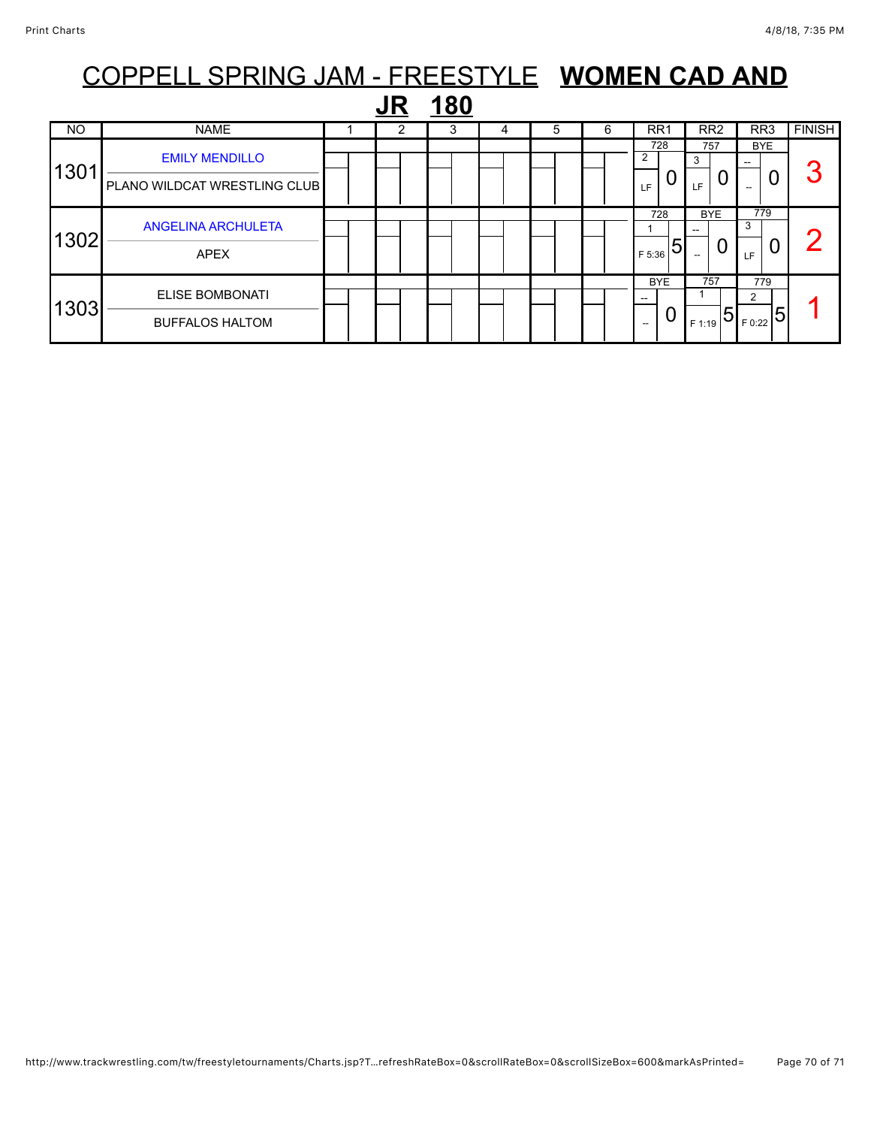|                  | COPPELL SPRING JAM - FREESTYLE WOMEN CAD AND     |  |  |   |  |   |   |                             |                    |                                                         |               |  |
|------------------|--------------------------------------------------|--|--|---|--|---|---|-----------------------------|--------------------|---------------------------------------------------------|---------------|--|
| <u>180</u><br>JR |                                                  |  |  |   |  |   |   |                             |                    |                                                         |               |  |
| NO.              | <b>NAME</b>                                      |  |  | 3 |  | 5 | 6 | RR <sub>1</sub>             | RR <sub>2</sub>    | RR <sub>3</sub>                                         | <b>FINISH</b> |  |
| 1301             | <b>EMILY MENDILLO</b>                            |  |  |   |  |   |   | 728                         | 757<br>3<br>0      | <b>BYE</b><br>0                                         | 3             |  |
|                  | PLANO WILDCAT WRESTLING CLUB                     |  |  |   |  |   |   | LF<br>728                   | LF<br><b>BYE</b>   | 779                                                     |               |  |
| 1302             | <b>ANGELINA ARCHULETA</b><br><b>APEX</b>         |  |  |   |  |   |   | 5<br>F 5:36                 | U                  | 3<br>0<br><b>LF</b>                                     |               |  |
| 1303             | <b>ELISE BOMBONATI</b><br><b>BUFFALOS HALTOM</b> |  |  |   |  |   |   | <b>BYE</b><br>--<br>0<br>-- | 757<br>5<br>F 1:19 | 779<br>2<br>$\mathsf{L}_{\mathsf{F}\,0:22} \mathsf{5} $ |               |  |